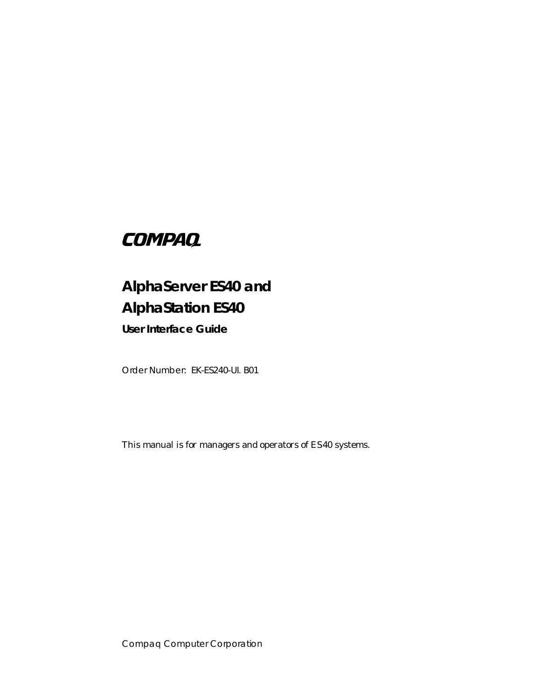# **COMPAQ**

# **AlphaServer ES40 and AlphaStation ES40**

**User Interface Guide**

Order Number: EK-ES240-UI. B01

This manual is for managers and operators of ES40 systems.

Compaq Computer Corporation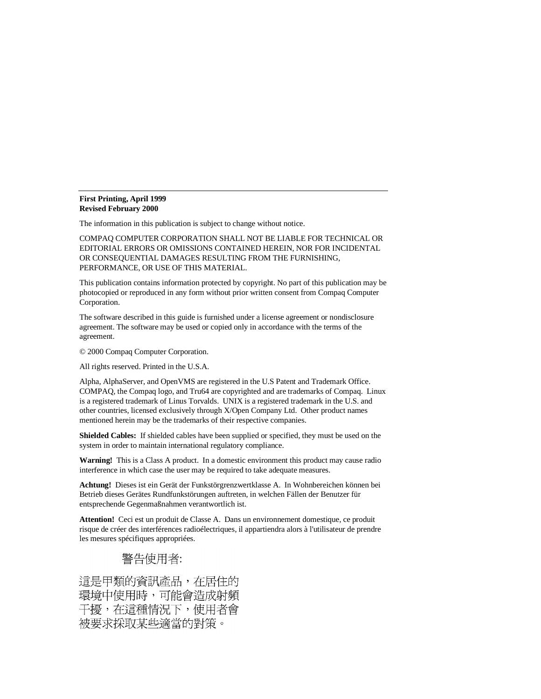#### **First Printing, April 1999 Revised February 2000**

The information in this publication is subject to change without notice.

COMPAQ COMPUTER CORPORATION SHALL NOT BE LIABLE FOR TECHNICAL OR EDITORIAL ERRORS OR OMISSIONS CONTAINED HEREIN, NOR FOR INCIDENTAL OR CONSEQUENTIAL DAMAGES RESULTING FROM THE FURNISHING, PERFORMANCE, OR USE OF THIS MATERIAL.

This publication contains information protected by copyright. No part of this publication may be photocopied or reproduced in any form without prior written consent from Compaq Computer Corporation.

The software described in this guide is furnished under a license agreement or nondisclosure agreement. The software may be used or copied only in accordance with the terms of the agreement.

© 2000 Compaq Computer Corporation.

All rights reserved. Printed in the U.S.A.

Alpha, AlphaServer, and OpenVMS are registered in the U.S Patent and Trademark Office. COMPAQ, the Compaq logo, and Tru64 are copyrighted and are trademarks of Compaq. Linux is a registered trademark of Linus Torvalds. UNIX is a registered trademark in the U.S. and other countries, licensed exclusively through X/Open Company Ltd. Other product names mentioned herein may be the trademarks of their respective companies.

**Shielded Cables:** If shielded cables have been supplied or specified, they must be used on the system in order to maintain international regulatory compliance.

**Warning!** This is a Class A product. In a domestic environment this product may cause radio interference in which case the user may be required to take adequate measures.

**Achtung!** Dieses ist ein Gerät der Funkstörgrenzwertklasse A. In Wohnbereichen können bei Betrieb dieses Gerätes Rundfunkstörungen auftreten, in welchen Fällen der Benutzer für entsprechende Gegenmaßnahmen verantwortlich ist.

**Attention!** Ceci est un produit de Classe A. Dans un environnement domestique, ce produit risque de créer des interférences radioélectriques, il appartiendra alors à l'utilisateur de prendre les mesures spécifiques appropriées.

# 警告使用者:

這是甲類的資訊產品,在居住的 環境中使用時,可能會造成射頻 干擾,在這種情況下,使用者會 被要求採取某些適當的對策。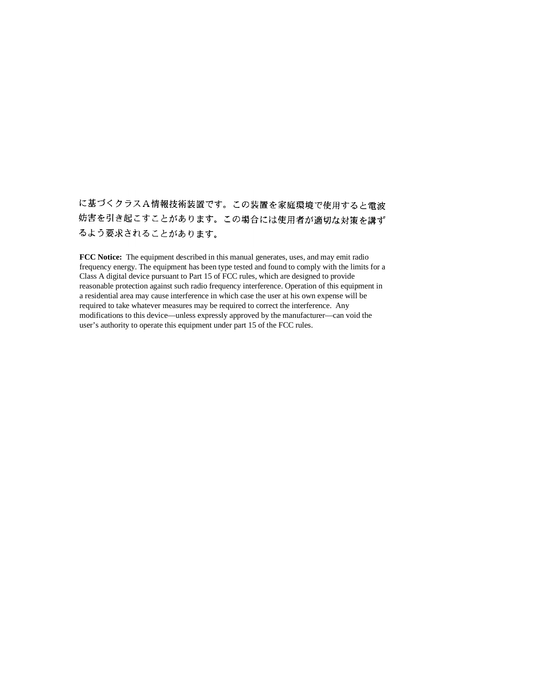に基づくクラスA情報技術装置です。この装置を家庭環境で使用すると電波 妨害を引き起こすことがあります。この場合には使用者が適切な対策を講ず るよう要求されることがあります。

**FCC Notice:** The equipment described in this manual generates, uses, and may emit radio frequency energy. The equipment has been type tested and found to comply with the limits for a Class A digital device pursuant to Part 15 of FCC rules, which are designed to provide reasonable protection against such radio frequency interference. Operation of this equipment in a residential area may cause interference in which case the user at his own expense will be required to take whatever measures may be required to correct the interference. Any modifications to this device—unless expressly approved by the manufacturer—can void the user's authority to operate this equipment under part 15 of the FCC rules.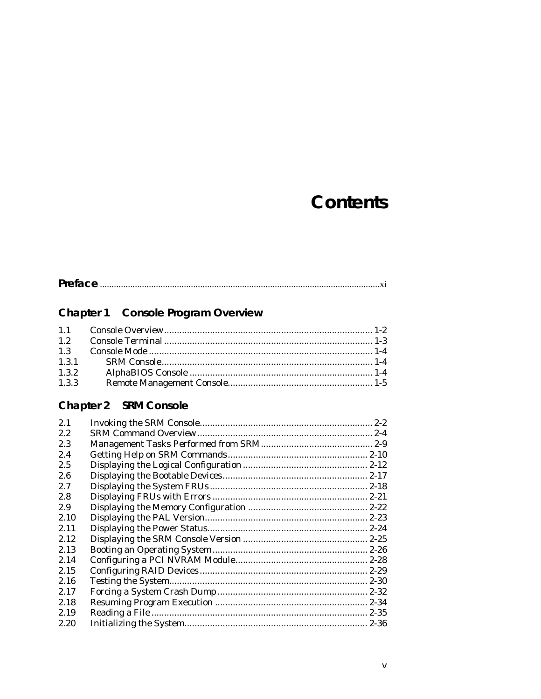# **Contents**

# Chapter 1 Console Program Overview

| 1.3.3 |  |
|-------|--|

# Chapter 2 SRM Console

| 2.1  |  |
|------|--|
| 2.2  |  |
| 2.3  |  |
| 2.4  |  |
| 2.5  |  |
| 2.6  |  |
| 2.7  |  |
| 2.8  |  |
| 2.9  |  |
| 2.10 |  |
| 2.11 |  |
| 2.12 |  |
| 2.13 |  |
| 2.14 |  |
| 2.15 |  |
| 2.16 |  |
| 2.17 |  |
| 2.18 |  |
| 2.19 |  |
| 2.20 |  |
|      |  |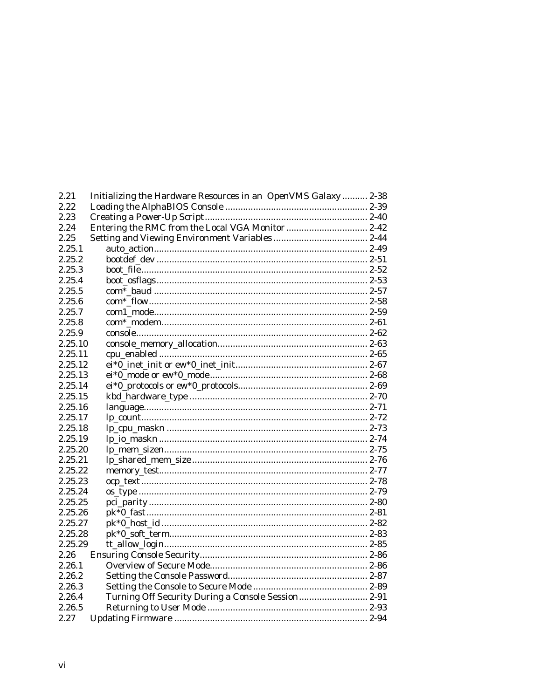| 2.21    | Initializing the Hardware Resources in an OpenVMS Galaxy  2-38 |  |
|---------|----------------------------------------------------------------|--|
| 2.22    |                                                                |  |
| 2.23    |                                                                |  |
| 2.24    |                                                                |  |
| 2.25    |                                                                |  |
| 2.25.1  |                                                                |  |
| 2.25.2  |                                                                |  |
| 2.25.3  |                                                                |  |
| 2.25.4  |                                                                |  |
| 2.25.5  |                                                                |  |
| 2.25.6  |                                                                |  |
| 2.25.7  |                                                                |  |
| 2.25.8  |                                                                |  |
| 2.25.9  |                                                                |  |
| 2.25.10 |                                                                |  |
| 2.25.11 |                                                                |  |
| 2.25.12 |                                                                |  |
| 2.25.13 |                                                                |  |
| 2.25.14 |                                                                |  |
| 2.25.15 |                                                                |  |
| 2.25.16 |                                                                |  |
| 2.25.17 |                                                                |  |
| 2.25.18 |                                                                |  |
| 2.25.19 |                                                                |  |
| 2.25.20 |                                                                |  |
| 2.25.21 |                                                                |  |
| 2.25.22 |                                                                |  |
| 2.25.23 |                                                                |  |
| 2.25.24 |                                                                |  |
| 2.25.25 |                                                                |  |
| 2.25.26 |                                                                |  |
| 2.25.27 |                                                                |  |
| 2.25.28 |                                                                |  |
| 2.25.29 |                                                                |  |
| 2.26    |                                                                |  |
| 2.26.1  |                                                                |  |
| 2.26.2  |                                                                |  |
| 2.26.3  |                                                                |  |
| 2.26.4  | Turning Off Security During a Console Session 2-91             |  |
| 2.26.5  |                                                                |  |
| 2.27    |                                                                |  |
|         |                                                                |  |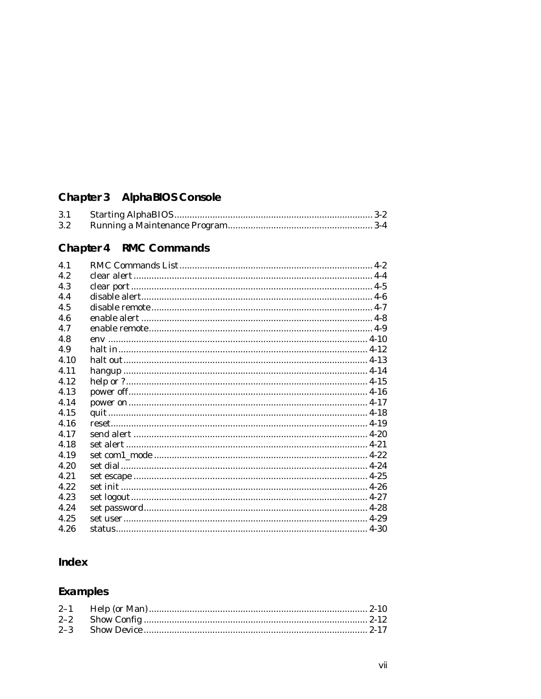# Chapter 3 AlphaBIOS Console

| 3.1              |  |  |
|------------------|--|--|
| $3.2\phantom{0}$ |  |  |

# Chapter 4 RMC Commands

| 4.1  |  |
|------|--|
| 4.2  |  |
| 4.3  |  |
| 4.4  |  |
| 4.5  |  |
| 4.6  |  |
| 4.7  |  |
| 4.8  |  |
| 4.9  |  |
| 4.10 |  |
| 4.11 |  |
| 4.12 |  |
| 4.13 |  |
| 4.14 |  |
| 4.15 |  |
| 4.16 |  |
| 4.17 |  |
| 4.18 |  |
| 4.19 |  |
| 4.20 |  |
| 4.21 |  |
| 4.22 |  |
| 4.23 |  |
| 4.24 |  |
| 4.25 |  |
| 4.26 |  |
|      |  |

# Index

# Examples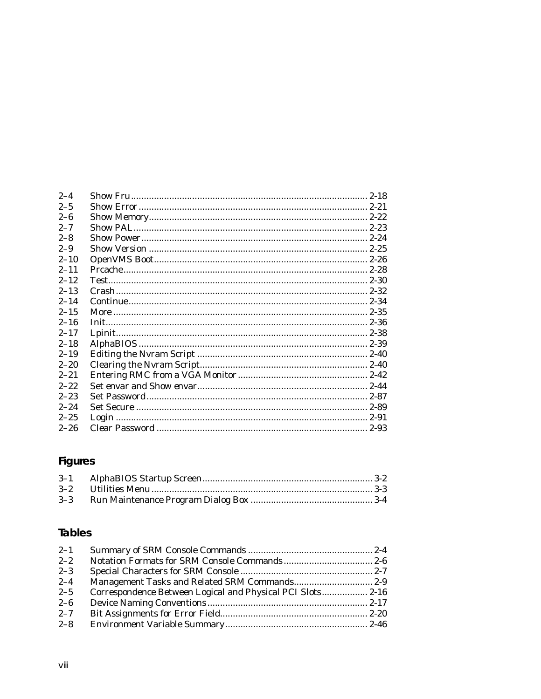| $2 - 4$  |  |
|----------|--|
| $2 - 5$  |  |
| $2 - 6$  |  |
| $2 - 7$  |  |
| $2 - 8$  |  |
| $2 - 9$  |  |
| $2 - 10$ |  |
| $2 - 11$ |  |
| $2 - 12$ |  |
| $2 - 13$ |  |
| $2 - 14$ |  |
| $2 - 15$ |  |
| $2 - 16$ |  |
| $2 - 17$ |  |
| $2 - 18$ |  |
| $2 - 19$ |  |
| $2 - 20$ |  |
| $2 - 21$ |  |
| $2 - 22$ |  |
| $2 - 23$ |  |
| $2 - 24$ |  |
| $2 - 25$ |  |
| $2 - 26$ |  |

# Figures

# **Tables**

| $2 - 1$ |                                                            |  |
|---------|------------------------------------------------------------|--|
| $2 - 2$ |                                                            |  |
| $2 - 3$ |                                                            |  |
| $2 - 4$ |                                                            |  |
| $2 - 5$ | Correspondence Between Logical and Physical PCI Slots 2-16 |  |
| $2 - 6$ |                                                            |  |
| $2 - 7$ |                                                            |  |
| $2 - 8$ |                                                            |  |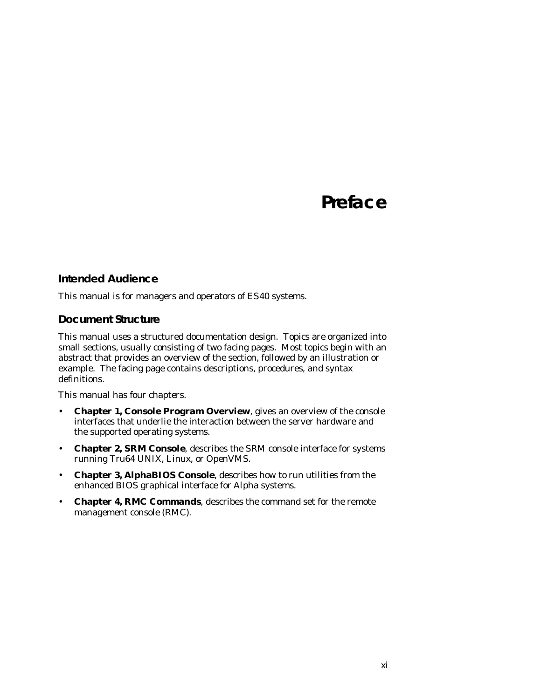# **Preface**

#### **Intended Audience**

This manual is for managers and operators of *ES40* systems.

#### **Document Structure**

This manual uses a structured documentation design. Topics are organized into small sections, usually consisting of two facing pages. Most topics begin with an abstract that provides an overview of the section, followed by an illustration or example. The facing page contains descriptions, procedures, and syntax definitions.

This manual has four chapters.

- **Chapter 1, Console Program Overview**, gives an overview of the console interfaces that underlie the interaction between the server hardware and the supported operating systems.
- **Chapter 2, SRM Console**, describes the SRM console interface for systems running Tru64 UNIX, Linux, or OpenVMS.
- **Chapter 3, AlphaBIOS Console**, describes how to run utilities from the enhanced BIOS graphical interface for *Alpha* systems.
- **Chapter 4, RMC Commands**, describes the command set for the remote management console (RMC).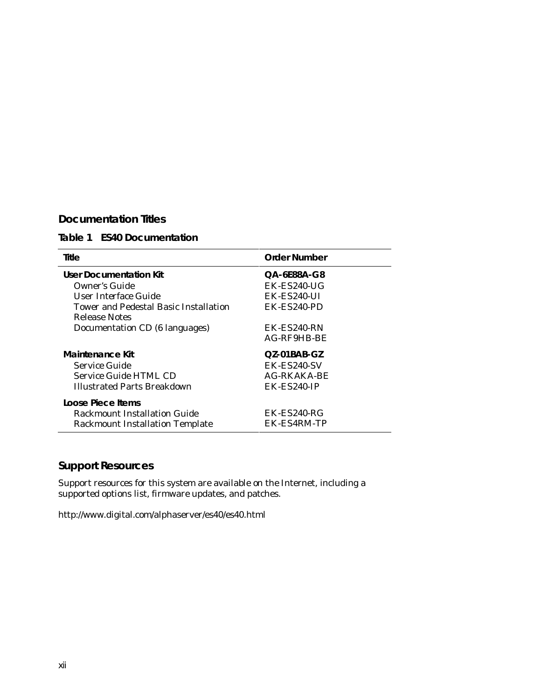## **Documentation Titles**

## **Table 1 ES40 Documentation**

| Title                                  | <b>Order Number</b> |  |
|----------------------------------------|---------------------|--|
| User Documentation Kit                 | QA-6E88A-G8         |  |
| Owner's Guide                          | $EK$ - $ES$ 240-UG  |  |
| User Interface Guide                   | EK-ES240-UI         |  |
| Tower and Pedestal Basic Installation  | EK-ES240-PD         |  |
| Release Notes                          |                     |  |
| Documentation CD (6 languages)         | EK-ES240-RN         |  |
|                                        | AG-RF9HB-BE         |  |
| Maintenance Kit                        | $QZ-01BAB-GZ$       |  |
| Service Guide                          | EK-ES240-SV         |  |
| Service Guide HTML CD                  | AG-RKAKA-BE         |  |
| <b>Illustrated Parts Breakdown</b>     | EK-ES240-IP         |  |
| Loose Piece Items                      |                     |  |
| Rackmount Installation Guide           | EK-ES240-RG         |  |
| <b>Rackmount Installation Template</b> | EK-ES4RM-TP         |  |

## **Support Resources**

Support resources for this system are available on the Internet, including a supported options list, firmware updates, and patches.

http://www.digital.com/alphaserver/es40/es40.html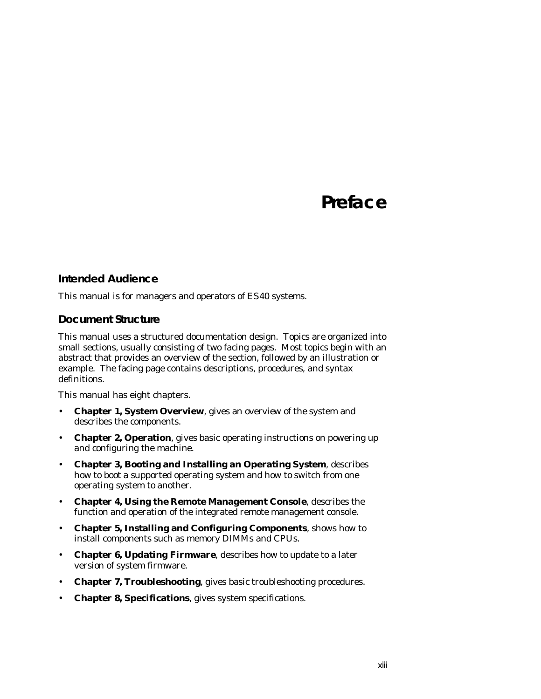# **Preface**

#### **Intended Audience**

This manual is for managers and operators of *ES40* systems.

#### **Document Structure**

This manual uses a structured documentation design. Topics are organized into small sections, usually consisting of two facing pages. Most topics begin with an abstract that provides an overview of the section, followed by an illustration or example. The facing page contains descriptions, procedures, and syntax definitions.

This manual has eight chapters.

- **Chapter 1, System Overview**, gives an overview of the system and describes the components.
- **Chapter 2, Operation**, gives basic operating instructions on powering up and configuring the machine.
- **Chapter 3, Booting and Installing an Operating System**, describes how to boot a supported operating system and how to switch from one operating system to another.
- **Chapter 4, Using the Remote Management Console**, describes the function and operation of the integrated remote management console.
- **Chapter 5, Installing and Configuring Components**, shows how to install components such as memory DIMMs and CPUs.
- **Chapter 6, Updating Firmware**, describes how to update to a later version of system firmware.
- **Chapter 7, Troubleshooting**, gives basic troubleshooting procedures.
- **Chapter 8, Specifications**, gives system specifications.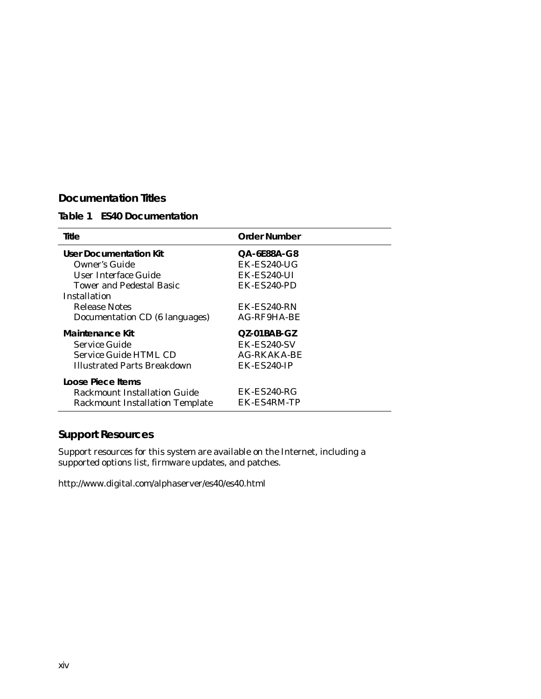### **Documentation Titles**

#### **Table 1 ES40 Documentation**

| Title                                  | <b>Order Number</b>   |
|----------------------------------------|-----------------------|
| <b>User Documentation Kit</b>          | QA-6E88A-G8           |
| Owner's Guide                          | $EK$ - $ES$ 240-UG    |
| User Interface Guide                   | $EK$ - $ES240$ -UI    |
| Tower and Pedestal Basic               | $EK$ - $ES240$ - $PD$ |
| Installation                           |                       |
| Release Notes                          | EK-ES240-RN           |
| Documentation CD (6 languages)         | AG-RF9HA-BE           |
| Maintenance Kit                        | $QZ-01BAB-GZ$         |
| Service Guide                          | EK-ES240-SV           |
| Service Guide HTML CD                  | AG-RKAKA-BE           |
| Illustrated Parts Breakdown            | <b>EK-ES240-IP</b>    |
| Loose Piece Items                      |                       |
| Rackmount Installation Guide           | $EK$ - $ES$ 240- $RG$ |
| <b>Rackmount Installation Template</b> | EK-ES4RM-TP           |

## **Support Resources**

Support resources for this system are available on the Internet, including a supported options list, firmware updates, and patches.

http://www.digital.com/alphaserver/es40/es40.html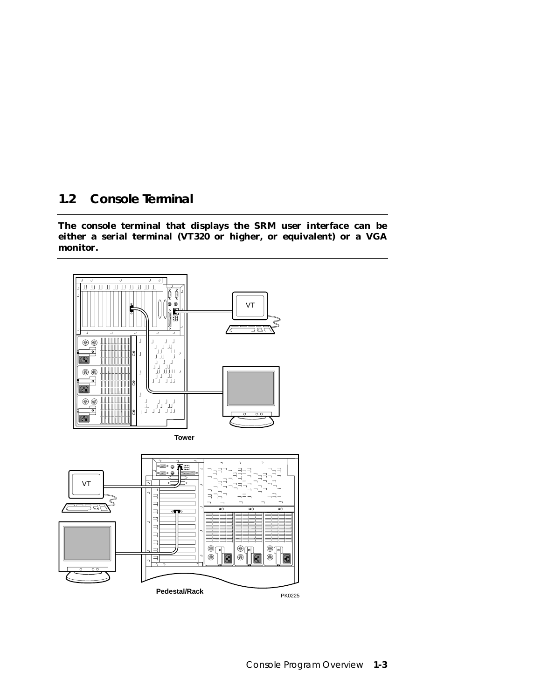## **1.2 Console Terminal**

**The console terminal that displays the SRM user interface can be either a serial terminal (VT320 or higher, or equivalent) or a VGA monitor.**

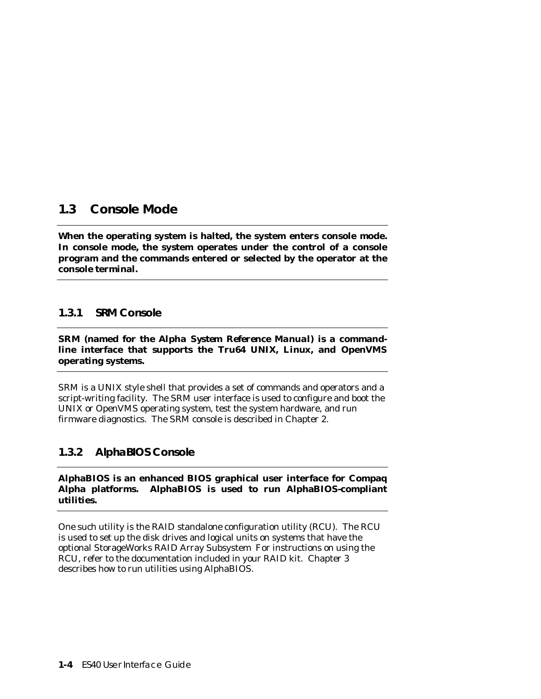## **1.3 Console Mode**

**When the operating system is halted, the system enters console mode. In console mode, the system operates under the control of a console program and the commands entered or selected by the operator at the console terminal.**

## **1.3.1 SRM Console**

**SRM (named for the** *Alpha System Reference Manual***) is a commandline interface that supports the Tru64 UNIX, Linux, and OpenVMS operating systems.**

SRM is a UNIX style shell that provides a set of commands and operators and a script-writing facility. The SRM user interface is used to configure and boot the UNIX or OpenVMS operating system, test the system hardware, and run firmware diagnostics. The SRM console is described in Chapter 2.

## **1.3.2 AlphaBIOS Console**

**AlphaBIOS is an enhanced BIOS graphical user interface for Compaq Alpha platforms. AlphaBIOS is used to run AlphaBIOS-compliant utilities.**

One such utility is the RAID standalone configuration utility (RCU). The RCU is used to set up the disk drives and logical units on systems that have the optional StorageWorks RAID Array Subsystem For instructions on using the RCU, refer to the documentation included in your RAID kit. Chapter 3 describes how to run utilities using AlphaBIOS.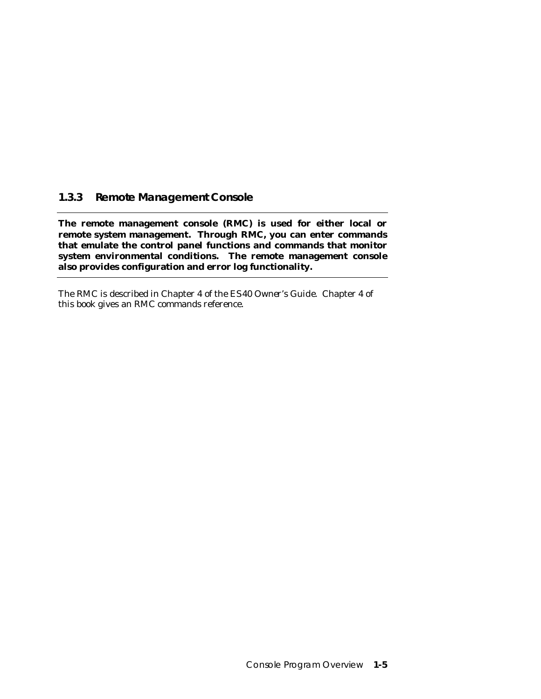## **1.3.3 Remote Management Console**

**The remote management console (RMC) is used for either local or remote system management. Through RMC, you can enter commands that emulate the control panel functions and commands that monitor system environmental conditions. The remote management console also provides configuration and error log functionality.**

The RMC is described in Chapter 4 of the *ES40 Owner's Guide*. Chapter 4 of this book gives an RMC commands reference.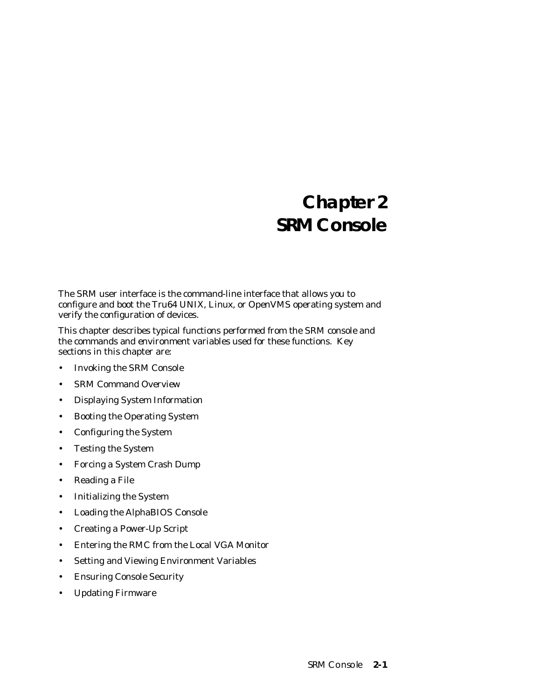# **Chapter 2 SRM Console**

The SRM user interface is the command-line interface that allows you to configure and boot the Tru64 UNIX, Linux, or OpenVMS operating system and verify the configuration of devices.

This chapter describes typical functions performed from the SRM console and the commands and environment variables used for these functions. Key sections in this chapter are:

- Invoking the SRM Console
- SRM Command Overview
- Displaying System Information
- Booting the Operating System
- Configuring the System
- Testing the System
- Forcing a System Crash Dump
- Reading a File
- Initializing the System
- Loading the AlphaBIOS Console
- Creating a Power-Up Script
- Entering the RMC from the Local VGA Monitor
- Setting and Viewing Environment Variables
- Ensuring Console Security
- Updating Firmware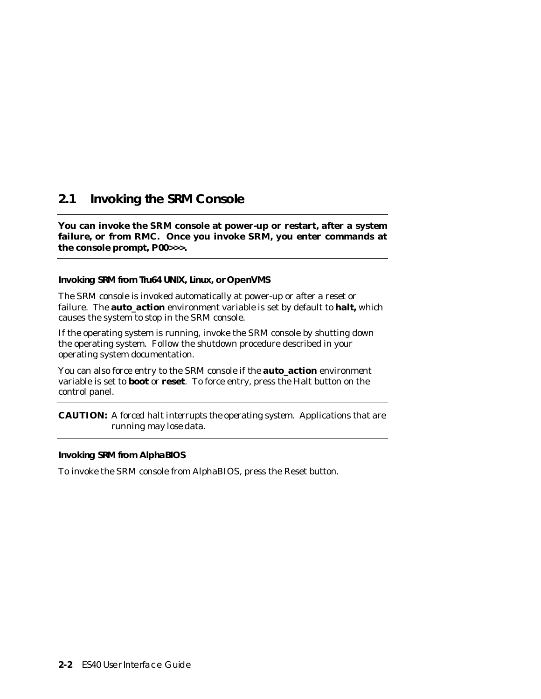## **2.1 Invoking the SRM Console**

**You can invoke the SRM console at power-up or restart, after a system failure, or from RMC. Once you invoke SRM, you enter commands at the console prompt, P00>>>.**

**Invoking SRM from Tru64 UNIX, Linux, or OpenVMS**

The SRM console is invoked automatically at power-up or after a reset or failure. The **auto\_action** environment variable is set by default to **halt,** which causes the system to stop in the SRM console.

If the operating system is running, invoke the SRM console by shutting down the operating system. Follow the shutdown procedure described in your operating system documentation.

You can also force entry to the SRM console if the **auto\_action** environment variable is set to **boot** or **reset**. To force entry, press the Halt button on the control panel.

**CAUTION:** *A forced halt interrupts the operating system. Applications that are running may lose data.*

**Invoking SRM from AlphaBIOS**

To invoke the SRM console from AlphaBIOS, press the Reset button.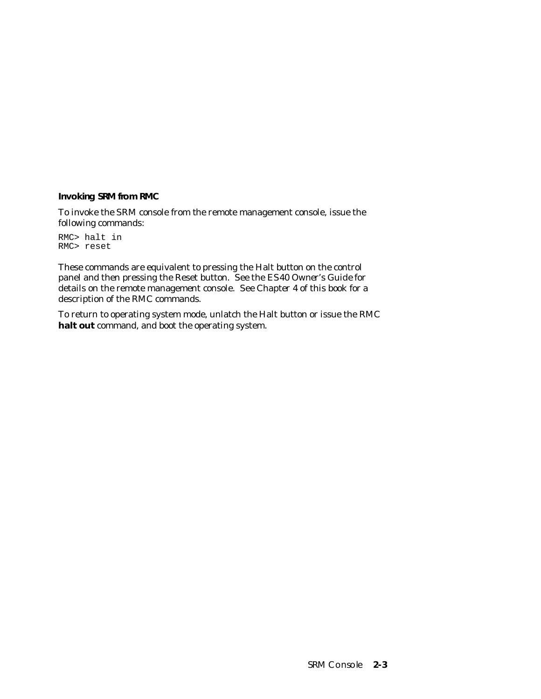**Invoking SRM from RMC**

To invoke the SRM console from the remote management console, issue the following commands:

RMC> halt in RMC> reset

These commands are equivalent to pressing the Halt button on the control panel and then pressing the Reset button. See the *ES40 Owner's Guide* for details on the remote management console. See Chapter 4 of this book for a description of the RMC commands.

To return to operating system mode, unlatch the Halt button or issue the RMC **halt out** command, and boot the operating system.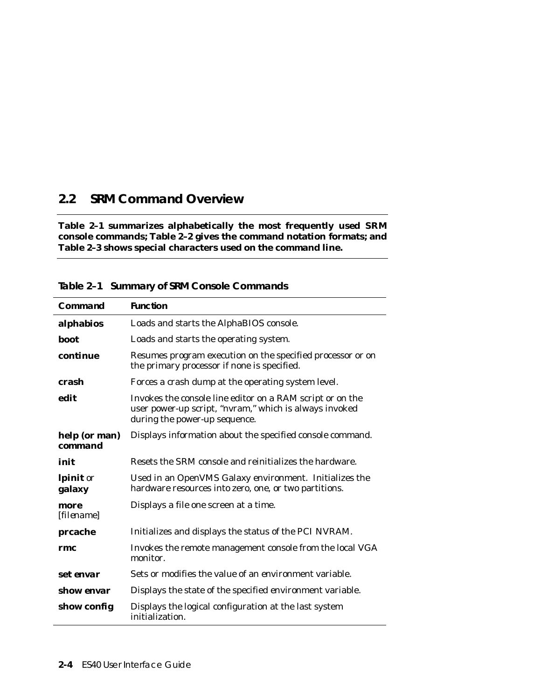## **2.2 SRM Command Overview**

**Table 2–1 summarizes alphabetically the most frequently used SRM console commands; Table 2–2 gives the command notation formats; and Table 2–3 shows special characters used on the command line.**

| Command                                | <b>Function</b>                                                                                                                                      |
|----------------------------------------|------------------------------------------------------------------------------------------------------------------------------------------------------|
| alphabios                              | Loads and starts the AlphaBIOS console.                                                                                                              |
| <b>boot</b>                            | Loads and starts the operating system.                                                                                                               |
| continue                               | Resumes program execution on the specified processor or on<br>the primary processor if none is specified.                                            |
| crash                                  | Forces a crash dump at the operating system level.                                                                                                   |
| edit                                   | Invokes the console line editor on a RAM script or on the<br>user power-up script, "nvram," which is always invoked<br>during the power-up sequence. |
| help (or man)<br><b><i>command</i></b> | Displays information about the specified console command.                                                                                            |
| init                                   | Resets the SRM console and reinitializes the hardware.                                                                                               |
| <b>lpinit</b> or<br>galaxy             | Used in an OpenVMS Galaxy environment. Initializes the<br>hardware resources into zero, one, or two partitions.                                      |
| more<br>[ <i>filename</i> ]            | Displays a file one screen at a time.                                                                                                                |
| prcache                                | Initializes and displays the status of the PCI NVRAM.                                                                                                |
| rmc                                    | Invokes the remote management console from the local VGA<br>monitor.                                                                                 |
| set envar                              | Sets or modifies the value of an environment variable.                                                                                               |
| show <i>envar</i>                      | Displays the state of the specified environment variable.                                                                                            |
| show config                            | Displays the logical configuration at the last system<br>initialization.                                                                             |

**Table 2–1 Summary of SRM Console Commands**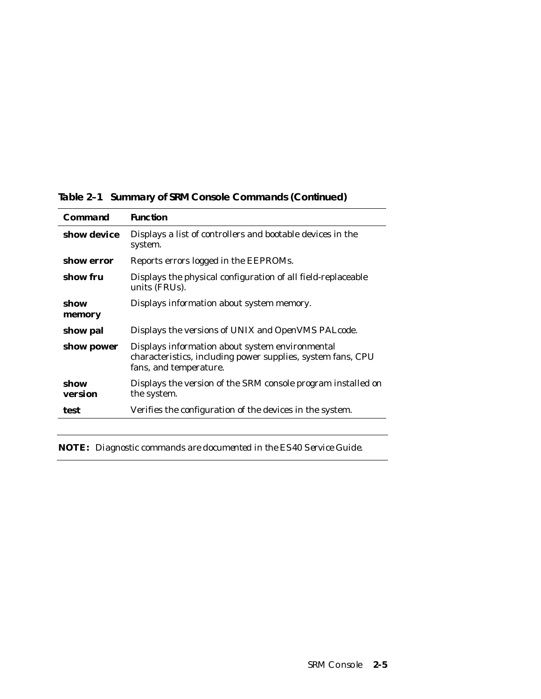| Command         | <b>Function</b>                                                                                                                          |
|-----------------|------------------------------------------------------------------------------------------------------------------------------------------|
| show device     | Displays a list of controllers and bootable devices in the<br>system.                                                                    |
| show error      | Reports errors logged in the EEPROMs.                                                                                                    |
| show fru        | Displays the physical configuration of all field-replaceable<br>units (FRUs).                                                            |
| show<br>memory  | Displays information about system memory.                                                                                                |
| show pal        | Displays the versions of UNIX and OpenVMS PALcode.                                                                                       |
| show power      | Displays information about system environmental<br>characteristics, including power supplies, system fans, CPU<br>fans, and temperature. |
| show<br>version | Displays the version of the SRM console program installed on<br>the system.                                                              |
| test            | Verifies the configuration of the devices in the system.                                                                                 |

**Table 2–1 Summary of SRM Console Commands (Continued)**

**NOTE:** *Diagnostic commands are documented in the ES40 Service Guide.*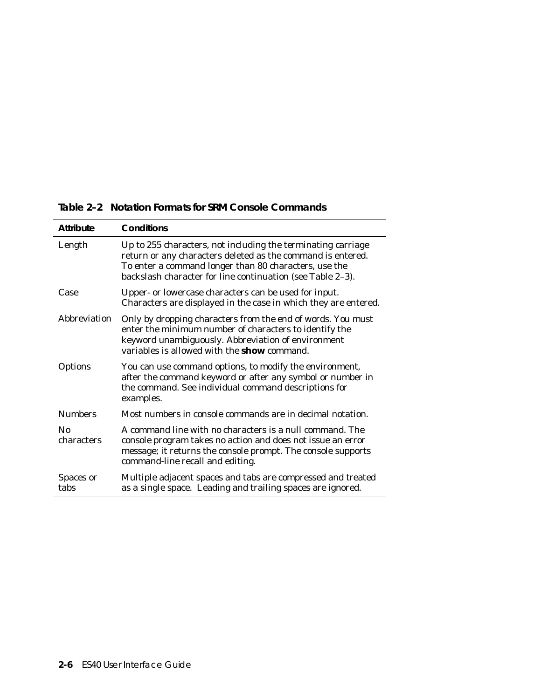| <b>Attribute</b>       | Conditions                                                                                                                                                                                                                                         |
|------------------------|----------------------------------------------------------------------------------------------------------------------------------------------------------------------------------------------------------------------------------------------------|
| Length                 | Up to 255 characters, not including the terminating carriage<br>return or any characters deleted as the command is entered.<br>To enter a command longer than 80 characters, use the<br>backslash character for line continuation (see Table 2-3). |
| Case                   | Upper- or lowercase characters can be used for input.<br>Characters are displayed in the case in which they are entered.                                                                                                                           |
| Abbreviation           | Only by dropping characters from the end of words. You must<br>enter the minimum number of characters to identify the<br>keyword unambiguously. Abbreviation of environment<br>variables is allowed with the <b>show</b> command.                  |
| Options                | You can use command options, to modify the environment,<br>after the command keyword or after any symbol or number in<br>the command. See individual command descriptions for<br>examples.                                                         |
| <b>Numbers</b>         | Most numbers in console commands are in decimal notation.                                                                                                                                                                                          |
| $\rm No$<br>characters | A command line with no characters is a null command. The<br>console program takes no action and does not issue an error<br>message; it returns the console prompt. The console supports<br>command-line recall and editing.                        |
| Spaces or<br>tabs      | Multiple adjacent spaces and tabs are compressed and treated<br>as a single space. Leading and trailing spaces are ignored.                                                                                                                        |

**Table 2–2 Notation Formats for SRM Console Commands**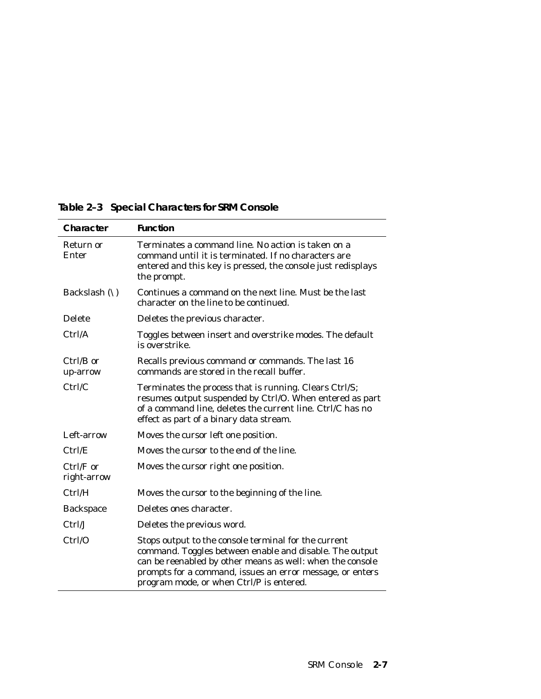| Character                | <b>Function</b>                                                                                                                                                                                                                                                                       |
|--------------------------|---------------------------------------------------------------------------------------------------------------------------------------------------------------------------------------------------------------------------------------------------------------------------------------|
| Return or<br>Enter       | Terminates a command line. No action is taken on a<br>command until it is terminated. If no characters are<br>entered and this key is pressed, the console just redisplays<br>the prompt.                                                                                             |
| Backslash $(\setminus)$  | Continues a command on the next line. Must be the last<br>character on the line to be continued.                                                                                                                                                                                      |
| <b>Delete</b>            | Deletes the previous character.                                                                                                                                                                                                                                                       |
| Ctrl/A                   | Toggles between insert and overstrike modes. The default<br>is overstrike.                                                                                                                                                                                                            |
| $Ctrl/B$ or<br>up-arrow  | Recalls previous command or commands. The last 16<br>commands are stored in the recall buffer.                                                                                                                                                                                        |
| Ctrl/C                   | Terminates the process that is running. Clears Ctrl/S;<br>resumes output suspended by Ctrl/O. When entered as part<br>of a command line, deletes the current line. Ctrl/C has no<br>effect as part of a binary data stream.                                                           |
| Left-arrow               | Moves the cursor left one position.                                                                                                                                                                                                                                                   |
| Ctrl/E                   | Moves the cursor to the end of the line.                                                                                                                                                                                                                                              |
| Ctrl/F or<br>right-arrow | Moves the cursor right one position.                                                                                                                                                                                                                                                  |
| Ctrl/H                   | Moves the cursor to the beginning of the line.                                                                                                                                                                                                                                        |
| <b>Backspace</b>         | Deletes ones character.                                                                                                                                                                                                                                                               |
| Ctrl/J                   | Deletes the previous word.                                                                                                                                                                                                                                                            |
| Ctrl/O                   | Stops output to the console terminal for the current<br>command. Toggles between enable and disable. The output<br>can be reenabled by other means as well: when the console<br>prompts for a command, issues an error message, or enters<br>program mode, or when Ctrl/P is entered. |

**Table 2–3 Special Characters for SRM Console**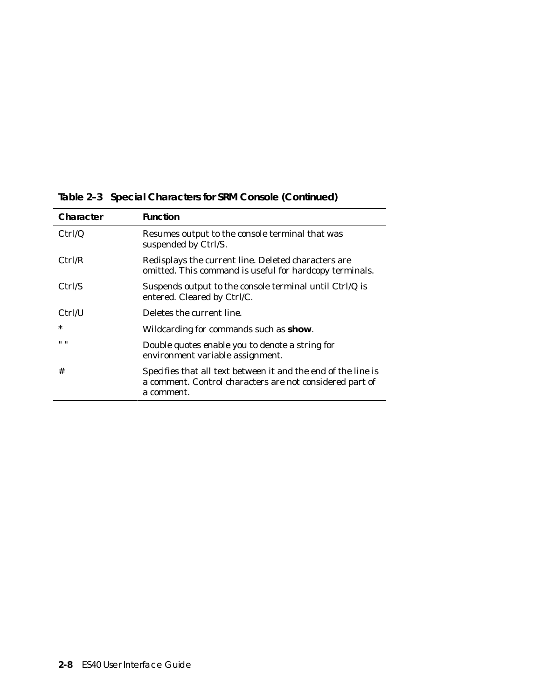| Character | <b>Function</b>                                                                                                                         |
|-----------|-----------------------------------------------------------------------------------------------------------------------------------------|
| Ctrl/Q    | Resumes output to the console terminal that was<br>suspended by Ctrl/S.                                                                 |
| Ctrl/R    | Redisplays the current line. Deleted characters are<br>omitted. This command is useful for hardcopy terminals.                          |
| Ctrl/S    | Suspends output to the console terminal until Ctrl/Q is<br>entered. Cleared by Ctrl/C.                                                  |
| Ctrl/U    | Deletes the current line.                                                                                                               |
| $\ast$    | Wildcarding for commands such as show.                                                                                                  |
| $11 - 11$ | Double quotes enable you to denote a string for<br>environment variable assignment.                                                     |
| #         | Specifies that all text between it and the end of the line is<br>a comment. Control characters are not considered part of<br>a comment. |

**Table 2–3 Special Characters for SRM Console (Continued)**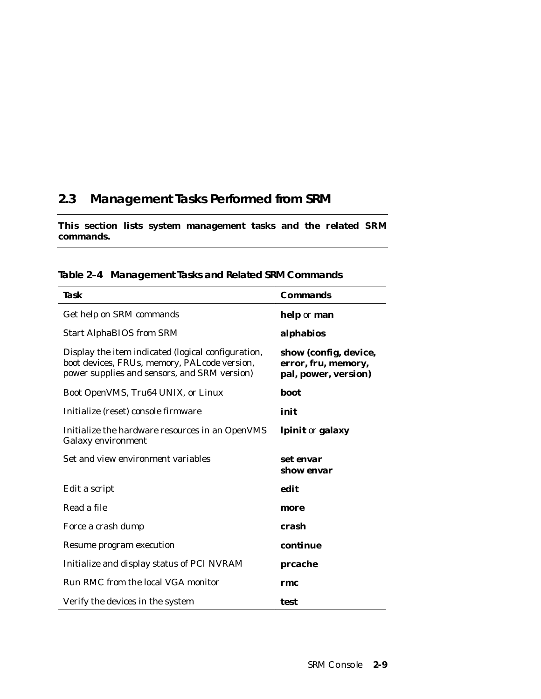# **2.3 Management Tasks Performed from SRM**

### **This section lists system management tasks and the related SRM commands.**

| Task                                                                                                                                               | Commands                                                             |
|----------------------------------------------------------------------------------------------------------------------------------------------------|----------------------------------------------------------------------|
| Get help on SRM commands                                                                                                                           | help or man                                                          |
| <b>Start AlphaBIOS from SRM</b>                                                                                                                    | alphabios                                                            |
| Display the item indicated (logical configuration,<br>boot devices, FRUs, memory, PALcode version,<br>power supplies and sensors, and SRM version) | show (config, device,<br>error, fru, memory,<br>pal, power, version) |
| Boot OpenVMS, Tru64 UNIX, or Linux                                                                                                                 | boot                                                                 |
| Initialize (reset) console firmware                                                                                                                | init                                                                 |
| Initialize the hardware resources in an OpenVMS<br><b>Galaxy environment</b>                                                                       | lpinit or galaxy                                                     |
| Set and view environment variables                                                                                                                 | set envar<br>show envar                                              |
| Edit a script                                                                                                                                      | edit                                                                 |
| Read a file                                                                                                                                        | more                                                                 |
| Force a crash dump                                                                                                                                 | crash                                                                |
| Resume program execution                                                                                                                           | continue                                                             |
| Initialize and display status of PCI NVRAM                                                                                                         | prcache                                                              |
| Run RMC from the local VGA monitor                                                                                                                 | rmc                                                                  |
| Verify the devices in the system                                                                                                                   | test                                                                 |

**Table 2–4 Management Tasks and Related SRM Commands**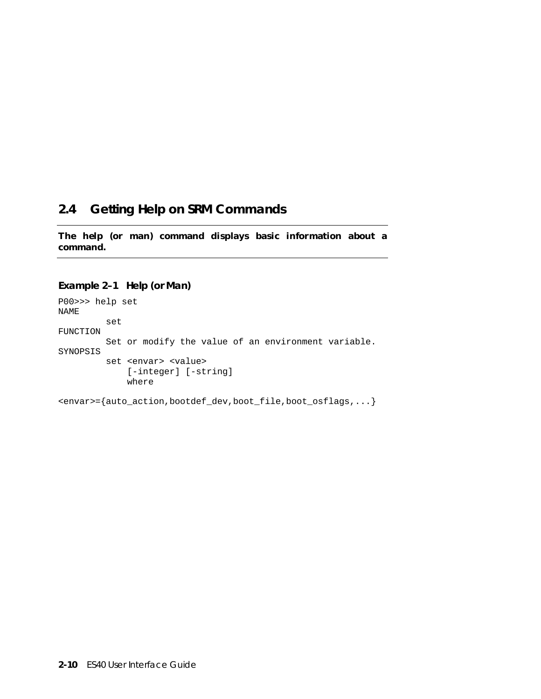# **2.4 Getting Help on SRM Commands**

**The help (or man) command displays basic information about a command.**

#### **Example 2–1 Help (or Man)**

P00>>> help set NAME set FUNCTION Set or modify the value of an environment variable. SYNOPSIS set <envar> <value> [-integer] [-string] where

<envar>={auto\_action,bootdef\_dev,boot\_file,boot\_osflags,...}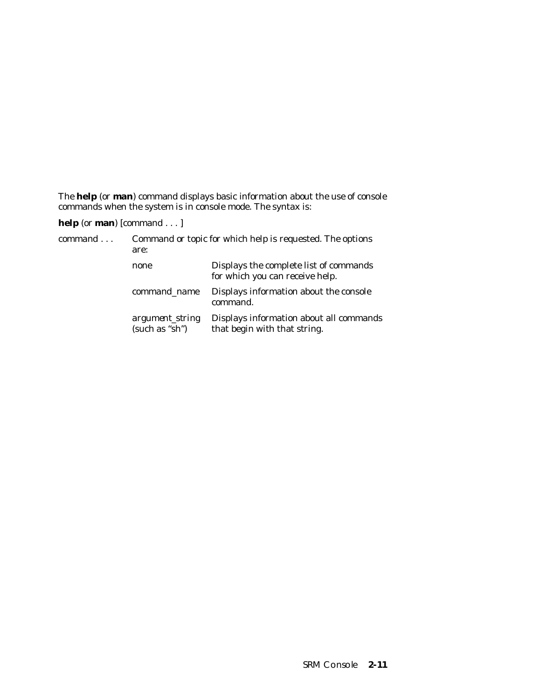The **help** (or **man**) command displays basic information about the use of console commands when the system is in console mode. The syntax is:

**help** (or **man**) [*command . .* . ]

| command | Command or topic for which help is requested. The options<br>are: |                                                                           |  |
|---------|-------------------------------------------------------------------|---------------------------------------------------------------------------|--|
|         | none                                                              | Displays the complete list of commands<br>for which you can receive help. |  |
|         | command name                                                      | Displays information about the console<br>command.                        |  |
|         | argument_string<br>(such as "sh")                                 | Displays information about all commands<br>that begin with that string.   |  |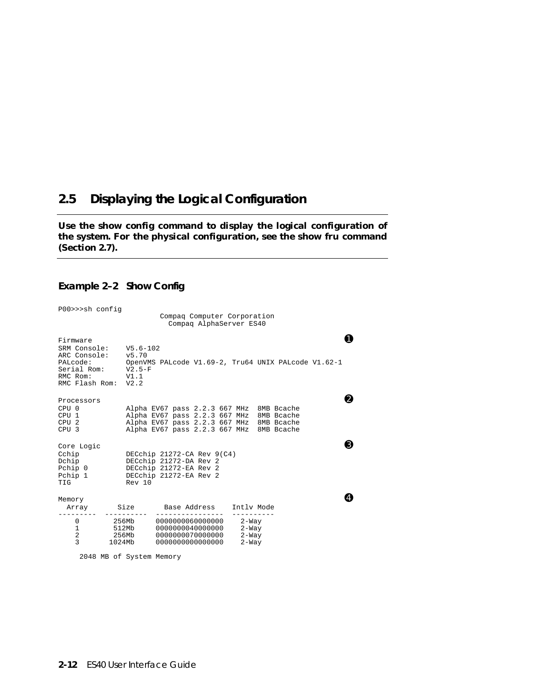## **2.5 Displaying the Logical Configuration**

**Use the show config command to display the logical configuration of the system. For the physical configuration, see the show fru command (Section 2.7).**

#### **Example 2–2 Show Config**

| P00>>>sh config                                                                                                     |                  |                                                                                                                                                                              | Compaq Computer Corporation<br>Compag AlphaServer ES40 |                                        |  |    |
|---------------------------------------------------------------------------------------------------------------------|------------------|------------------------------------------------------------------------------------------------------------------------------------------------------------------------------|--------------------------------------------------------|----------------------------------------|--|----|
| Firmware<br>SRM Console:<br>ARC Console: v5.70<br>PALcode:<br>Serial Rom: V2.5-F<br>RMC Rom:<br>RMC Flash Rom: V2.2 | V5.6-102<br>V1.1 | OpenVMS PALcode V1.69-2, Tru64 UNIX PALcode V1.62-1                                                                                                                          |                                                        |                                        |  |    |
| Processors<br>CPU <sub>0</sub><br>CPU 1<br>CPU <sub>2</sub><br>CPU <sub>3</sub>                                     |                  | Alpha EV67 pass 2.2.3 667 MHz 8MB Bcache<br>Alpha EV67 pass 2.2.3 667 MHz 8MB Bcache<br>Alpha EV67 pass 2.2.3 667 MHz 8MB Bcache<br>Alpha EV67 pass 2.2.3 667 MHz 8MB Bcache |                                                        |                                        |  | 9  |
| Core Logic<br>Cchip<br>Dchip<br>Pchip 0 DECchip 21272-EA Rev 2<br>Pchip 1 DECchip 21272-EA Rev 2<br>TIG             | Rev 10           | DECchip 21272-CA Rev 9(C4)<br>DECchip 21272-DA Rev 2                                                                                                                         |                                                        |                                        |  | B) |
| Memory<br>Array                                                                                                     | Size             | Base Address                                                                                                                                                                 |                                                        | Intly Mode                             |  |    |
| 0<br>1<br>$\overline{a}$<br>3                                                                                       | 1024Mb           | 0000000000000000                                                                                                                                                             |                                                        | 2-Way<br>$2-Way$<br>$2-Way$<br>$2-Way$ |  |    |

2048 MB of System Memory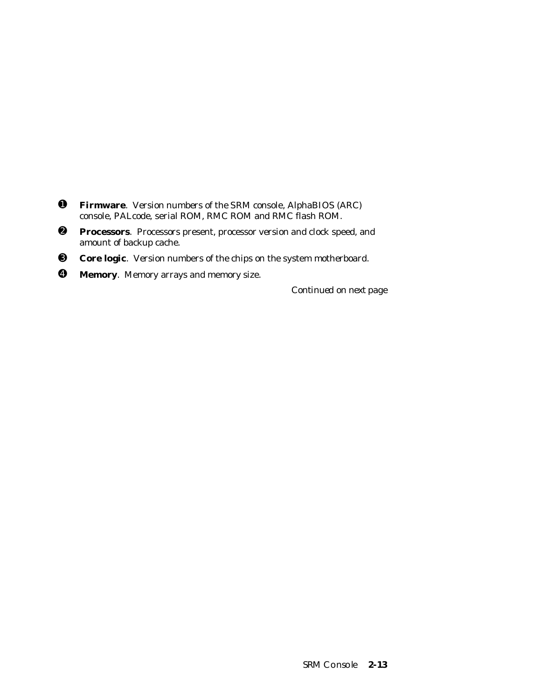- ➊ **Firmware**. Version numbers of the SRM console, AlphaBIOS (ARC) console, PALcode, serial ROM, RMC ROM and RMC flash ROM.
- ➋ **Processors**. Processors present, processor version and clock speed, and amount of backup cache.
- ➌ **Core logic**. Version numbers of the chips on the system motherboard.
- ➍ **Memory**. Memory arrays and memory size.

*Continued on next page*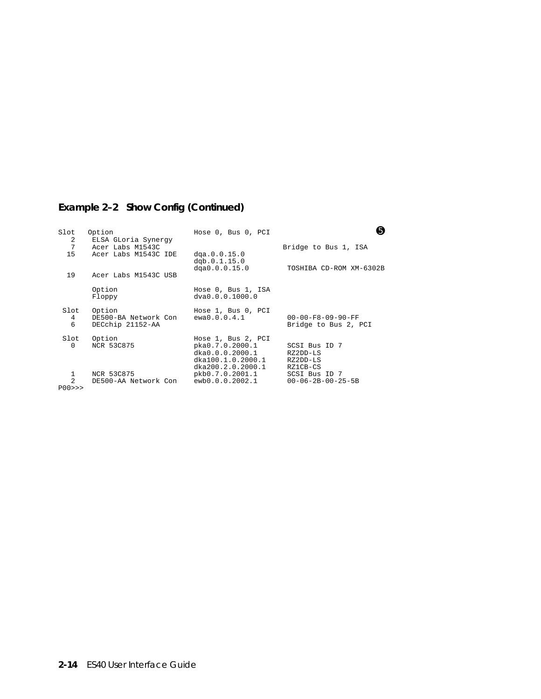## **Example 2–2 Show Config (Continued)**

| Slot<br>2                    | Option<br>ELSA GLoria Synergy                      | Hose 0, Bus 0, PCI                                                                                 | 6                                                     |
|------------------------------|----------------------------------------------------|----------------------------------------------------------------------------------------------------|-------------------------------------------------------|
| 7<br>15                      | Acer Labs M1543C<br>Acer Labs M1543C IDE           | dqa.0.0.15.0<br>dqb.0.1.15.0                                                                       | Bridge to Bus 1, ISA                                  |
| 19                           | Acer Labs M1543C USB                               | dqa0.0.0.15.0                                                                                      | TOSHIBA CD-ROM XM-6302B                               |
|                              | Option<br>Floppy                                   | Hose 0, Bus 1, ISA<br>dva0.0.0.1000.0                                                              |                                                       |
| Slot<br>4<br>6               | Option<br>DE500-BA Network Con<br>DECchip 21152-AA | Hose 1, Bus 0, PCI<br>ewa0.0.0.4.1                                                                 | $00 - 00 - F8 - 09 - 90 - FF$<br>Bridge to Bus 2, PCI |
| Slot<br>0                    | Option<br>NCR 53C875                               | Hose 1, Bus 2, PCI<br>pka0.7.0.2000.1<br>dka0.0.0.2000.1<br>dka100.1.0.2000.1<br>dka200.2.0.2000.1 | SCSI Bus ID 7<br>RZ2DD-LS<br>RZ2DD-LS<br>RZ1CB-CS     |
| 1<br>$\overline{2}$<br>POO>> | NCR 53C875<br>DE500-AA Network Con                 | pkb0.7.0.2001.1 SCSI Bus ID 7<br>ewb0.0.0.2002.1                                                   | $00 - 06 - 2B - 00 - 25 - 5B$                         |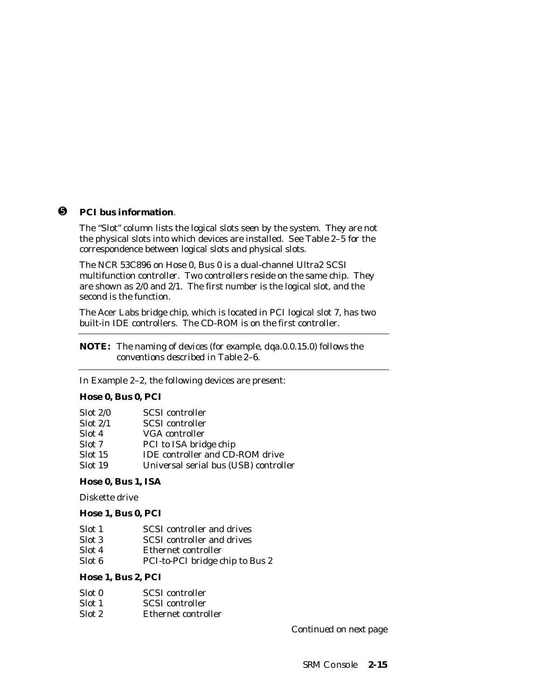#### ➎ **PCI bus information**.

The "Slot" column lists the logical slots seen by the system. They are not the physical slots into which devices are installed. See Table 2–5 for the correspondence between logical slots and physical slots.

The NCR 53C896 on Hose 0, Bus 0 is a dual-channel Ultra2 SCSI multifunction controller. Two controllers reside on the same chip. They are shown as 2/0 and 2/1. The first number is the logical slot, and the second is the function.

The Acer Labs bridge chip, which is located in PCI logical slot 7, has two built-in IDE controllers. The CD-ROM is on the first controller.

**NOTE:** The *naming of devices (for example, dqa.0.0.15.0) follows the conventions described in Table 2–6.*

In Example 2–2, the following devices are present:

#### **Hose 0, Bus 0, PCI**

| Slot 2/0 | <b>SCSI</b> controller                 |
|----------|----------------------------------------|
| Slot 2/1 | <b>SCSI</b> controller                 |
| Slot 4   | VGA controller                         |
| Slot 7   | PCI to ISA bridge chip                 |
| Slot 15  | <b>IDE</b> controller and CD-ROM drive |
| Slot 19  | Universal serial bus (USB) controller  |

#### **Hose 0, Bus 1, ISA**

Diskette drive

#### **Hose 1, Bus 0, PCI**

| SCSI controller and drives | Slot 1 |  |  |
|----------------------------|--------|--|--|
|----------------------------|--------|--|--|

- Slot 3 SCSI controller and drives
- Slot 4 Ethernet controller
- Slot 6 PCI-to-PCI bridge chip to Bus 2

#### **Hose 1, Bus 2, PCI**

| Slot 0 | <b>SCSI</b> controller |
|--------|------------------------|
| Slot 1 | <b>SCSI</b> controller |
| Slot 2 | Ethernet controller    |

*Continued on next page*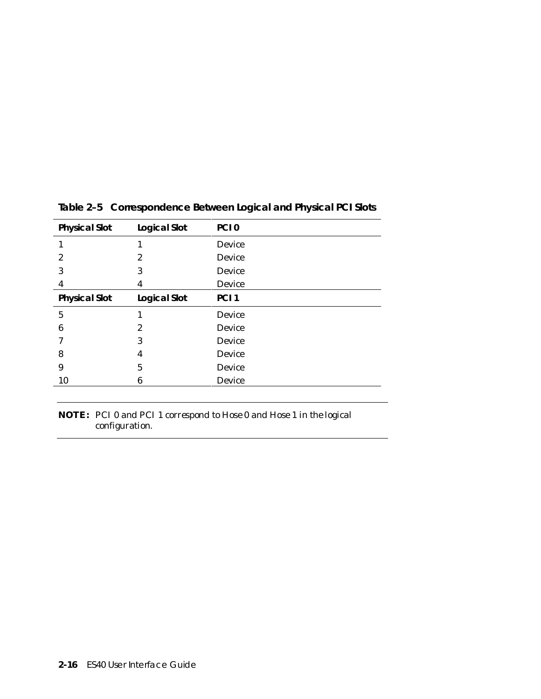| <b>Physical Slot</b> | <b>Logical Slot</b> | PCI <sub>0</sub> |
|----------------------|---------------------|------------------|
|                      |                     | Device           |
| 2                    | 2                   | <b>Device</b>    |
| 3                    | 3                   | <b>Device</b>    |
| 4                    | 4                   | Device           |
| <b>Physical Slot</b> | <b>Logical Slot</b> | PCI <sub>1</sub> |
| 5                    |                     | Device           |
| 6                    | 2                   | Device           |
| 7                    | 3                   | Device           |
| 8                    | 4                   | Device           |
| 9                    | 5                   | <b>Device</b>    |
| 10                   | 6                   | Device           |

**Table 2–5 Correspondence Between Logical and Physical PCI Slots**

**NOTE:** *PCI 0 and PCI 1 correspond to Hose 0 and Hose 1 in the logical configuration.*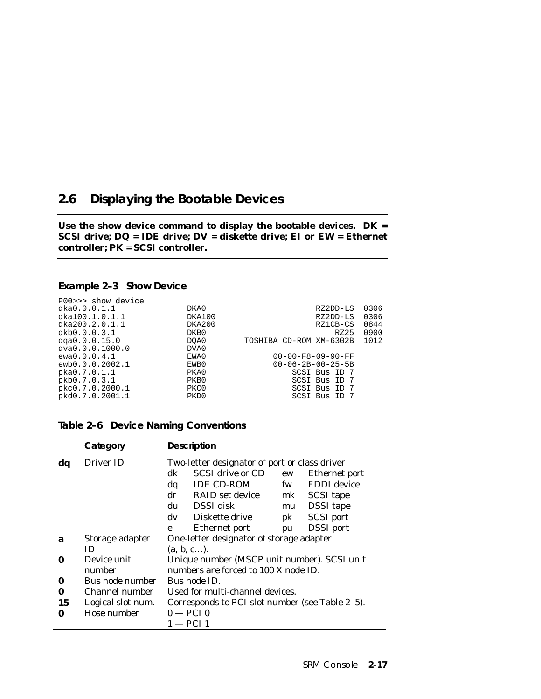## **2.6 Displaying the Bootable Devices**

**Use the show device command to display the bootable devices. DK = SCSI drive; DQ = IDE drive; DV = diskette drive; EI or EW = Ethernet controller; PK = SCSI controller.**

#### **Example 2–3 Show Device**

| P00>>> show device |        |                               |      |
|--------------------|--------|-------------------------------|------|
| dka0.0.0.1.1       | DKA0   | RZ2DD-LS                      | 0306 |
| dka100.1.0.1.1     | DKA100 | RZ2DD-LS                      | 0306 |
| dka200.2.0.1.1     | DKA200 | RZ1CB-CS                      | 0844 |
| dkb0.0.0.3.1       | DKB0   | RZ25                          | 0900 |
| dqa0.0.0.15.0      | DOA0   | TOSHIBA CD-ROM XM-6302B       | 1012 |
| dva0.0.0.1000.0    | DVA0   |                               |      |
| ewa0.0.0.4.1       | EWA0   | $00 - 00 - F8 - 09 - 90 - FF$ |      |
| ewb0.0.0.2002.1    | EWB0   | $00 - 06 - 2B - 00 - 25 - 5B$ |      |
| pka0.7.0.1.1       | PKA0   | SCSI Bus ID 7                 |      |
| pkb0.7.0.3.1       | PKB0   | SCSI Bus ID 7                 |      |
| pkc0.7.0.2000.1    | PKC0   | SCSI Bus ID 7                 |      |
| pkd0.7.0.2001.1    | PKD0   | SCSI Bus ID 7                 |      |
|                    |        |                               |      |

|  |  |  | Table 2-6 Device Naming Conventions |
|--|--|--|-------------------------------------|
|--|--|--|-------------------------------------|

|    | Category          | <b>Description</b>                                                                                                                                                                                                                                                                                                                                                                         |  |  |  |
|----|-------------------|--------------------------------------------------------------------------------------------------------------------------------------------------------------------------------------------------------------------------------------------------------------------------------------------------------------------------------------------------------------------------------------------|--|--|--|
| dq | Driver ID         | Two-letter designator of port or class driver<br><b>SCSI</b> drive or CD<br>dk<br>Ethernet port<br>ew<br>FDDI device<br><b>IDE CD-ROM</b><br>dq<br>fw<br><b>RAID</b> set device<br><b>SCSI</b> tape<br>dr<br>mk<br><b>DSSI</b> disk<br><b>DSSI</b> tape<br>du<br>mu<br>$\mathbf{d}\mathbf{v}$<br>Diskette drive<br><b>SCSI</b> port<br>pk<br><b>DSSI</b> port<br>ei<br>Ethernet port<br>pu |  |  |  |
| a  | Storage adapter   | One-letter designator of storage adapter                                                                                                                                                                                                                                                                                                                                                   |  |  |  |
|    | ID                | (a, b, c).                                                                                                                                                                                                                                                                                                                                                                                 |  |  |  |
| 0  | Device unit       | Unique number (MSCP unit number). SCSI unit                                                                                                                                                                                                                                                                                                                                                |  |  |  |
|    | number            | numbers are forced to 100 X node ID.                                                                                                                                                                                                                                                                                                                                                       |  |  |  |
| 0  | Bus node number   | Bus node ID.                                                                                                                                                                                                                                                                                                                                                                               |  |  |  |
| 0  | Channel number    | Used for multi-channel devices.                                                                                                                                                                                                                                                                                                                                                            |  |  |  |
| 15 | Logical slot num. | Corresponds to PCI slot number (see Table 2-5).                                                                                                                                                                                                                                                                                                                                            |  |  |  |
| 0  | Hose number       | $0 - PCI$ 0                                                                                                                                                                                                                                                                                                                                                                                |  |  |  |
|    |                   | $1 - PCI$ 1                                                                                                                                                                                                                                                                                                                                                                                |  |  |  |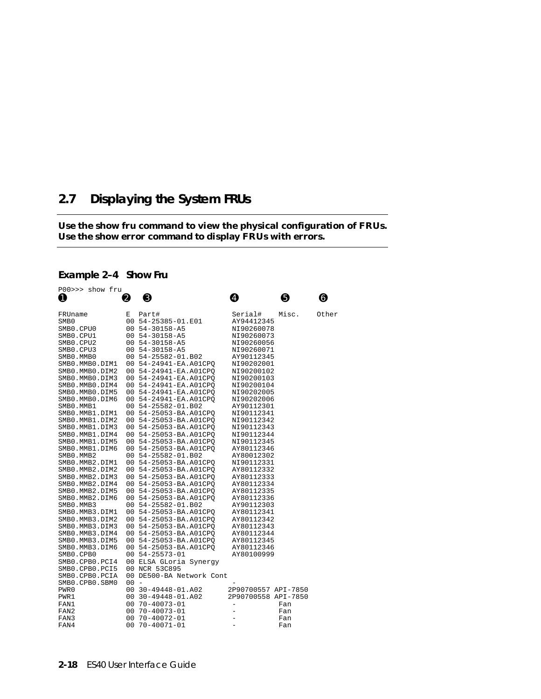# **2.7 Displaying the System FRUs**

#### **Use the show fru command to view the physical configuration of FRUs. Use the show error command to display FRUs with errors.**

### **Example 2–4 Show Fru**

| P00>>> show fru  |        |                          |                     |       |       |
|------------------|--------|--------------------------|---------------------|-------|-------|
| 0                | 0      | ❸                        | ❹                   | ❺     | ❻     |
|                  |        |                          |                     |       |       |
| FRUname          | Е      | Part#                    | Serial#             | Misc. | Other |
| SMB <sub>0</sub> |        | 00 54-25385-01.E01       | AY94412345          |       |       |
| SMB0.CPU0        |        | 00 54-30158-A5           | NI90260078          |       |       |
| SMB0.CPU1        |        | 00 54-30158-A5           | NI90260073          |       |       |
| SMB0.CPU2        |        | 00 54-30158-A5           | NI90260056          |       |       |
| SMB0.CPU3        |        | 00 54-30158-A5           | NI90260071          |       |       |
| SMB0.MMB0        |        | 00 54-25582-01.B02       | AY90112345          |       |       |
| SMB0.MMB0.DIM1   |        | 00 54-24941-EA.A01CPO    | NI90202001          |       |       |
| SMB0.MMB0.DIM2   |        | 00 54-24941-EA.A01CPO    | NI90200102          |       |       |
| SMB0.MMB0.DIM3   |        | 00 54-24941-EA.A01CPO    | NI90200103          |       |       |
| SMB0.MMB0.DIM4   |        | 00 54-24941-EA.A01CPO    | NI90200104          |       |       |
| SMB0.MMB0.DIM5   |        | 00 54-24941-EA.A01CPO    | NI90202005          |       |       |
| SMB0.MMB0.DIM6   |        | 00 54-24941-EA.A01CPO    | NI90202006          |       |       |
| SMB0.MMB1        |        | 00 54-25582-01.B02       | AY90112301          |       |       |
| SMB0.MMB1.DIM1   |        | 00 54-25053-BA.A01CPO    | NI90112341          |       |       |
| SMB0.MMB1.DIM2   |        | 00 54-25053-BA.A01CPQ    | NI90112342          |       |       |
| SMB0.MMB1.DIM3   |        | 00 54-25053-BA.A01CPO    | NI90112343          |       |       |
| SMB0.MMB1.DIM4   |        | 00 54-25053-BA.A01CPO    | NI90112344          |       |       |
| SMB0.MMB1.DIM5   |        | 00 54-25053-BA.A01CPQ    | NI90112345          |       |       |
| SMB0.MMB1.DIM6   |        | 00 54-25053-BA.A01CPO    | AY80112346          |       |       |
| SMB0.MMB2        |        | 00 54-25582-01.B02       | AY80012302          |       |       |
| SMB0.MMB2.DIM1   |        | 00 54-25053-BA.A01CPO    | NI90112331          |       |       |
| SMB0.MMB2.DIM2   |        | 00 54-25053-BA.A01CPO    | AY80112332          |       |       |
| SMB0.MMB2.DIM3   |        | 00 54-25053-BA.A01CPO    | AY80112333          |       |       |
| SMB0.MMB2.DIM4   |        | 00 54-25053-BA.A01CPO    | AY80112334          |       |       |
| SMB0.MMB2.DIM5   |        | 00 54-25053-BA.A01CPQ    | AY80112335          |       |       |
| SMB0.MMB2.DIM6   |        | 00 54-25053-BA.A01CPO    | AY80112336          |       |       |
| SMB0.MMB3        |        | 00 54-25582-01.B02       | AY90112303          |       |       |
| SMB0.MMB3.DIM1   |        | 00 54-25053-BA.A01CPQ    | AY80112341          |       |       |
| SMB0.MMB3.DIM2   |        | 00 54-25053-BA.A01CPO    | AY80112342          |       |       |
| SMB0.MMB3.DIM3   |        | 00 54-25053-BA.A01CPO    | AY80112343          |       |       |
| SMB0.MMB3.DIM4   |        | 00 54-25053-BA.A01CPQ    | AY80112344          |       |       |
| SMB0.MMB3.DIM5   |        | 00 54-25053-BA.A01CPQ    | AY80112345          |       |       |
| SMB0.MMB3.DIM6   |        | 00 54-25053-BA.A01CPO    | AY80112346          |       |       |
| SMB0.CPB0        |        | 00 54-25573-01           | AY80100999          |       |       |
| SMB0.CPB0.PCI4   |        | 00 ELSA GLoria Synergy   |                     |       |       |
| SMB0.CPB0.PCI5   |        | 00 NCR 53C895            |                     |       |       |
| SMB0.CPB0.PCIA   |        | 00 DE500-BA Network Cont |                     |       |       |
| SMB0.CPB0.SBM0   | $00 -$ |                          |                     |       |       |
| PWR0             |        | 00 30-49448-01.A02       | 2P90700557 API-7850 |       |       |
| PWR1             |        | 00 30-49448-01.A02       | 2P90700558 API-7850 |       |       |
| FAN1             | 00     | 70-40073-01              | -                   | Fan   |       |
| FAN2             | 00     | $70 - 40073 - 01$        |                     | Fan   |       |
| FAN3             | 00     | 70-40072-01              | ÷,                  | Fan   |       |
| FAN4             | 00     | $70 - 40071 - 01$        | $\equiv$            | Fan   |       |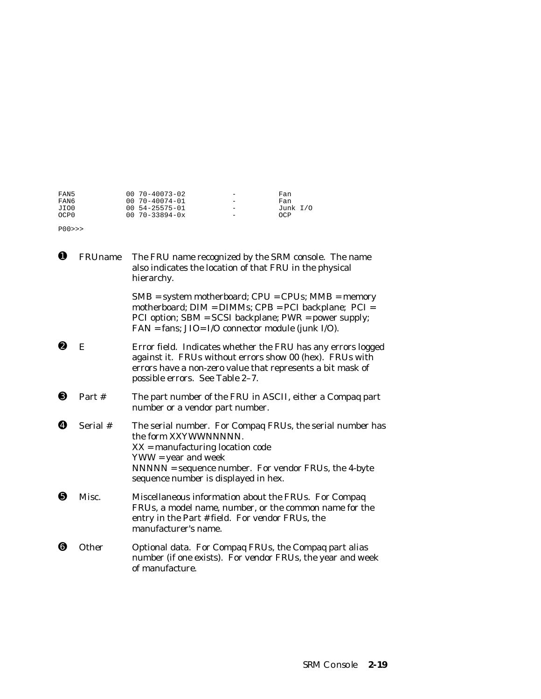| FAN5             | $0070 - 40073 - 02$     | $\overline{\phantom{0}}$ | Fan        |
|------------------|-------------------------|--------------------------|------------|
| FAN6             | 00 70-40074-01          | $\overline{\phantom{0}}$ | Fan        |
| JIO0             | 00 54-25575-01          | $\overline{\phantom{0}}$ | Junk $I/O$ |
| OCP <sub>0</sub> | $00 \t 70 - 33894 - 0x$ | $\overline{\phantom{0}}$ | OCP        |

P00>>>

| $\mathbf \Omega$ | <b>FRUname</b> | The FRU name recognized by the SRM console. The name<br>also indicates the location of that FRU in the physical<br>hierarchy.                                                                                                                    |  |
|------------------|----------------|--------------------------------------------------------------------------------------------------------------------------------------------------------------------------------------------------------------------------------------------------|--|
|                  |                | $SMB = system$ motherboard; $CPU = CPUs$ ; $MMB = memory$<br>motherboard; DIM = DIMMs; CPB = PCI backplane; PCI =<br>PCI option; SBM = SCSI backplane; PWR = power supply;<br>FAN = fans; JIO= I/O connector module (junk I/O).                  |  |
| ❷                | E              | Error field. Indicates whether the FRU has any errors logged<br>against it. FRUs without errors show 00 (hex). FRUs with<br>errors have a non-zero value that represents a bit mask of<br>possible errors. See Table 2-7.                        |  |
| ❸                | Part $#$       | The part number of the FRU in ASCII, either a Compaq part<br>number or a vendor part number.                                                                                                                                                     |  |
| ø                | Serial #       | The serial number. For Compaq FRUs, the serial number has<br>the form XXYWWNNNNN.<br>$XX =$ manufacturing location code<br>$YWW = year$ and week<br>NNNNN = sequence number. For vendor FRUs, the 4-byte<br>sequence number is displayed in hex. |  |
| ❺                | Misc.          | Miscellaneous information about the FRUs. For Compaq<br>FRUs, a model name, number, or the common name for the<br>entry in the Part # field. For vendor FRUs, the<br>manufacturer's name.                                                        |  |
| ❺                | Other          | Optional data. For Compaq FRUs, the Compaq part alias<br>number (if one exists). For vendor FRUs, the year and week<br>of manufacture.                                                                                                           |  |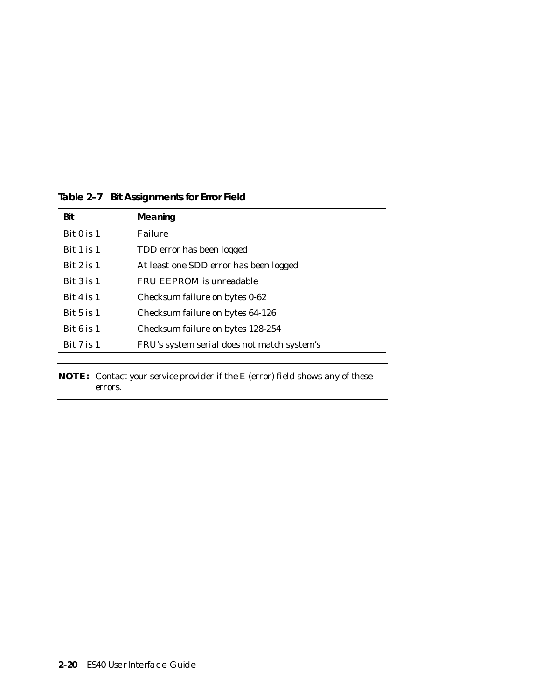| Bit            | Meaning                                     |
|----------------|---------------------------------------------|
| Bit $0$ is $1$ | Failure                                     |
| Bit $1$ is $1$ | TDD error has been logged                   |
| Bit $2$ is $1$ | At least one SDD error has been logged      |
| Bit $3$ is $1$ | FRU EEPROM is unreadable                    |
| Bit 4 is $1$   | Checksum failure on bytes 0-62              |
| Bit $5$ is $1$ | Checksum failure on bytes 64-126            |
| Bit $6$ is $1$ | Checksum failure on bytes 128-254           |
| Bit $7$ is $1$ | FRU's system serial does not match system's |
|                |                                             |

## **Table 2–7 Bit Assignments for Error Field**

**NOTE:** *Contact your service provider if the E (error) field shows any of these errors.*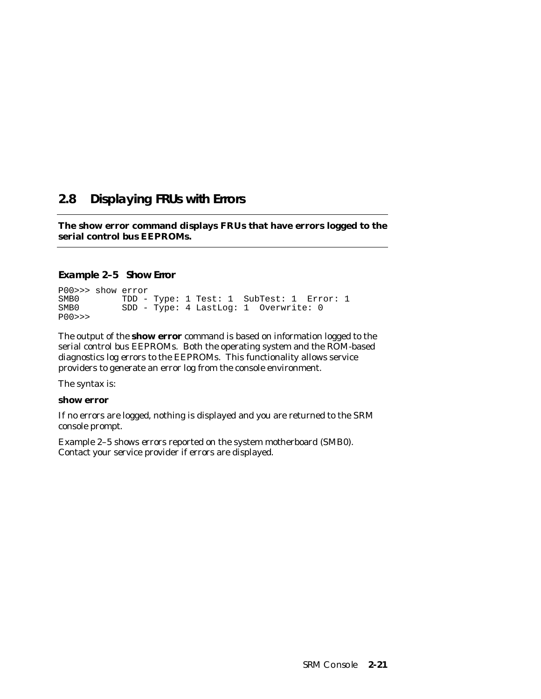# **2.8 Displaying FRUs with Errors**

**The show error command displays FRUs that have errors logged to the serial control bus EEPROMs.**

## **Example 2–5 Show Error**

P00>>> show error SMB0 TDD - Type: 1 Test: 1 SubTest: 1 Error: 1<br>SMB0 SDD - Type: 4 LastLog: 1 Overwrite: 0 SDD - Type: 4 LastLog: 1 Overwrite: 0 P00>>>

The output of the **show error** command is based on information logged to the serial control bus EEPROMs. Both the operating system and the ROM-based diagnostics log errors to the EEPROMs. This functionality allows service providers to generate an error log from the console environment.

The syntax is:

#### **show error**

If no errors are logged, nothing is displayed and you are returned to the SRM console prompt.

Example 2–5 shows errors reported on the system motherboard (SMB0). Contact your service provider if errors are displayed.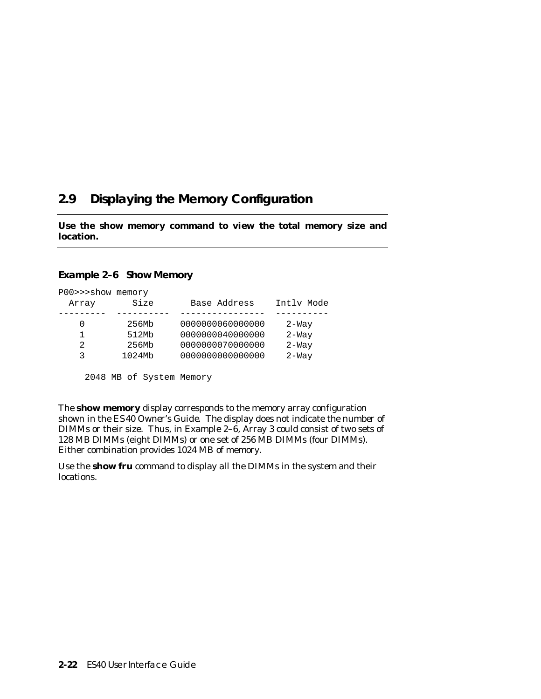# **2.9 Displaying the Memory Configuration**

**Use the show memory command to view the total memory size and location.**

#### **Example 2–6 Show Memory**

| P00>>>show memory<br>Array | Size   | Base Address     | Intly Mode |
|----------------------------|--------|------------------|------------|
| 0                          | 256Mb  | 0000000060000000 | $2-Way$    |
| 1                          | 512Mb  | 0000000040000000 | $2-Way$    |
| 2                          | 256Mb  | 0000000070000000 | $2-Way$    |
| 3                          | 1024Mb | 0000000000000000 | $2-Way$    |
|                            |        |                  |            |

2048 MB of System Memory

The **show memory** display corresponds to the memory array configuration shown in the *ES40 Owner's Guide*. The display does not indicate the number of DIMMs or their size. Thus, in Example 2–6, Array 3 could consist of two sets of 128 MB DIMMs (eight DIMMs) or one set of 256 MB DIMMs (four DIMMs). Either combination provides 1024 MB of memory.

Use the **show fru** command to display all the DIMMs in the system and their locations.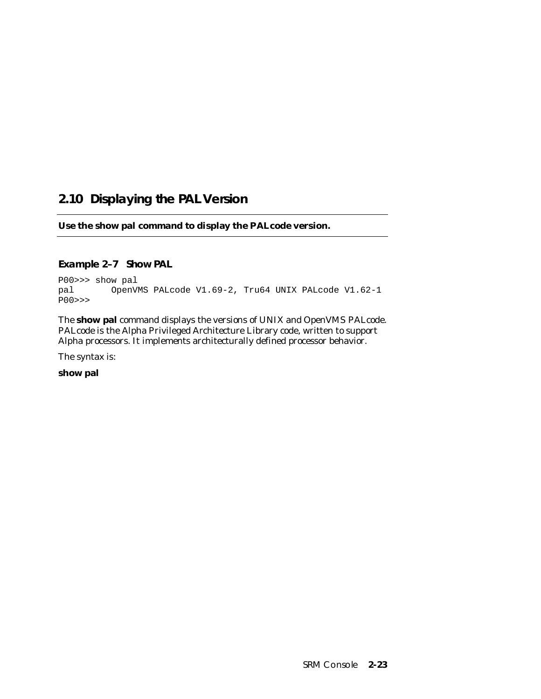# **2.10 Displaying the PAL Version**

**Use the show pal command to display the PALcode version.**

## **Example 2–7 Show PAL**

P00>>> show pal pal OpenVMS PALcode V1.69-2, Tru64 UNIX PALcode V1.62-1 P00>>>

The **show pal** command displays the versions of UNIX and OpenVMS PALcode. PALcode is the Alpha Privileged Architecture Library code, written to support Alpha processors. It implements architecturally defined processor behavior.

The syntax is:

**show pal**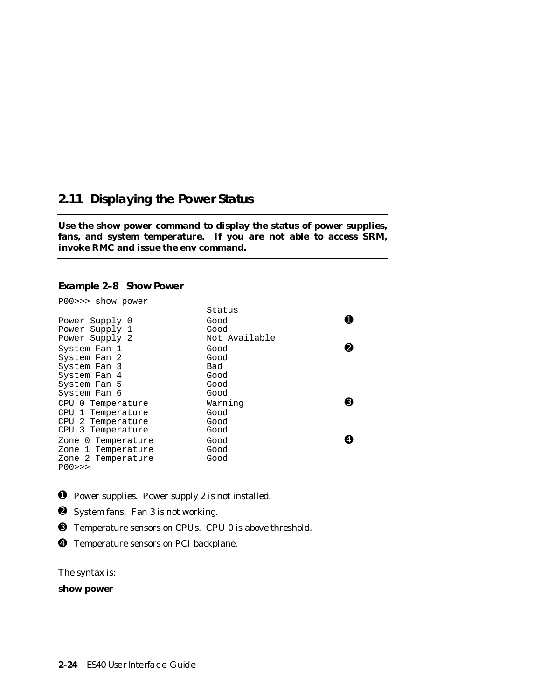## **2.11 Displaying the Power Status**

**Use the show power command to display the status of power supplies, fans, and system temperature. If you are not able to access SRM, invoke RMC and issue the env command.**

### **Example 2–8 Show Power**

| P00>>> show power  |               |   |
|--------------------|---------------|---|
|                    | Status        |   |
| Power Supply 0     | Good          |   |
| Power Supply 1     | Good          |   |
| Power Supply 2     | Not Available |   |
| System Fan 1       | Good          | Ω |
| System Fan 2       | Good          |   |
| System Fan 3       | Bad           |   |
| System Fan 4       | Good          |   |
| System Fan 5       | Good          |   |
| System Fan 6       | Good          |   |
| CPU 0 Temperature  | Warning       | ❸ |
| CPU 1 Temperature  | Good          |   |
| CPU 2 Temperature  | Good          |   |
| CPU 3 Temperature  | Good          |   |
| Zone 0 Temperature | Good          |   |
| Zone 1 Temperature | Good          |   |
| Zone 2 Temperature | Good          |   |
| P00>>              |               |   |

- ➊ Power supplies. Power supply 2 is not installed.
- ➋ System fans. Fan 3 is not working.
- ➌ Temperature sensors on CPUs. CPU 0 is above threshold.
- ➍ Temperature sensors on PCI backplane.

The syntax is:

#### **show power**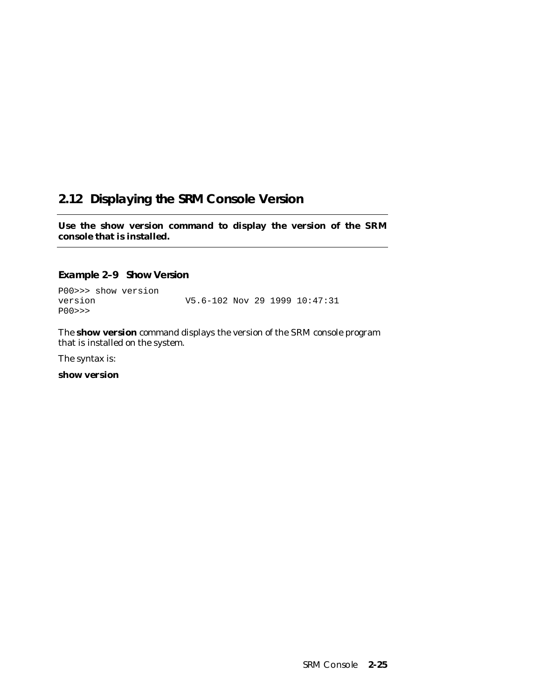# **2.12 Displaying the SRM Console Version**

**Use the show version command to display the version of the SRM console that is installed.**

## **Example 2–9 Show Version**

P00>>> show version V5.6-102 Nov 29 1999 10:47:31 P00>>>

The **show version** command displays the version of the SRM console program that is installed on the system.

The syntax is:

**show version**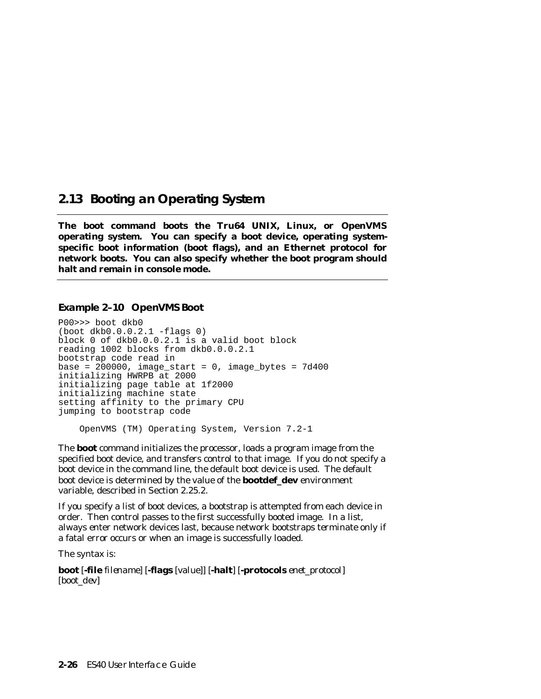## **2.13 Booting an Operating System**

**The boot command boots the Tru64 UNIX, Linux, or OpenVMS operating system. You can specify a boot device, operating systemspecific boot information (boot flags), and an Ethernet protocol for network boots. You can also specify whether the boot program should halt and remain in console mode.**

## **Example 2–10 OpenVMS Boot**

P00>>> boot dkb0 (boot dkb0.0.0.2.1 -flags 0) block 0 of dkb0.0.0.2.1 is a valid boot block reading 1002 blocks from dkb0.0.0.2.1 bootstrap code read in base =  $200000$ , image\_start = 0, image\_bytes =  $7d400$ initializing HWRPB at 2000 initializing page table at 1f2000 initializing machine state setting affinity to the primary CPU jumping to bootstrap code

OpenVMS (TM) Operating System, Version 7.2-1

The **boot** command initializes the processor, loads a program image from the specified boot device, and transfers control to that image. If you do not specify a boot device in the command line, the default boot device is used. The default boot device is determined by the value of the **bootdef\_dev** environment variable, described in Section 2.25.2.

If you specify a list of boot devices, a bootstrap is attempted from each device in order. Then control passes to the first successfully booted image. In a list, always enter network devices last, because network bootstraps terminate only if a fatal error occurs or when an image is successfully loaded.

The syntax is:

**boot** [**-file** *filename*] [**-flags** [*value*]] [**-halt**] [**-protocols** *enet\_protocol*] [*boot\_dev*]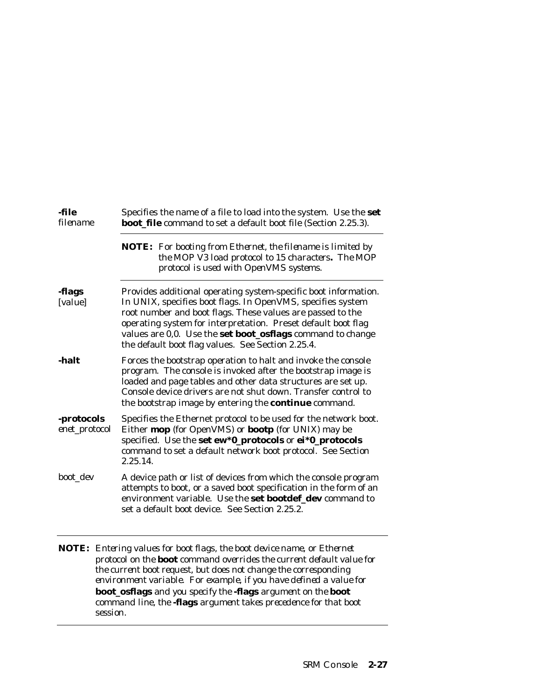| -file<br>filename           | Specifies the name of a file to load into the system. Use the set<br><b>boot_file</b> command to set a default boot file (Section 2.25.3).                                                                                                                                                                                                                                       |  |  |
|-----------------------------|----------------------------------------------------------------------------------------------------------------------------------------------------------------------------------------------------------------------------------------------------------------------------------------------------------------------------------------------------------------------------------|--|--|
|                             | <b>NOTE:</b> For booting from Ethernet, the filename is limited by<br>the MOP V3 load protocol to 15 characters. The MOP<br>protocol is used with OpenVMS systems.                                                                                                                                                                                                               |  |  |
| -flags<br>[value]           | Provides additional operating system-specific boot information.<br>In UNIX, specifies boot flags. In OpenVMS, specifies system<br>root number and boot flags. These values are passed to the<br>operating system for interpretation. Preset default boot flag<br>values are 0,0. Use the set boot_osflags command to change<br>the default boot flag values. See Section 2.25.4. |  |  |
| -halt                       | Forces the bootstrap operation to halt and invoke the console<br>program. The console is invoked after the bootstrap image is<br>loaded and page tables and other data structures are set up.<br>Console device drivers are not shut down. Transfer control to<br>the bootstrap image by entering the continue command.                                                          |  |  |
| -protocols<br>enet_protocol | Specifies the Ethernet protocol to be used for the network boot.<br>Either mop (for OpenVMS) or bootp (for UNIX) may be<br>specified. Use the set ew*0_protocols or ei*0_protocols<br>command to set a default network boot protocol. See Section<br>2.25.14.                                                                                                                    |  |  |
| boot dev                    | A device path or list of devices from which the console program<br>attempts to boot, or a saved boot specification in the form of an<br>environment variable. Use the set bootdef_dev command to<br>set a default boot device. See Section 2.25.2.                                                                                                                               |  |  |

**NOTE:** *Entering values for boot flags, the boot device name, or Ethernet protocol on the* **boot** *command overrides the current default value for the current boot request, but does not change the corresponding environment variable. For example, if you have defined a value for* **boot\_osflags** *and you specify the* **-flags** *argument on the* **boot** *command line, the* **-flags** *argument takes precedence for that boot session.*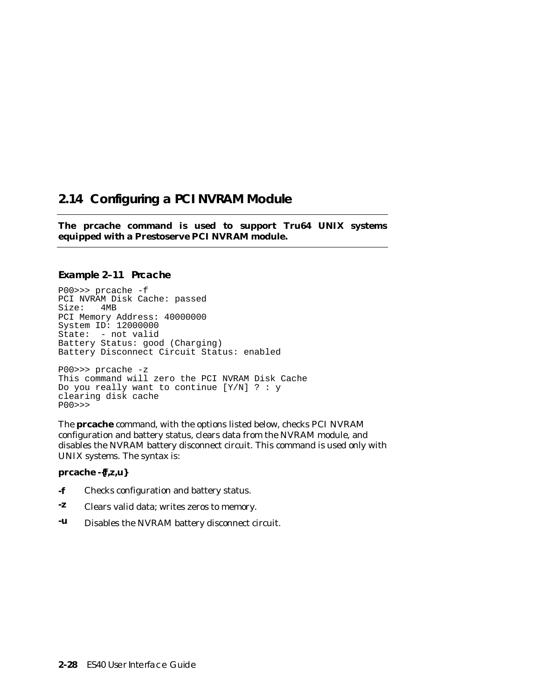## **2.14 Configuring a PCI NVRAM Module**

**The prcache command is used to support Tru64 UNIX systems equipped with a Prestoserve PCI NVRAM module.**

#### **Example 2–11 Prcache**

P00>>> prcache -f PCI NVRAM Disk Cache: passed Size: 4MB PCI Memory Address: 40000000 System ID: 12000000 State: - not valid Battery Status: good (Charging) Battery Disconnect Circuit Status: enabled

P00>>> prcache -z This command will zero the PCI NVRAM Disk Cache Do you really want to continue  $[Y/N]$  ? : y clearing disk cache P00>>>

The **prcache** command, with the options listed below, checks PCI NVRAM configuration and battery status, clears data from the NVRAM module, and disables the NVRAM battery disconnect circuit. This command is used only with UNIX systems. The syntax is:

#### **prcache -{f,z,u}**

- **-f** Checks configuration and battery status.
- **-z** Clears valid data; writes zeros to memory.
- **-u** Disables the NVRAM battery disconnect circuit.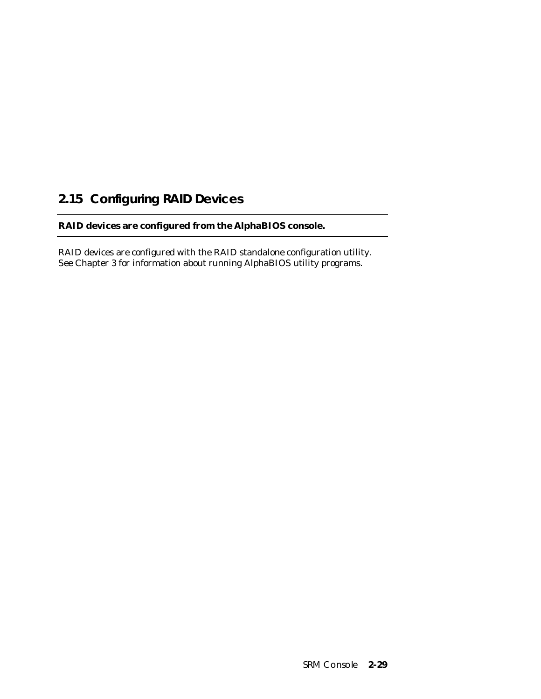# **2.15 Configuring RAID Devices**

## **RAID devices are configured from the AlphaBIOS console.**

RAID devices are configured with the RAID standalone configuration utility. See Chapter 3 for information about running AlphaBIOS utility programs.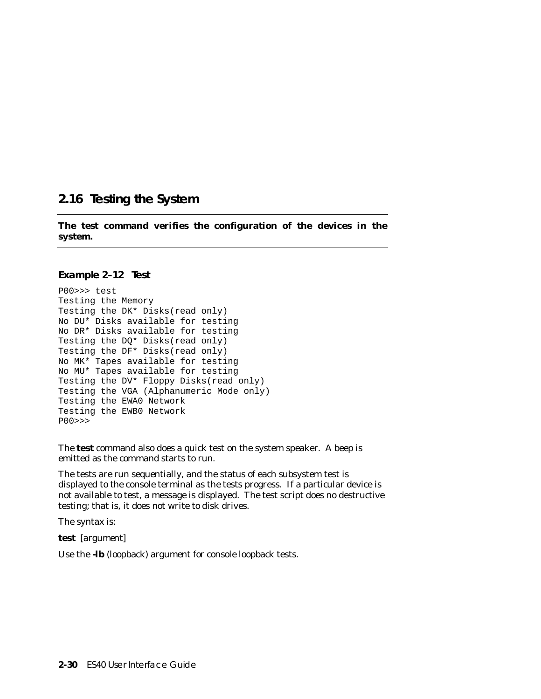## **2.16 Testing the System**

**The test command verifies the configuration of the devices in the system.**

#### **Example 2–12 Test**

```
P00>>> test
Testing the Memory
Testing the DK* Disks(read only)
No DU* Disks available for testing
No DR* Disks available for testing
Testing the DQ* Disks(read only)
Testing the DF* Disks(read only)
No MK* Tapes available for testing
No MU* Tapes available for testing
Testing the DV* Floppy Disks(read only)
Testing the VGA (Alphanumeric Mode only)
Testing the EWA0 Network
Testing the EWB0 Network
P00>>>
```
The **test** command also does a quick test on the system speaker. A beep is emitted as the command starts to run.

The tests are run sequentially, and the status of each subsystem test is displayed to the console terminal as the tests progress. If a particular device is not available to test, a message is displayed. The test script does no destructive testing; that is, it does not write to disk drives.

The syntax is:

**test** [*argument*]

Use the **-lb** (loopback) argument for console loopback tests.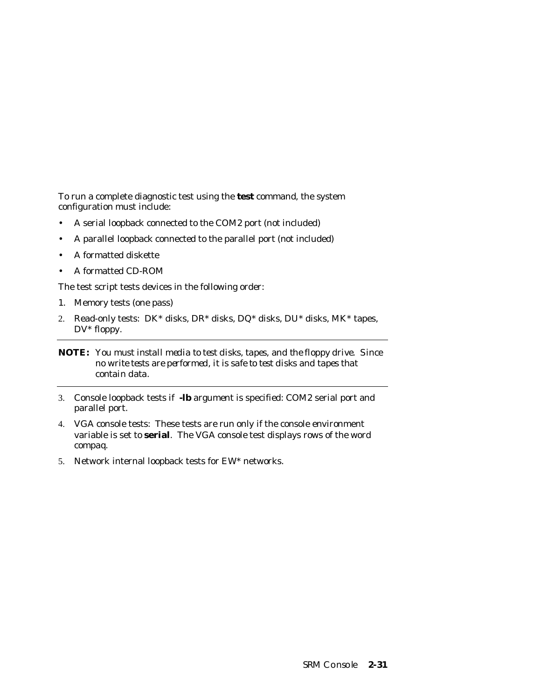To run a complete diagnostic test using the **test** command, the system configuration must include:

- A serial loopback connected to the COM2 port (not included)
- A parallel loopback connected to the parallel port (not included)
- A formatted diskette
- A formatted CD-ROM

The test script tests devices in the following order:

- 1. Memory tests (one pass)
- 2. Read-only tests: DK\* disks, DR\* disks, DQ\* disks, DU\* disks, MK\* tapes, DV\* floppy.

- 3. Console loopback tests if **-lb** argument is specified: COM2 serial port and parallel port.
- 4. VGA console tests: These tests are run only if the console environment variable is set to **serial**. The VGA console test displays rows of the word *compaq*.
- 5. Network internal loopback tests for EW\* networks.

**NOTE:** *You must install media to test disks, tapes, and the floppy drive. Since no write tests are performed, it is safe to test disks and tapes that contain data.*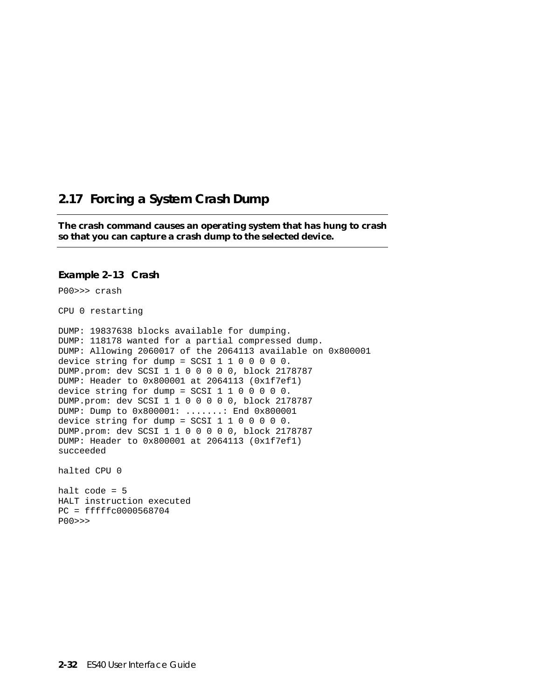## **2.17 Forcing a System Crash Dump**

**The crash command causes an operating system that has hung to crash so that you can capture a crash dump to the selected device.** 

#### **Example 2–13 Crash**

P00>>> crash

CPU 0 restarting

DUMP: 19837638 blocks available for dumping. DUMP: 118178 wanted for a partial compressed dump. DUMP: Allowing 2060017 of the 2064113 available on 0x800001 device string for dump = SCSI 1 1 0 0 0 0 0. DUMP.prom: dev SCSI 1 1 0 0 0 0 0, block 2178787 DUMP: Header to 0x800001 at 2064113 (0x1f7ef1) device string for dump = SCSI 1 1 0 0 0 0 0. DUMP.prom: dev SCSI 1 1 0 0 0 0 0, block 2178787 DUMP: Dump to 0x800001: .......: End 0x800001 device string for dump = SCSI 1 1 0 0 0 0 0. DUMP.prom: dev SCSI 1 1 0 0 0 0 0, block 2178787 DUMP: Header to 0x800001 at 2064113 (0x1f7ef1) succeeded

halted CPU 0

halt code = 5 HALT instruction executed PC = fffffc0000568704 P00>>>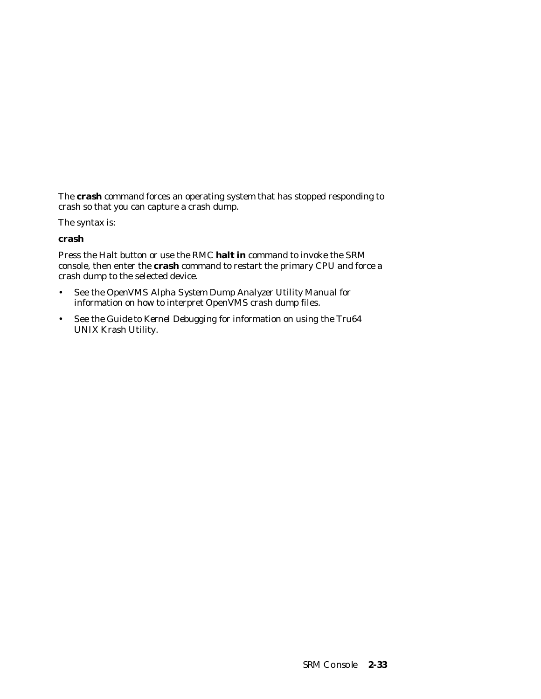The **crash** command forces an operating system that has stopped responding to crash so that you can capture a crash dump.

The syntax is:

### **crash**

Press the Halt button or use the RMC **halt in** command to invoke the SRM console, then enter the **crash** command to restart the primary CPU and force a crash dump to the selected device.

- See the *OpenVMS Alpha System Dump Analyzer Utility Manual* for information on how to interpret OpenVMS crash dump files.
- See the *Guide to Kernel Debugging* for information on using the Tru64 UNIX Krash Utility.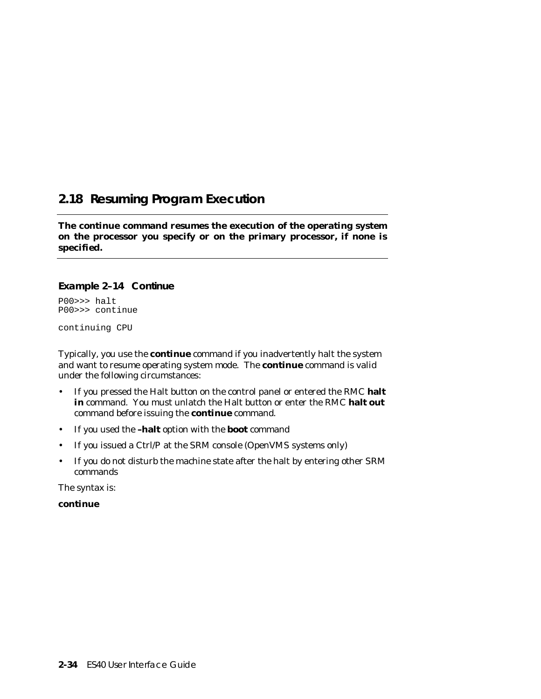## **2.18 Resuming Program Execution**

**The continue command resumes the execution of the operating system on the processor you specify or on the primary processor, if none is specified.**

## **Example 2–14 Continue**

P00>>> halt P00>>> continue

continuing CPU

Typically, you use the **continue** command if you inadvertently halt the system and want to resume operating system mode. The **continue** command is valid under the following circumstances:

- If you pressed the Halt button on the control panel or entered the RMC **halt in** command. You must unlatch the Halt button or enter the RMC **halt out** command before issuing the **continue** command.
- If you used the **–halt** option with the **boot** command
- If you issued a Ctrl/P at the SRM console (OpenVMS systems only)
- If you do not disturb the machine state after the halt by entering other SRM commands

The syntax is:

**continue**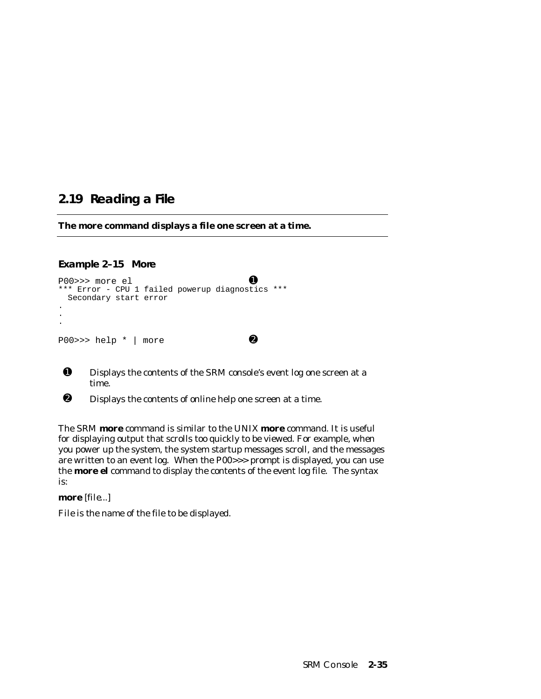## **2.19 Reading a File**

**The more command displays a file one screen at a time.**

## **Example 2–15 More**

```
P00 \rightarrow \rightarrow more el \qquad \qquad \bullet*** Error - CPU 1 failed powerup diagnostics ***
  Secondary start error
.
.
.
P00 \rightarrow \heartsuit help * | more \bullet
```
- ➊ Displays the contents of the SRM console's event log one screen at a time.
- ➋ Displays the contents of online help one screen at a time.

The SRM **more** command is similar to the UNIX **more** command. It is useful for displaying output that scrolls too quickly to be viewed. For example, when you power up the system, the system startup messages scroll, and the messages are written to an event log. When the P00>>> prompt is displayed, you can use the **more el** command to display the contents of the event log file. The syntax is:

**more** [*file*...]

*File* is the name of the file to be displayed.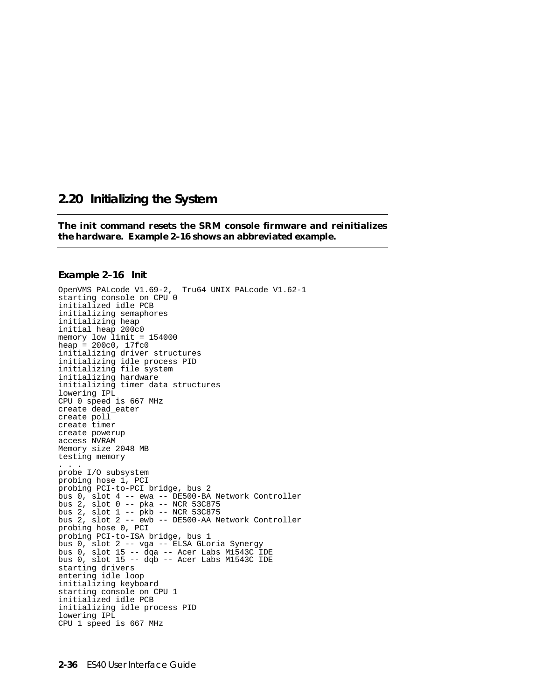## **2.20 Initializing the System**

**The init command resets the SRM console firmware and reinitializes the hardware. Example 2–16 shows an abbreviated example.**

#### **Example 2–16 Init**

OpenVMS PALcode V1.69-2, Tru64 UNIX PALcode V1.62-1 starting console on CPU 0 initialized idle PCB initializing semaphores initializing heap initial heap 200c0 memory low limit = 154000 heap =  $200c0, 17fc0$ initializing driver structures initializing idle process PID initializing file system initializing hardware initializing timer data structures lowering IPL CPU 0 speed is 667 MHz create dead\_eater create poll create timer create powerup access NVRAM Memory size 2048 MB testing memory . . . probe I/O subsystem probing hose 1, PCI probing PCI-to-PCI bridge, bus 2 bus 0, slot 4 -- ewa -- DE500-BA Network Controller bus 2, slot 0 -- pka -- NCR 53C875 bus 2, slot 1 -- pkb -- NCR 53C875 bus 2, slot 2 -- ewb -- DE500-AA Network Controller probing hose 0, PCI probing PCI-to-ISA bridge, bus 1 bus 0, slot 2 -- vga -- ELSA GLoria Synergy bus 0, slot 15 -- dqa -- Acer Labs M1543C IDE bus  $0$ , slot  $15$  --  $\text{d}\bar{\text{q}}\text{b}$  -- Acer Labs M1543C IDE starting drivers entering idle loop initializing keyboard starting console on CPU 1 initialized idle PCB initializing idle process PID lowering IPL CPU 1 speed is 667 MHz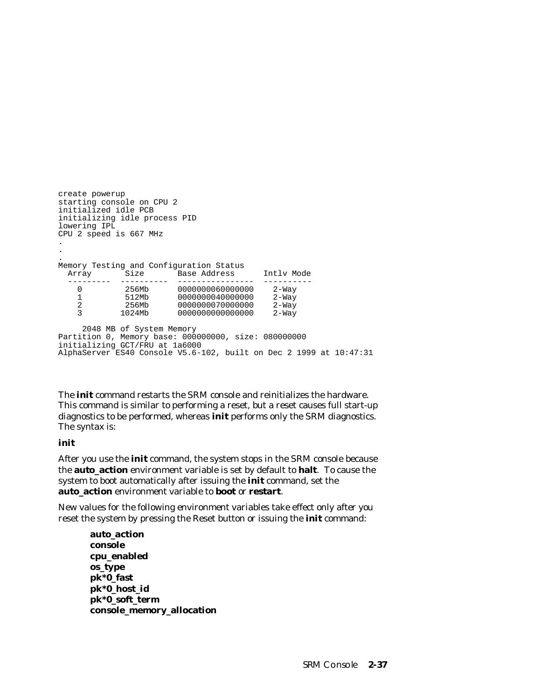create powerup starting console on CPU 2 initialized idle PCB initializing idle process PID lowering IPL CPU 2 speed is 667 MHz . . . Memory Testing and Configuration Status Array Size Base Address Intly Mode --------- ---------- ---------------- ---------- 0 256Mb 0000000060000000 2-Way 1 512Mb 0000000040000000 2-Way 2 256Mb 0000000070000000 2-Way 3 1024Mb 0000000000000000 2-Way 2048 MB of System Memory Partition 0, Memory base: 000000000, size: 080000000 initializing GCT/FRU at 1a6000 AlphaServer ES40 Console V5.6-102, built on Dec 2 1999 at 10:47:31

The **init** command restarts the SRM console and reinitializes the hardware. This command is similar to performing a reset, but a reset causes full start-up diagnostics to be performed, whereas **init** performs only the SRM diagnostics. The syntax is:

#### **init**

After you use the **init** command, the system stops in the SRM console because the **auto\_action** environment variable is set by default to **halt**. To cause the system to boot automatically after issuing the **init** command, set the **auto\_action** environment variable to **boot** or **restart**.

New values for the following environment variables take effect only after you reset the system by pressing the Reset button or issuing the **init** command:

**auto\_action console cpu\_enabled os\_type pk\*0\_fast pk\*0\_host\_id pk\*0\_soft\_term console\_memory\_allocation**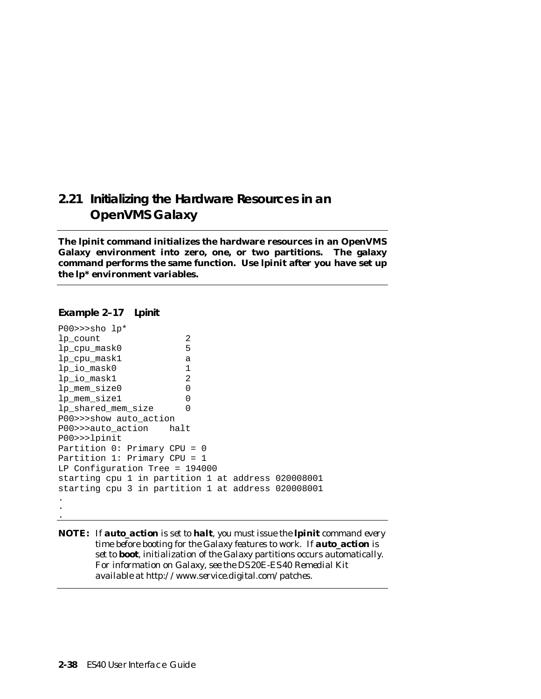# **2.21 Initializing the Hardware Resources in an OpenVMS Galaxy**

**The lpinit command initializes the hardware resources in an OpenVMS Galaxy environment into zero, one, or two partitions. The galaxy command performs the same function. Use lpinit after you have set up the lp\* environment variables.**

#### **Example 2–17 Lpinit**

.

```
P00>>>sho lp*
lp_count 2
lp_cpu_mask0 5
lp_cpu_mask1 a
lp_io_mask0 1<br>lp io mask1 2
lp_io_mask1 2
lp_mem_size0 0
lp_mem_size1 0
lp_shared_mem_size 0
P00>>>show auto_action
P00>>>auto_action halt
P00>>>lpinit
Partition 0: Primary CPU = 0
Partition 1: Primary CPU = 1
LP Configuration Tree = 194000
starting cpu 1 in partition 1 at address 020008001
starting cpu 3 in partition 1 at address 020008001
.
.
```
**NOTE:** *If auto\_action is set to halt, you must issue the* **lpinit** *command every time before booting for the Galaxy features to work. If auto\_action is set to boot, initialization of the Galaxy partitions occurs automatically. For information on Galaxy, see the DS20E-ES40 Remedial Kit available at http://www.service.digital.com/patches.*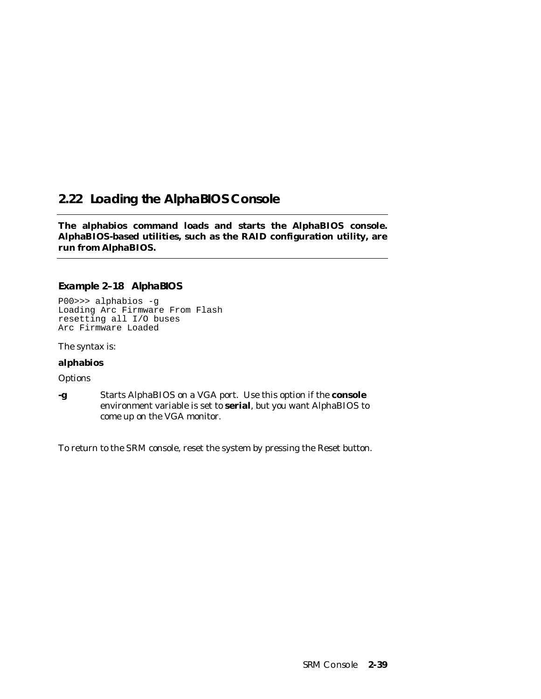# **2.22 Loading the AlphaBIOS Console**

**The alphabios command loads and starts the AlphaBIOS console. AlphaBIOS-based utilities, such as the RAID configuration utility, are run from AlphaBIOS.**

## **Example 2–18 AlphaBIOS**

P00>>> alphabios -g Loading Arc Firmware From Flash resetting all I/O buses Arc Firmware Loaded

The syntax is:

### **alphabios**

*Options*

**-g** Starts AlphaBIOS on a VGA port. Use this option if the **console** environment variable is set to **serial**, but you want AlphaBIOS to come up on the VGA monitor.

To return to the SRM console, reset the system by pressing the Reset button.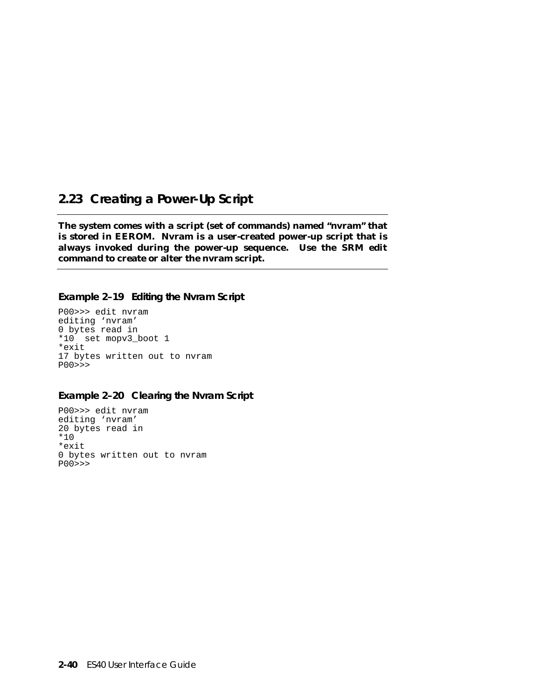## **2.23 Creating a Power-Up Script**

**The system comes with a script (set of commands) named "nvram" that is stored in EEROM. Nvram is a user-created power-up script that is always invoked during the power-up sequence. Use the SRM edit command to create or alter the nvram script.**

#### **Example 2–19 Editing the Nvram Script**

P00>>> edit nvram editing 'nvram' 0 bytes read in \*10 set mopv3\_boot 1 \*exit 17 bytes written out to nvram P00>>>

### **Example 2–20 Clearing the Nvram Script**

P00>>> edit nvram editing 'nvram' 20 bytes read in \*10 \*exit 0 bytes written out to nvram P00>>>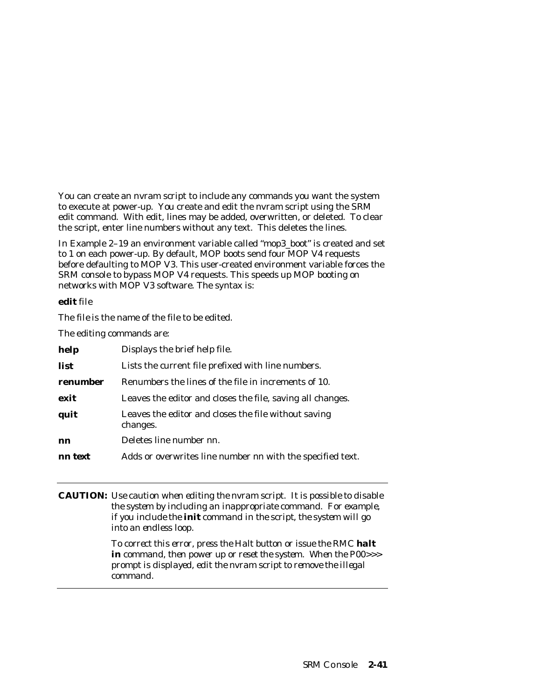You can create an nvram script to include any commands you want the system to execute at power-up. You create and edit the nvram script using the SRM edit command. With edit, lines may be added, overwritten, or deleted. To clear the script, enter line numbers without any text. This deletes the lines.

In Example 2–19 an environment variable called "mop3\_boot" is created and set to 1 on each power-up. By default, MOP boots send four MOP V4 requests before defaulting to MOP V3. This user-created environment variable forces the SRM console to bypass MOP V4 requests. This speeds up MOP booting on networks with MOP V3 software. The syntax is:

#### **edit** *file*

The *file* is the name of the file to be edited.

The editing commands are:

| help     | Displays the brief help file.                                    |  |
|----------|------------------------------------------------------------------|--|
| list     | Lists the current file prefixed with line numbers.               |  |
| renumber | Renumbers the lines of the file in increments of 10.             |  |
| exit     | Leaves the editor and closes the file, saving all changes.       |  |
| quit     | Leaves the editor and closes the file without saving<br>changes. |  |
| nn       | Deletes line number nn.                                          |  |
| nn text  | Adds or overwrites line number nn with the specified text.       |  |

**CAUTION:** *Use caution when editing the nvram script. It is possible to disable the system by including an inappropriate command. For example, if you include the init command in the script, the system will go into an endless loop.*

> *To correct this error, press the Halt button or issue the RMC halt in command, then power up or reset the system. When the P00>>> prompt is displayed, edit the nvram script to remove the illegal command.*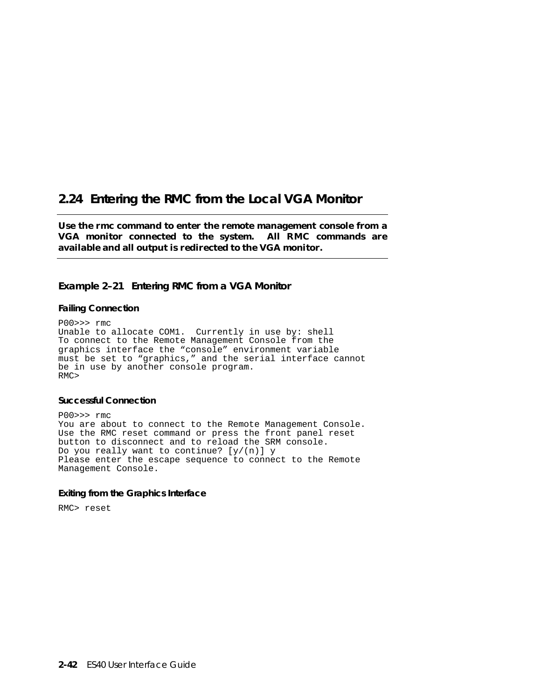## **2.24 Entering the RMC from the Local VGA Monitor**

**Use the rmc command to enter the remote management console from a VGA monitor connected to the system. All RMC commands are available and all output is redirected to the VGA monitor.**

## **Example 2–21 Entering RMC from a VGA Monitor**

#### **Failing Connection**

P00>>> rmc Unable to allocate COM1. Currently in use by: shell To connect to the Remote Management Console from the graphics interface the "console" environment variable must be set to "graphics," and the serial interface cannot be in use by another console program. RMC>

#### **Successful Connection**

P00>>> rmc You are about to connect to the Remote Management Console. Use the RMC reset command or press the front panel reset button to disconnect and to reload the SRM console. Do you really want to continue?  $[y/(n)]$  y Please enter the escape sequence to connect to the Remote Management Console.

#### **Exiting from the Graphics Interface**

RMC> reset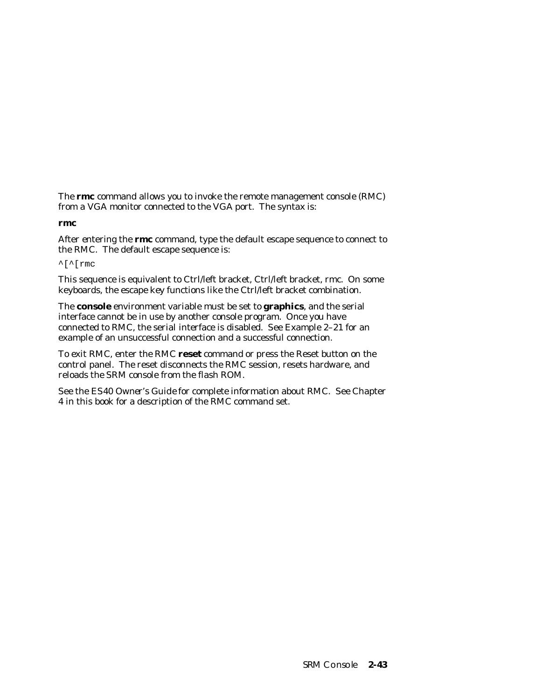The **rmc** command allows you to invoke the remote management console (RMC) from a VGA monitor connected to the VGA port. The syntax is:

#### **rmc**

After entering the **rmc** command, type the default escape sequence to connect to the RMC. The default escape sequence is:

 $\lceil \cdot \rceil$  rmc

This sequence is equivalent to Ctrl/left bracket, Ctrl/left bracket, rmc. On some keyboards, the escape key functions like the Ctrl/left bracket combination.

The **console** environment variable must be set to **graphics**, and the serial interface cannot be in use by another console program. Once you have connected to RMC, the serial interface is disabled. See Example 2–21 for an example of an unsuccessful connection and a successful connection.

To exit RMC, enter the RMC **reset** command or press the Reset button on the control panel. The reset disconnects the RMC session, resets hardware, and reloads the SRM console from the flash ROM.

See the *ES40 Owner's Guide* for complete information about RMC. See Chapter 4 in this book for a description of the RMC command set.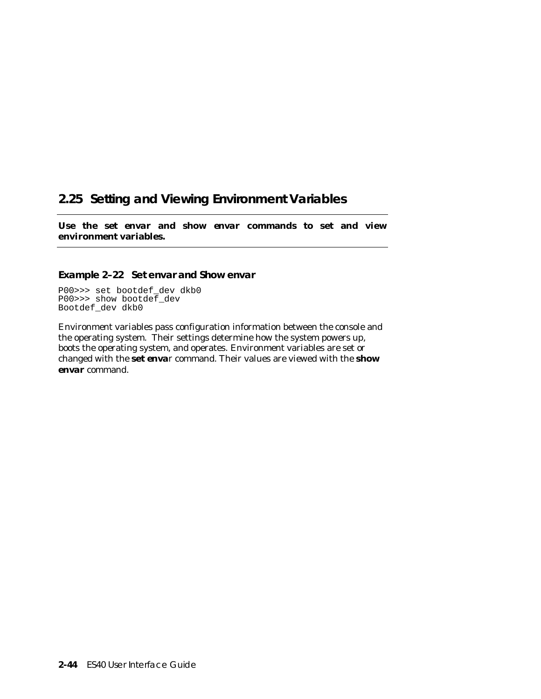# **2.25 Setting and Viewing Environment Variables**

**Use the set** *envar* **and show** *envar* **commands to set and view environment variables.**

### **Example 2–22 Set** *envar* **and Show** *envar*

P00>>> set bootdef\_dev dkb0 P00>>> show bootdef\_dev Bootdef\_dev dkb0

Environment variables pass configuration information between the console and the operating system. Their settings determine how the system powers up, boots the operating system, and operates. Environment variables are set or changed with the **set** *envar* command. Their values are viewed with the **show** *envar* command.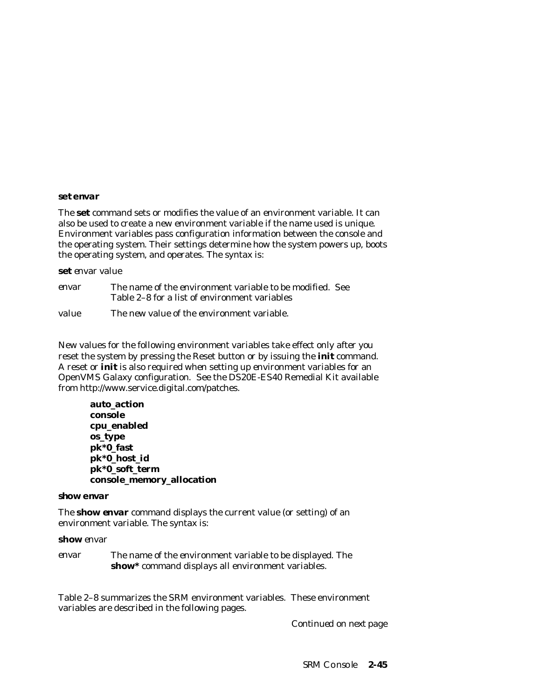#### **set** *envar*

The **set** command sets or modifies the value of an environment variable. It can also be used to create a new environment variable if the name used is unique. Environment variables pass configuration information between the console and the operating system. Their settings determine how the system powers up, boots the operating system, and operates. The syntax is:

#### **set** *envar value*

| envar | The name of the environment variable to be modified. See<br>Table 2–8 for a list of environment variables |
|-------|-----------------------------------------------------------------------------------------------------------|
|       |                                                                                                           |
| value | The new value of the environment variable.                                                                |

New values for the following environment variables take effect only after you reset the system by pressing the Reset button or by issuing the **init** command. A reset or **init** is also required when setting up environment variables for an OpenVMS Galaxy configuration. See the DS20E-ES40 Remedial Kit available

**auto\_action console cpu\_enabled os\_type pk\*0\_fast pk\*0\_host\_id pk\*0\_soft\_term console\_memory\_allocation**

from http://www.service.digital.com/patches.

#### **show** *envar*

The **show** *envar* command displays the current value (or setting) of an environment variable. The syntax is:

#### **show** *envar*

*envar* The name of the environment variable to be displayed. The **show\*** command displays all environment variables.

Table 2–8 summarizes the SRM environment variables. These environment variables are described in the following pages.

*Continued on next page*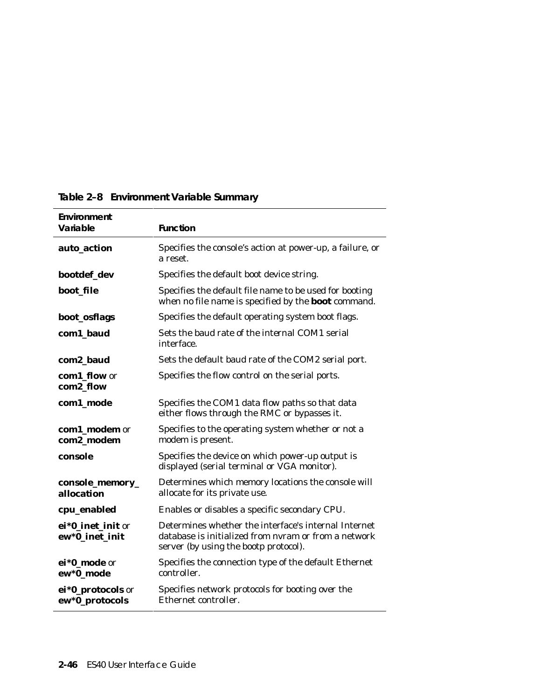| Environment<br>Variable             | <b>Function</b>                                                                                                                                       |
|-------------------------------------|-------------------------------------------------------------------------------------------------------------------------------------------------------|
| auto_action                         | Specifies the console's action at power-up, a failure, or<br>a reset.                                                                                 |
| bootdef_dev                         | Specifies the default boot device string.                                                                                                             |
| boot file                           | Specifies the default file name to be used for booting<br>when no file name is specified by the <b>boot</b> command.                                  |
| boot_osflags                        | Specifies the default operating system boot flags.                                                                                                    |
| com1_baud                           | Sets the baud rate of the internal COM1 serial<br>interface.                                                                                          |
| com2_baud                           | Sets the default baud rate of the COM2 serial port.                                                                                                   |
| com1_flow or<br>com2_flow           | Specifies the flow control on the serial ports.                                                                                                       |
| com1_mode                           | Specifies the COM1 data flow paths so that data<br>either flows through the RMC or bypasses it.                                                       |
| com1_modem or<br>com2_modem         | Specifies to the operating system whether or not a<br>modem is present.                                                                               |
| console                             | Specifies the device on which power-up output is<br>displayed (serial terminal or VGA monitor).                                                       |
| console_memory_<br>allocation       | Determines which memory locations the console will<br>allocate for its private use.                                                                   |
| cpu_enabled                         | Enables or disables a specific secondary CPU.                                                                                                         |
| ei*0_inet_init or<br>ew*0_inet_init | Determines whether the interface's internal Internet<br>database is initialized from nyram or from a network<br>server (by using the bootp protocol). |
| ei*0_mode or<br>ew*0_mode           | Specifies the connection type of the default Ethernet<br>controller.                                                                                  |
| ei*0_protocols or<br>ew*0_protocols | Specifies network protocols for booting over the<br>Ethernet controller.                                                                              |

**Table 2–8 Environment Variable Summary**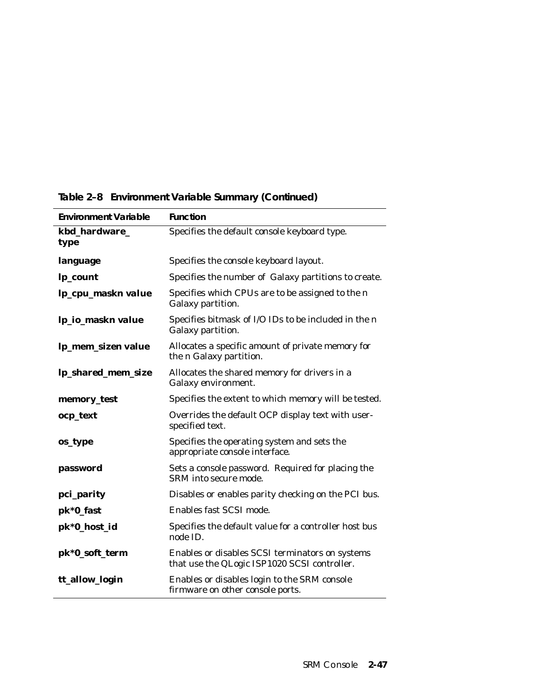| <b>Environment Variable</b> | <b>Function</b>                                                                                 |
|-----------------------------|-------------------------------------------------------------------------------------------------|
| kbd_hardware_<br>type       | Specifies the default console keyboard type.                                                    |
| language                    | Specifies the console keyboard layout.                                                          |
| lp_count                    | Specifies the number of Galaxy partitions to create.                                            |
| lp_cpu_maskn value          | Specifies which CPUs are to be assigned to the n<br>Galaxy partition.                           |
| lp_io_maskn value           | Specifies bitmask of I/O IDs to be included in the n<br>Galaxy partition.                       |
| lp_mem_sizen value          | Allocates a specific amount of private memory for<br>the <i>n</i> Galaxy partition.             |
| lp_shared_mem_size          | Allocates the shared memory for drivers in a<br>Galaxy environment.                             |
| memory_test                 | Specifies the extent to which memory will be tested.                                            |
| ocp_text                    | Overrides the default OCP display text with user-<br>specified text.                            |
| os_type                     | Specifies the operating system and sets the<br>appropriate console interface.                   |
| password                    | Sets a console password. Required for placing the<br>SRM into secure mode.                      |
| pci_parity                  | Disables or enables parity checking on the PCI bus.                                             |
| pk*0_fast                   | Enables fast SCSI mode.                                                                         |
| pk*0_host_id                | Specifies the default value for a controller host bus<br>node ID.                               |
| pk*0_soft_term              | Enables or disables SCSI terminators on systems<br>that use the QLogic ISP1020 SCSI controller. |
| tt_allow_login              | Enables or disables login to the SRM console<br>firmware on other console ports.                |

**Table 2–8 Environment Variable Summary (Continued)**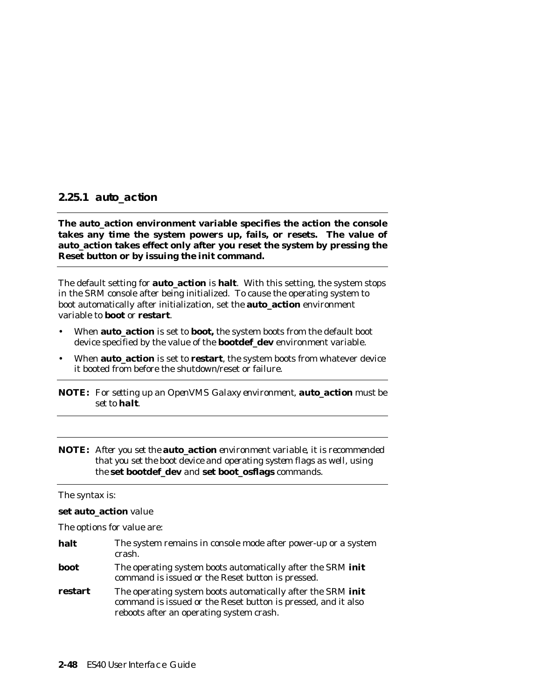### **2.25.1 auto\_action**

**The auto\_action environment variable specifies the action the console takes any time the system powers up, fails, or resets. The value of auto\_action takes effect only after you reset the system by pressing the Reset button or by issuing the init command.**

The default setting for **auto\_action** is **halt**. With this setting, the system stops in the SRM console after being initialized. To cause the operating system to boot automatically after initialization, set the **auto\_action** environment variable to **boot** or **restart**.

- When **auto\_action** is set to **boot,** the system boots from the default boot device specified by the value of the **bootdef\_dev** environment variable.
- When **auto\_action** is set to **restart**, the system boots from whatever device it booted from before the shutdown/reset or failure.

**NOTE:** *For setting up an OpenVMS Galaxy environment, auto\_action must be set to halt.*

**NOTE:** *After you set the* **auto\_action** *environment variable, it is recommended that you set the boot device and operating system flags as well, using the* **set bootdef\_dev** *and* **set boot\_osflags** *commands.*

#### The syntax is:

#### **set auto\_action** *value*

The options for value are:

| halt    | The system remains in console mode after power-up or a system<br>crash.                                                                                                  |
|---------|--------------------------------------------------------------------------------------------------------------------------------------------------------------------------|
| boot    | The operating system boots automatically after the SRM init<br>command is issued or the Reset button is pressed.                                                         |
| restart | The operating system boots automatically after the SRM init<br>command is issued or the Reset button is pressed, and it also<br>reboots after an operating system crash. |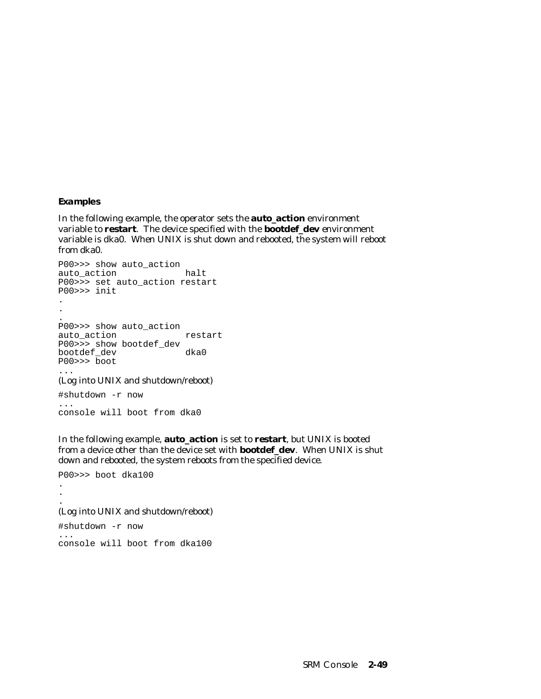#### **Examples**

In the following example, the operator sets the **auto\_action** environment variable to **restart**. The device specified with the **bootdef\_dev** environment variable is dka0. When UNIX is shut down and rebooted, the system will reboot from dka0.

```
P00>>> show auto_action
auto_action halt
P00>>> set auto_action restart
P00>>> init
.
.
.
P00>>> show auto_action
auto_action
P00>>> show bootdef_dev
bootdef_dev
P00>>> boot
...
```
(Log into UNIX and shutdown/reboot)

#shutdown -r now ... console will boot from dka0

In the following example, **auto\_action** is set to **restart**, but UNIX is booted from a device other than the device set with **bootdef\_dev**. When UNIX is shut down and rebooted, the system reboots from the specified device.

P00>>> boot dka100 .

.

#### . (Log into UNIX and shutdown/reboot)

#shutdown -r now ... console will boot from dka100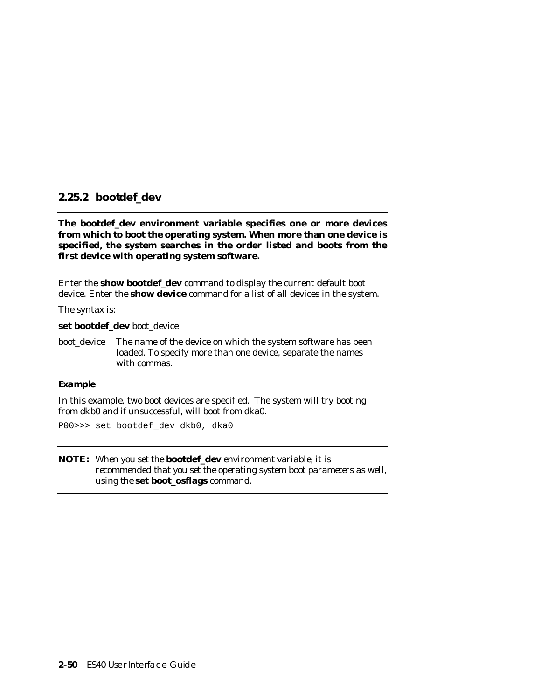## **2.25.2 bootdef\_dev**

**The bootdef\_dev environment variable specifies one or more devices from which to boot the operating system. When more than one device is specified, the system searches in the order listed and boots from the first device with operating system software.**

Enter the **show bootdef\_dev** command to display the current default boot device. Enter the **show device** command for a list of all devices in the system.

The syntax is:

**set bootdef\_dev** *boot\_device*

*boot device* The name of the device on which the system software has been loaded. To specify more than one device, separate the names with commas.

#### **Example**

In this example, two boot devices are specified. The system will try booting from dkb0 and if unsuccessful, will boot from dka0.

P00>>> set bootdef\_dev dkb0, dka0

**NOTE:** *When you set the* **bootdef\_dev** *environment variable, it is recommended that you set the operating system boot parameters as well, using the* **set boot\_osflags** *command.*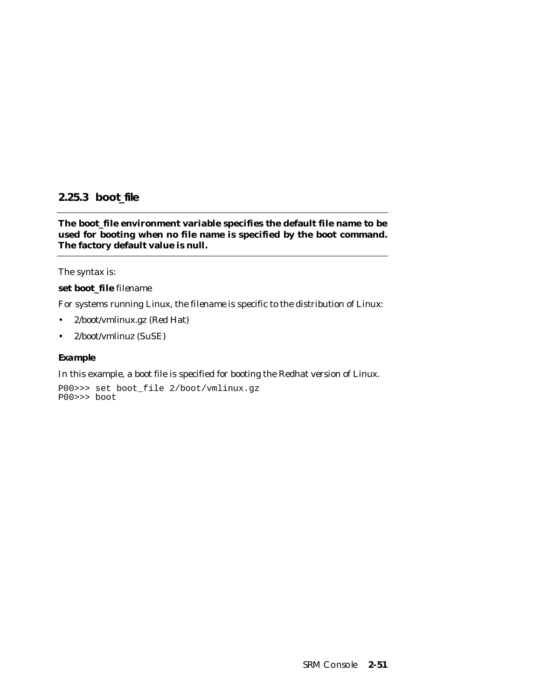## **2.25.3 boot\_file**

**The boot\_file environment variable specifies the default file name to be used for booting when no file name is specified by the boot command. The factory default value is null.**

The syntax is:

### **set boot\_file** *filename*

For systems running Linux, the *filename* is specific to the distribution of Linux:

- 2/boot/vmlinux.gz (Red Hat)
- 2/boot/vmlinuz (SuSE)

### **Example**

In this example, a boot file is specified for booting the Redhat version of Linux.

P00>>> set boot\_file 2/boot/vmlinux.gz P00>>> boot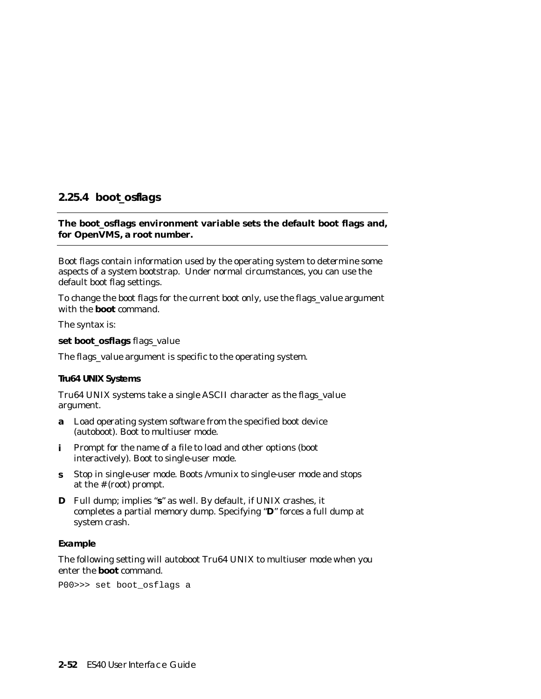## **2.25.4 boot\_osflags**

### **The boot\_osflags environment variable sets the default boot flags and, for OpenVMS, a root number.**

Boot flags contain information used by the operating system to determine some aspects of a system bootstrap. Under normal circumstances, you can use the default boot flag settings.

To change the boot flags for the current boot only, use the *flags\_value* argument with the **boot** command.

The syntax is:

**set boot\_osflags** *flags\_value*

The *flags\_value* argument is specific to the operating system.

#### **Tru64 UNIX Systems**

Tru64 UNIX systems take a single ASCII character as the *flags\_value* argument.

- **a** Load operating system software from the specified boot device (autoboot). Boot to multiuser mode.
- **i** Prompt for the name of a file to load and other options (boot interactively). Boot to single-user mode.
- **s** Stop in single-user mode. Boots /vmunix to single-user mode and stops at the # (root) prompt.
- **D** Full dump; implies "**s**" as well. By default, if UNIX crashes, it completes a partial memory dump. Specifying "**D**" forces a full dump at system crash.

#### **Example**

The following setting will autoboot Tru64 UNIX to multiuser mode when you enter the **boot** command.

P00>>> set boot\_osflags a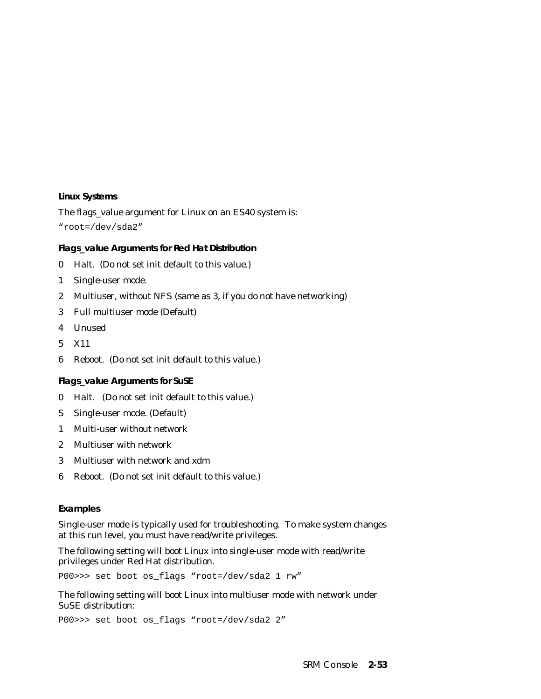#### **Linux Systems**

The *flags\_value* argument for Linux on an ES40 system is: "root=/dev/sda2"

### **Flags\_value Arguments for Red Hat Distribution**

- 0 Halt. (Do not set init default to this value.)
- 1 Single-user mode.
- 2 Multiuser, without NFS (same as 3, if you do not have networking)
- 3 Full multiuser mode (Default)
- 4 Unused
- 5 X11
- 6 Reboot. (Do not set init default to this value.)

#### **Flags\_value Arguments for SuSE**

- 0 Halt. (Do not set init default to this value.)
- S Single-user mode. (Default)
- 1 Multi-user without network
- 2 Multiuser with network
- 3 Multiuser with network and xdm
- 6 Reboot. (Do not set init default to this value.)

#### **Examples**

Single-user mode is typically used for troubleshooting. To make system changes at this run level, you must have read/write privileges.

The following setting will boot Linux into single-user mode with read/write privileges under Red Hat distribution.

P00>>> set boot os\_flags "root=/dev/sda2 1 rw"

The following setting will boot Linux into multiuser mode with network under SuSE distribution:

P00>>> set boot os\_flags "root=/dev/sda2 2"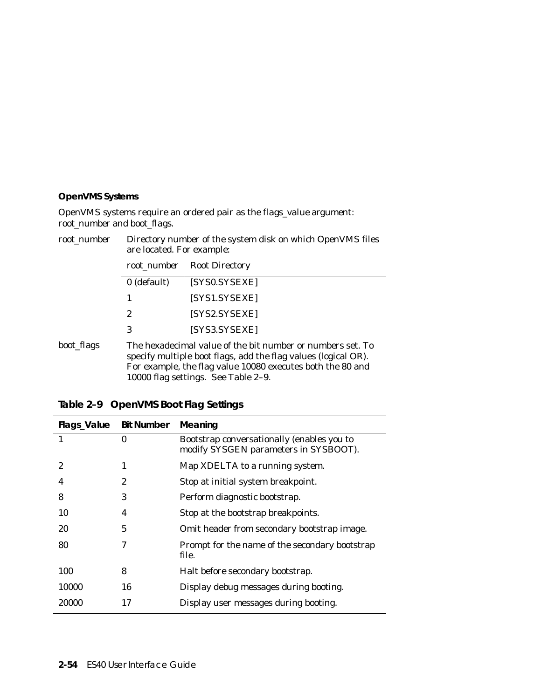## **OpenVMS Systems**

OpenVMS systems require an ordered pair as the *flags\_value* argument: *root\_number* and *boot\_flags*.

| root number | Directory number of the system disk on which OpenVMS files<br>are located. For example:                                                                                                                                           |                       |
|-------------|-----------------------------------------------------------------------------------------------------------------------------------------------------------------------------------------------------------------------------------|-----------------------|
|             | root_number                                                                                                                                                                                                                       | <b>Root Directory</b> |
|             | 0 (default)                                                                                                                                                                                                                       | [SYS0.SYSEXE]         |
|             | 1                                                                                                                                                                                                                                 | [SYS1.SYSEXE]         |
|             | 2                                                                                                                                                                                                                                 | [SYS2.SYSEXE]         |
|             | 3                                                                                                                                                                                                                                 | [SYS3.SYSEXE]         |
| boot_flags  | The hexadecimal value of the bit number or numbers set. To<br>specify multiple boot flags, add the flag values (logical OR).<br>For example, the flag value 10080 executes both the 80 and<br>10000 flag settings. See Table 2-9. |                       |

| Flags_Value Bit Number |    | Meaning                                                                             |
|------------------------|----|-------------------------------------------------------------------------------------|
| 1                      | 0  | Bootstrap conversationally (enables you to<br>modify SYSGEN parameters in SYSBOOT). |
| 2                      | 1  | Map XDELTA to a running system.                                                     |
| 4                      | 2  | Stop at initial system breakpoint.                                                  |
| 8                      | 3  | Perform diagnostic bootstrap.                                                       |
| 10                     | 4  | Stop at the bootstrap breakpoints.                                                  |
| 20                     | 5  | Omit header from secondary bootstrap image.                                         |
| 80                     | 7  | Prompt for the name of the secondary bootstrap<br>file.                             |
| 100                    | 8  | Halt before secondary bootstrap.                                                    |
| 10000                  | 16 | Display debug messages during booting.                                              |
| 20000                  | 17 | Display user messages during booting.                                               |

| Table 2-9 OpenVMS Boot Flag Settings |
|--------------------------------------|
|                                      |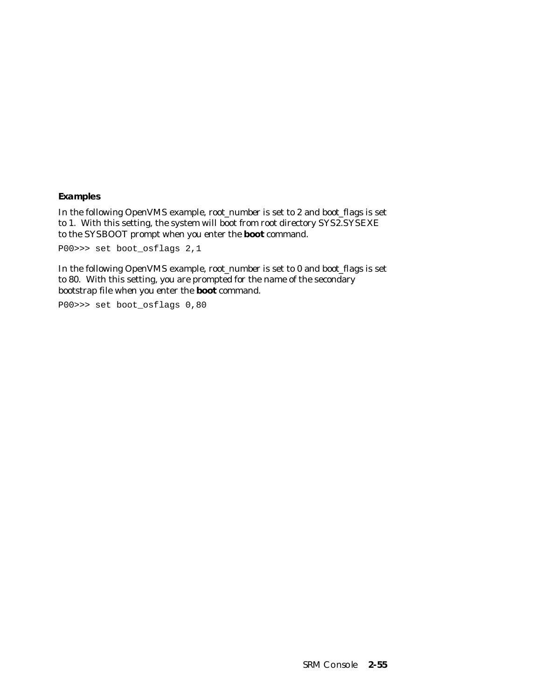**Examples**

In the following OpenVMS example, *root\_number* is set to 2 and *boot\_flags* is set to 1. With this setting, the system will boot from root directory SYS2.SYSEXE to the SYSBOOT prompt when you enter the **boot** command.

P00>>> set boot\_osflags 2,1

In the following OpenVMS example, *root\_number* is set to 0 and *boot\_flags* is set to 80. With this setting, you are prompted for the name of the secondary bootstrap file when you enter the **boot** command.

P00>>> set boot\_osflags 0,80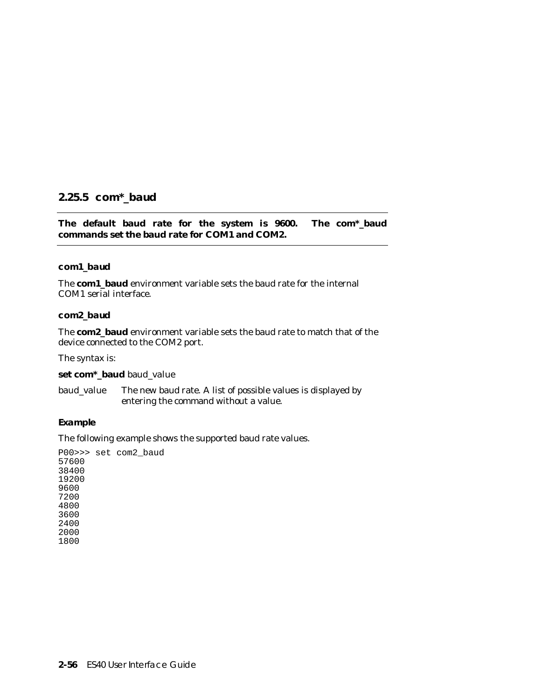# **2.25.5 com\*\_baud**

**The default baud rate for the system is 9600. The com\*\_baud commands set the baud rate for COM1 and COM2.**

### **com1\_baud**

The **com1\_baud** environment variable sets the baud rate for the internal COM1 serial interface.

#### **com2\_baud**

The **com2\_baud** environment variable sets the baud rate to match that of the device connected to the COM2 port.

The syntax is:

**set com\*\_baud** *baud\_value*

*baud\_value* The new baud rate. A list of possible values is displayed by entering the command without a value.

#### **Example**

The following example shows the supported baud rate values.

P00>>> set com2\_baud 57600 38400 19200 9600 7200 4800 3600 2400 2000 1800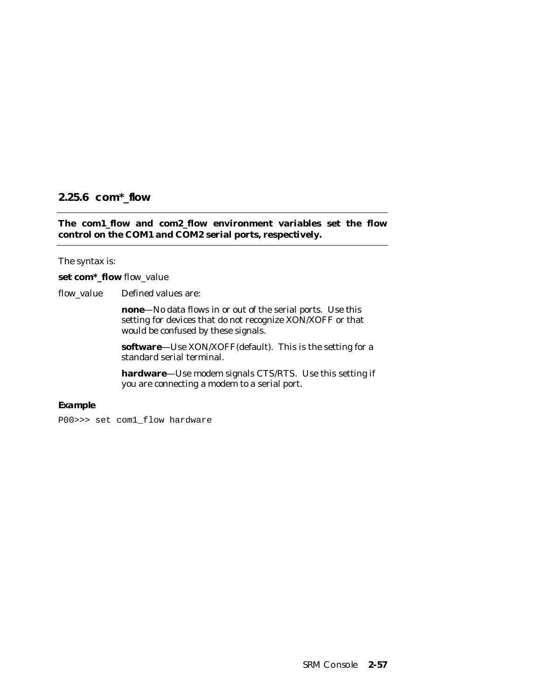# **2.25.6 com\*\_flow**

### **The com1\_flow and com2\_flow environment variables set the flow control on the COM1 and COM2 serial ports, respectively.**

The syntax is:

#### **set com\*\_flow** *flow\_value*

*flow\_value* Defined values are:

**none**—No data flows in or out of the serial ports. Use this setting for devices that do not recognize XON/XOFF or that would be confused by these signals.

**software**—Use XON/XOFF(default). This is the setting for a standard serial terminal.

**hardware**—Use modem signals CTS/RTS. Use this setting if you are connecting a modem to a serial port.

#### **Example**

P00>>> set com1\_flow hardware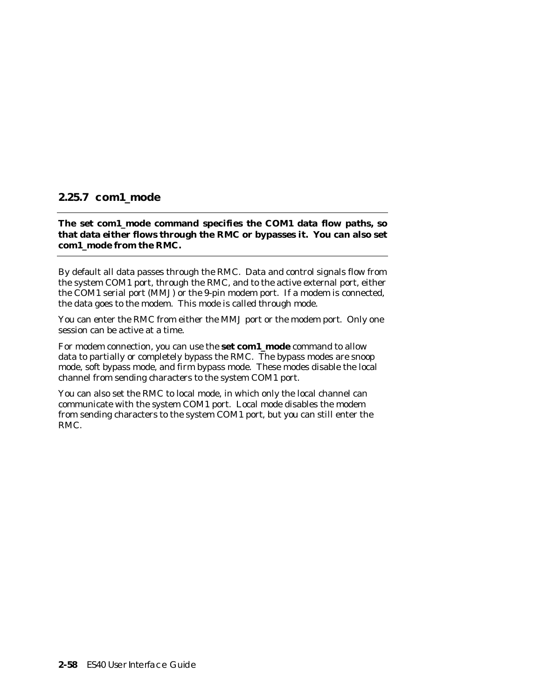# **2.25.7 com1\_mode**

**The set com1\_mode command specifies the COM1 data flow paths, so that data either flows through the RMC or bypasses it. You can also set com1\_mode from the RMC.**

By default all data passes through the RMC. Data and control signals flow from the system COM1 port, through the RMC, and to the active external port, either the COM1 serial port (MMJ) or the 9-pin modem port. If a modem is connected, the data goes to the modem. This mode is called through mode.

You can enter the RMC from either the MMJ port or the modem port. Only one session can be active at a time.

For modem connection, you can use the **set com1\_mode** command to allow data to partially or completely bypass the RMC. The bypass modes are snoop mode, soft bypass mode, and firm bypass mode. These modes disable the local channel from sending characters to the system COM1 port.

You can also set the RMC to local mode, in which only the local channel can communicate with the system COM1 port. Local mode disables the modem from sending characters to the system COM1 port, but you can still enter the RMC.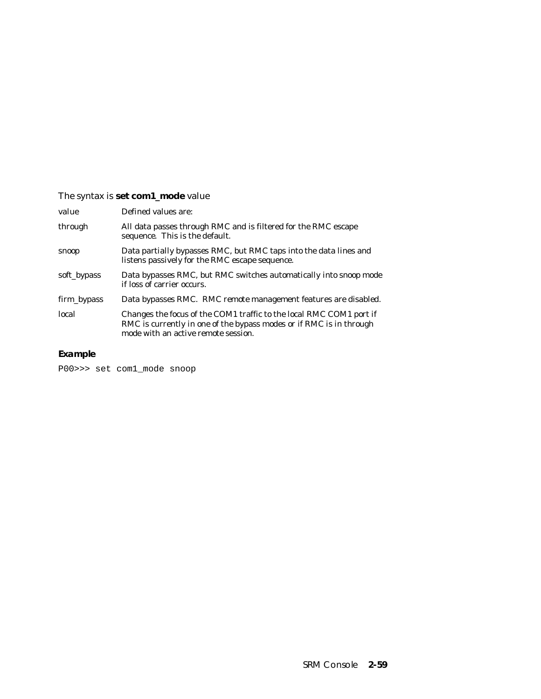# The syntax is **set com1\_mode** *value*

| value       | Defined values are:                                                                                                                                                               |
|-------------|-----------------------------------------------------------------------------------------------------------------------------------------------------------------------------------|
| through     | All data passes through RMC and is filtered for the RMC escape<br>sequence. This is the default.                                                                                  |
| snoop       | Data partially bypasses RMC, but RMC taps into the data lines and<br>listens passively for the RMC escape sequence.                                                               |
| soft_bypass | Data bypasses RMC, but RMC switches automatically into snoop mode<br>if loss of carrier occurs.                                                                                   |
| firm_bypass | Data bypasses RMC. RMC remote management features are disabled.                                                                                                                   |
| local       | Changes the focus of the COM1 traffic to the local RMC COM1 port if<br>RMC is currently in one of the bypass modes or if RMC is in through<br>mode with an active remote session. |

# **Example**

P00>>> set com1\_mode snoop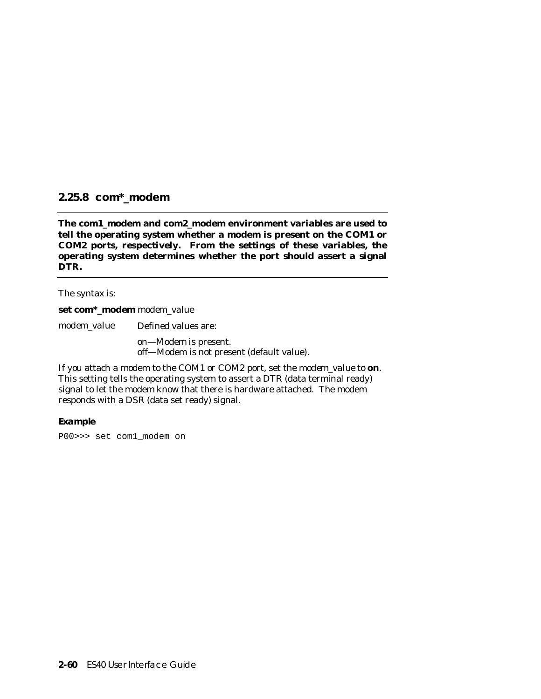# **2.25.8 com\*\_modem**

**The com1\_modem and com2\_modem environment variables are used to tell the operating system whether a modem is present on the COM1 or COM2 ports, respectively. From the settings of these variables, the operating system determines whether the port should assert a signal DTR.**

The syntax is:

**set com\*\_modem** *modem\_value*

*modem\_value* Defined values are:

on—Modem is present. off—Modem is not present (default value).

If you attach a modem to the COM1 or COM2 port, set the *modem\_value* to **on**. This setting tells the operating system to assert a DTR (data terminal ready) signal to let the modem know that there is hardware attached. The modem responds with a DSR (data set ready) signal.

#### **Example**

P00>>> set com1\_modem on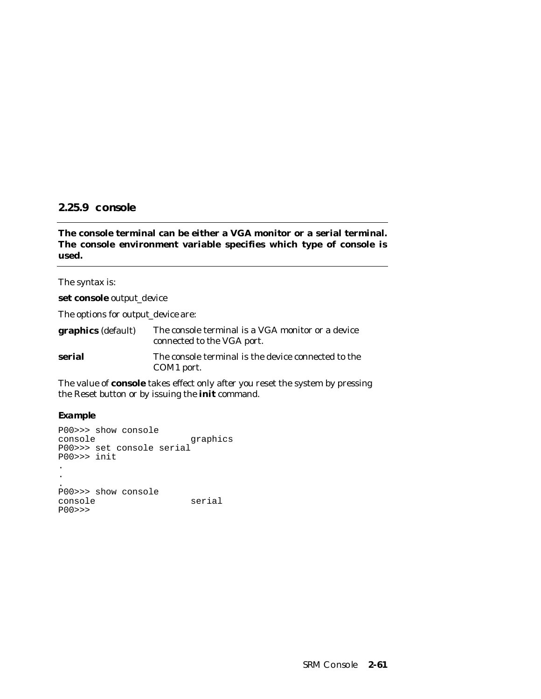## **2.25.9 console**

## **The console terminal can be either a VGA monitor or a serial terminal. The console environment variable specifies which type of console is used.**

The syntax is:

**set console** *output\_device*

The options for *output\_device* are:

| <b>graphics</b> (default) | The console terminal is a VGA monitor or a device<br>connected to the VGA port. |
|---------------------------|---------------------------------------------------------------------------------|
| serial                    | The console terminal is the device connected to the<br>COM <sub>1</sub> port.   |

The value of **console** takes effect only after you reset the system by pressing the Reset button or by issuing the **init** command.

**Example**

```
P00>>> show console
                     graphics
P00>>> set console serial
P00>>> init
.
.
.
P00>>> show console
console serial
P00>>>
```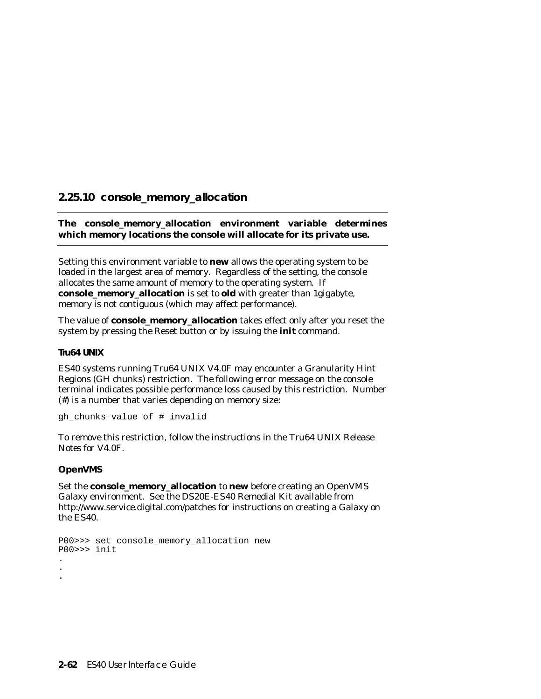# **2.25.10 console\_memory\_allocation**

### **The console\_memory\_allocation environment variable determines which memory locations the console will allocate for its private use.**

Setting this environment variable to **new** allows the operating system to be loaded in the largest area of memory. Regardless of the setting, the console allocates the same amount of memory to the operating system. If **console\_memory\_allocation** is set to **old** with greater than 1gigabyte, memory is not contiguous (which may affect performance).

The value of **console\_memory\_allocation** takes effect only after you reset the system by pressing the Reset button or by issuing the **init** command.

#### **Tru64 UNIX**

ES40 systems running Tru64 UNIX V4.0F may encounter a Granularity Hint Regions (GH chunks) restriction. The following error message on the console terminal indicates possible performance loss caused by this restriction. Number (#) is a number that varies depending on memory size:

gh\_chunks value of # invalid

To remove this restriction, follow the instructions in the *Tru64 UNIX Release Notes* for V4.0F*.*

#### **OpenVMS**

Set the **console\_memory\_allocation** to **new** before creating an OpenVMS Galaxy environment. See the DS20E-ES40 Remedial Kit available from http://www.service.digital.com/patches for instructions on creating a Galaxy on the ES40.

```
P00>>> set console_memory_allocation new
P00>>> init
.
.
.
```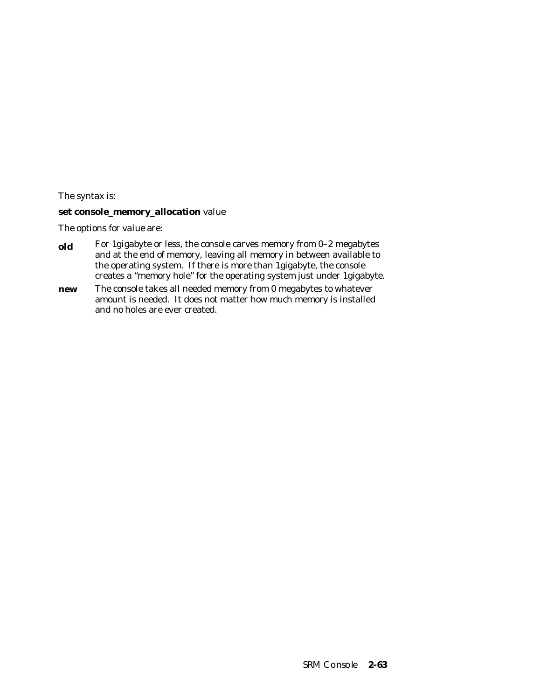The syntax is:

### **set console\_memory\_allocation** *value*

The options for *value* are:

- **old** For 1gigabyte or less, the console carves memory from 0-2 megabytes and at the end of memory, leaving all memory in between available to the operating system. If there is more than 1gigabyte, the console creates a "memory hole" for the operating system just under 1gigabyte.
- **new** The console takes all needed memory from 0 megabytes to whatever amount is needed. It does not matter how much memory is installed and no holes are ever created.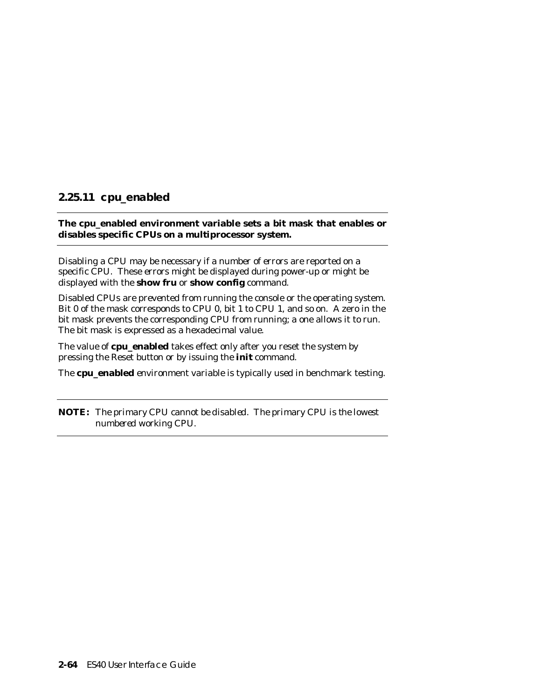# **2.25.11 cpu\_enabled**

## **The cpu\_enabled environment variable sets a bit mask that enables or disables specific CPUs on a multiprocessor system.**

Disabling a CPU may be necessary if a number of errors are reported on a specific CPU. These errors might be displayed during power-up or might be displayed with the **show fru** or **show config** command.

Disabled CPUs are prevented from running the console or the operating system. Bit 0 of the mask corresponds to CPU 0, bit 1 to CPU 1, and so on. A zero in the bit mask prevents the corresponding CPU from running; a one allows it to run. The bit mask is expressed as a hexadecimal value.

The value of **cpu\_enabled** takes effect only after you reset the system by pressing the Reset button or by issuing the **init** command.

The **cpu\_enabled** environment variable is typically used in benchmark testing.

**NOTE:** *The primary CPU cannot be disabled. The primary CPU is the lowest numbered working CPU.*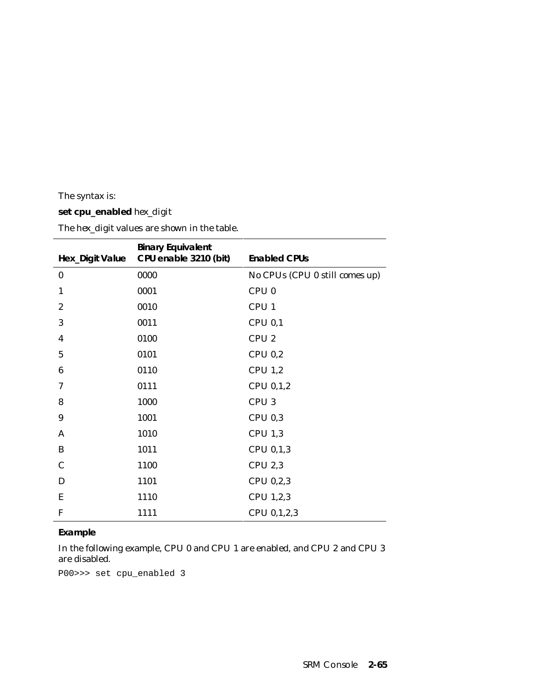The syntax is:

# **set cpu\_enabled** *hex\_digit*

| <b>Hex_Digit Value</b> | <b>Binary Equivalent</b><br>CPU enable 3210 (bit) | <b>Enabled CPUs</b>            |
|------------------------|---------------------------------------------------|--------------------------------|
| $\bf{0}$               | 0000                                              | No CPUs (CPU 0 still comes up) |
| 1                      | 0001                                              | CPU <sub>0</sub>               |
| $\boldsymbol{2}$       | 0010                                              | CPU <sub>1</sub>               |
| 3                      | 0011                                              | CPU 0,1                        |
| 4                      | 0100                                              | CPU <sub>2</sub>               |
| $\overline{5}$         | 0101                                              | CPU 0,2                        |
| $\boldsymbol{6}$       | 0110                                              | CPU <sub>1,2</sub>             |
| 7                      | 0111                                              | CPU 0,1,2                      |
| 8                      | 1000                                              | CPU <sub>3</sub>               |
| 9                      | 1001                                              | CPU 0,3                        |
| A                      | 1010                                              | <b>CPU 1,3</b>                 |
| B                      | 1011                                              | CPU 0,1,3                      |
| $\mathbf C$            | 1100                                              | <b>CPU 2,3</b>                 |
| D                      | 1101                                              | CPU 0,2,3                      |
| Ε                      | 1110                                              | CPU 1,2,3                      |
| $\mathbf{F}$           | 1111                                              | CPU 0,1,2,3                    |

The *hex\_digit* values are shown in the table.

### **Example**

In the following example, CPU 0 and CPU 1 are enabled, and CPU 2 and CPU 3 are disabled.

P00>>> set cpu\_enabled 3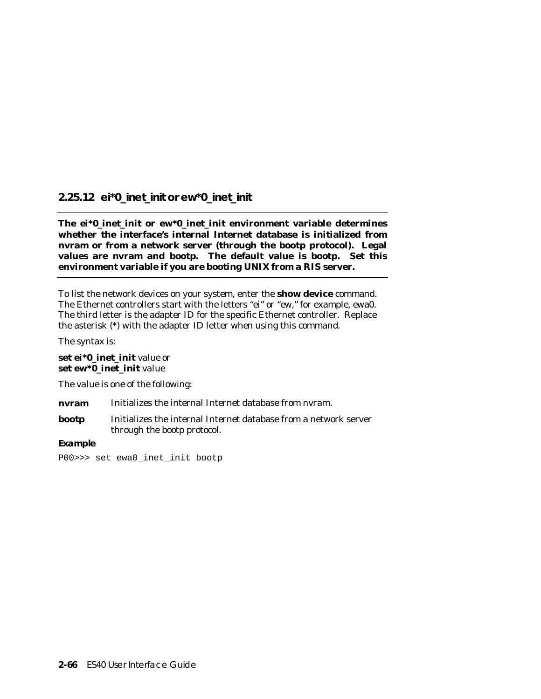# **2.25.12 ei\*0\_inet\_init or ew\*0\_inet\_init**

**The ei\*0\_inet\_init or ew\*0\_inet\_init environment variable determines whether the interface's internal Internet database is initialized from nvram or from a network server (through the bootp protocol). Legal values are nvram and bootp. The default value is bootp. Set this environment variable if you are booting UNIX from a RIS server.**

To list the network devices on your system, enter the **show device** command. The Ethernet controllers start with the letters "ei" or "ew," for example, ewa0. The third letter is the adapter ID for the specific Ethernet controller. Replace the asterisk (\*) with the adapter ID letter when using this command.

The syntax is:

### **set ei\*0\_inet\_init** *value* or **set ew\*0\_inet\_init** *value*

The *value* is one of the following:

**nvram** Initializes the internal Internet database from nvram.

**bootp** Initializes the internal Internet database from a network server through the bootp protocol.

#### **Example**

```
P00>>> set ewa0_inet_init bootp
```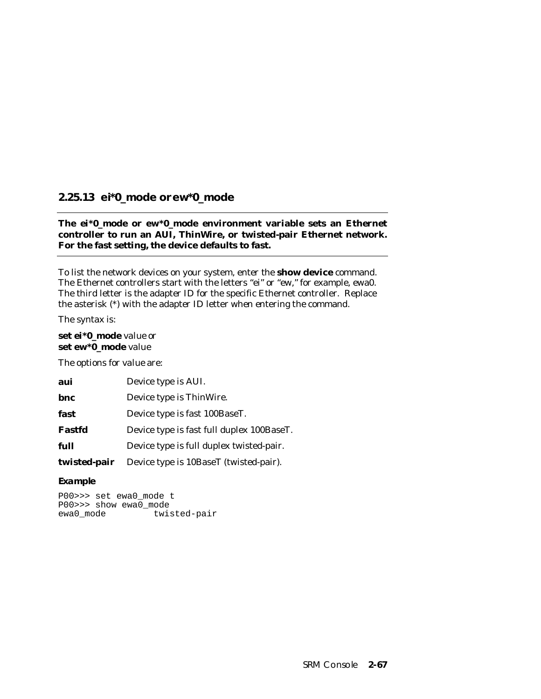# **2.25.13 ei\*0\_mode or ew\*0\_mode**

### **The ei\*0\_mode or ew\*0\_mode environment variable sets an Ethernet controller to run an AUI, ThinWire, or twisted-pair Ethernet network. For the fast setting, the device defaults to fast.**

To list the network devices on your system, enter the **show device** command. The Ethernet controllers start with the letters "ei" or "ew," for example, ewa0. The third letter is the adapter ID for the specific Ethernet controller. Replace the asterisk (\*) with the adapter ID letter when entering the command.

The syntax is:

## **set ei\*0\_mode** *value* or **set ew\*0\_mode** *value*

The options for *value* are:

| aui          | Device type is AUI.                       |
|--------------|-------------------------------------------|
| bnc          | Device type is ThinWire.                  |
| fast         | Device type is fast 100BaseT.             |
| Fastfd       | Device type is fast full duplex 100BaseT. |
| full         | Device type is full duplex twisted-pair.  |
| twisted-pair | Device type is 10BaseT (twisted-pair).    |

### **Example**

P00>>> set ewa0\_mode t P00>>> show ewa0\_mode<br>ewa0\_mode twis twisted-pair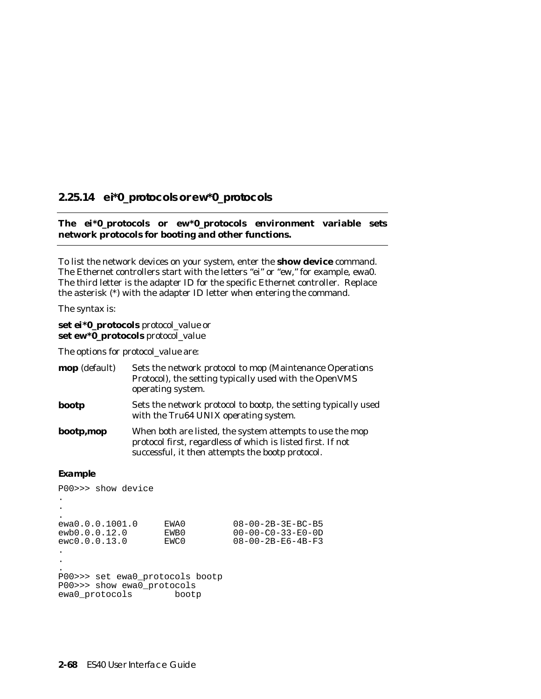# **2.25.14 ei\*0\_protocols or ew\*0\_protocols**

### **The ei\*0\_protocols or ew\*0\_protocols environment variable sets network protocols for booting and other functions.**

To list the network devices on your system, enter the **show device** command. The Ethernet controllers start with the letters "ei" or "ew," for example, ewa0. The third letter is the adapter ID for the specific Ethernet controller. Replace the asterisk (\*) with the adapter ID letter when entering the command.

The syntax is:

#### **set ei\*0\_protocols** *protocol\_value* or **set ew\*0\_protocols** *protocol\_value*

The options for *protocol\_value* are:

| <b>mop</b> (default) | Sets the network protocol to mop (Maintenance Operations<br>Protocol), the setting typically used with the OpenVMS<br>operating system.                                     |
|----------------------|-----------------------------------------------------------------------------------------------------------------------------------------------------------------------------|
| bootp                | Sets the network protocol to bootp, the setting typically used<br>with the Tru64 UNIX operating system.                                                                     |
| bootp,mop            | When both are listed, the system attempts to use the mop<br>protocol first, regardless of which is listed first. If not<br>successful, it then attempts the bootp protocol. |

#### **Example**

```
P00>>> show device
.
.
.
ewa0.0.0.1001.0 EWA0 08-00-2B-3E-BC-B5
ewb0.0.0.12.0 EWB0 00-00-C0-33-E0-0D
ewc0.0.0.13.0 EWC0 08-00-2B-E6-4B-F3
.
.
.
P00>>> set ewa0_protocols bootp
P00>>> show ewa0_protocols
ewa0_protocols
```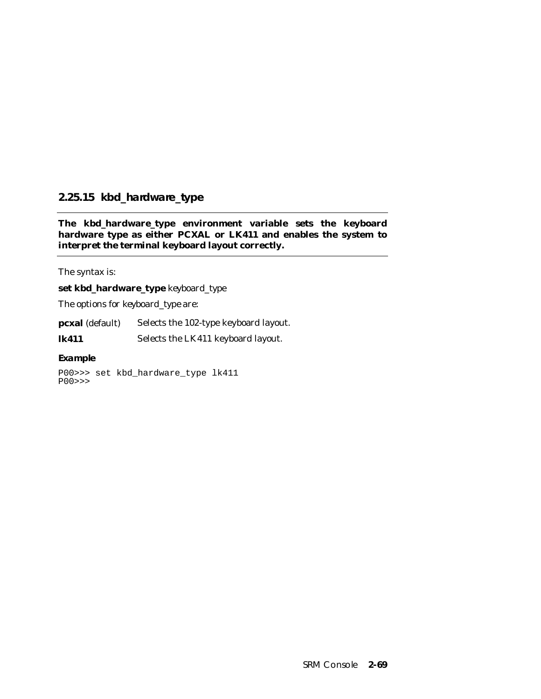# **2.25.15 kbd\_hardware\_type**

**The kbd\_hardware\_type environment variable sets the keyboard hardware type as either PCXAL or LK411 and enables the system to interpret the terminal keyboard layout correctly.**

The syntax is:

**set kbd\_hardware\_type** *keyboard\_type*

The options for *keyboard\_type* are:

**pcxal** (default) Selects the 102-type keyboard layout.

**lk411** Selects the LK411 keyboard layout.

#### **Example**

P00>>> set kbd\_hardware\_type lk411 P00>>>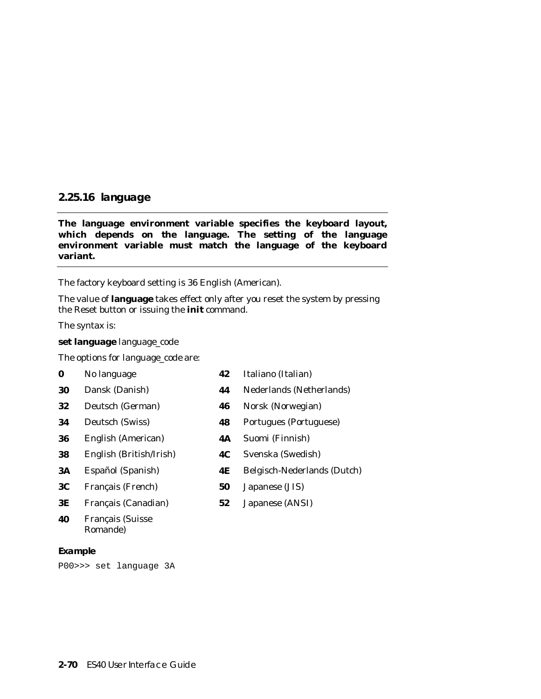# **2.25.16 language**

**The language environment variable specifies the keyboard layout, which depends on the language. The setting of the language environment variable must match the language of the keyboard variant.**

The factory keyboard setting is 36 English (American).

The value of **language** takes effect only after you reset the system by pressing the Reset button or issuing the **init** command.

The syntax is:

**set language** *language\_code*

The options for *language\_code* are:

- 
- 
- 
- 
- **36** English (American) **4A** Suomi (Finnish)
- **38** English (British/Irish) **4C** Svenska (Swedish)
- 
- **3C** Français (French) **50** Japanese (JIS)
- **3E** Français (Canadian) **52** Japanese (ANSI)
- **40** Français (Suisse Romande)

#### **Example**

P00>>> set language 3A

- **0** No language **42** Italiano (Italian)
- **30** Dansk (Danish) **44** Nederlands (Netherlands)
- **32** Deutsch (German) **46** Norsk (Norwegian)
- **34** Deutsch (Swiss) **48** Portugues (Portuguese)
	-
	-
- **3A** Español (Spanish) **4E** Belgisch-Nederlands (Dutch)
	-
	-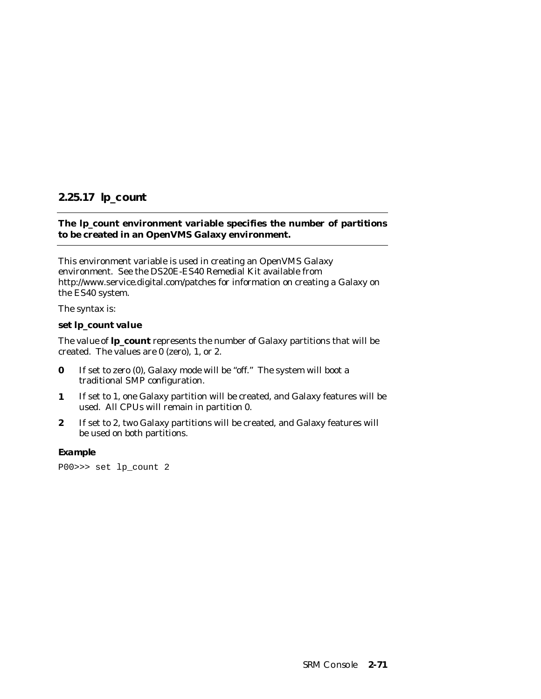# **2.25.17 lp\_count**

# **The lp\_count environment variable specifies the number of partitions to be created in an OpenVMS Galaxy environment.**

This environment variable is used in creating an OpenVMS Galaxy environment. See the DS20E-ES40 Remedial Kit available from http://www.service.digital.com/patches for information on creating a Galaxy on the ES40 system.

The syntax is:

### **set lp\_count** *value*

The *value* of **lp\_count** represents the number of Galaxy partitions that will be created. The values are 0 (zero), 1, or 2.

- **0** If set to zero (0), Galaxy mode will be "off." The system will boot a traditional SMP configuration.
- **1** If set to 1, one Galaxy partition will be created, and Galaxy features will be used. All CPUs will remain in partition 0.
- **2** If set to 2, two Galaxy partitions will be created, and Galaxy features will be used on both partitions.

#### **Example**

P00>>> set lp\_count 2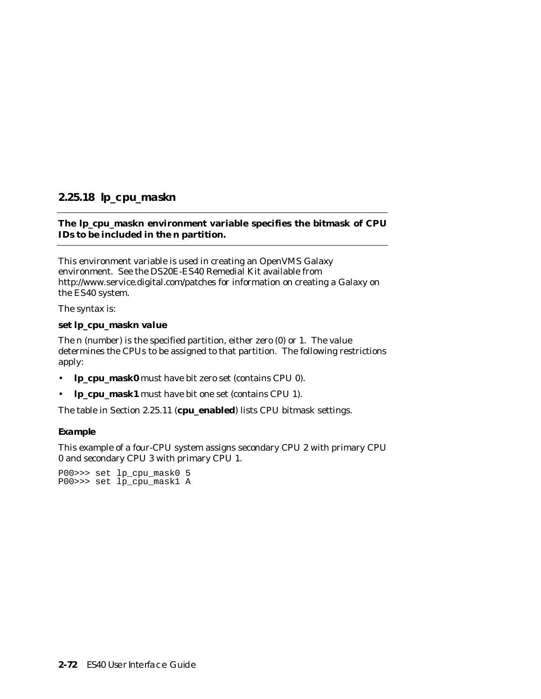# **2.25.18 lp\_cpu\_mask***n*

# **The lp\_cpu\_mask***n* **environment variable specifies the bitmask of CPU IDs to be included in the** *n* **partition.**

This environment variable is used in creating an OpenVMS Galaxy environment. See the DS20E-ES40 Remedial Kit available from http://www.service.digital.com/patches for information on creating a Galaxy on the ES40 system.

The syntax is:

### **set lp\_cpu\_mask***n value*

The *n* (number) is the specified partition, either zero (0) or 1. The *value* determines the CPUs to be assigned to that partition. The following restrictions apply:

- **lp\_cpu\_mask0** must have bit zero set (contains CPU 0).
- **lp\_cpu\_mask1** must have bit one set (contains CPU 1).

The table in Section 2.25.11 (**cpu\_enabled**) lists CPU bitmask settings.

#### **Example**

This example of a four-CPU system assigns secondary CPU 2 with primary CPU 0 and secondary CPU 3 with primary CPU 1.

P00>>> set lp\_cpu\_mask0 5 P00>>> set lp\_cpu\_mask1 A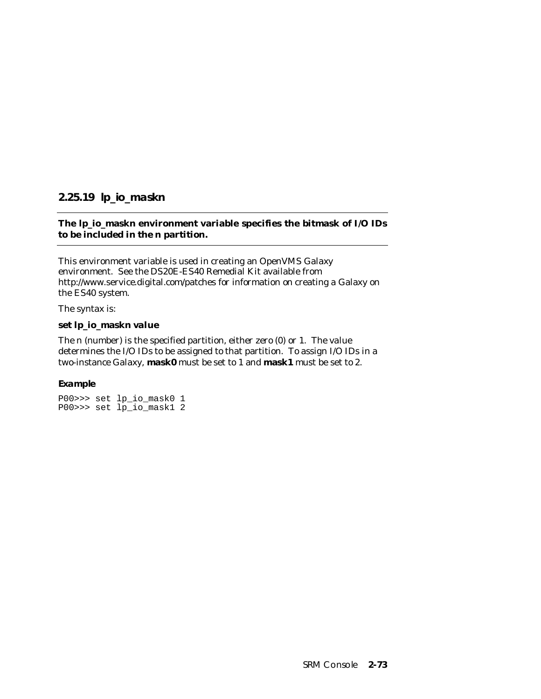# **2.25.19 lp\_io\_mask***n*

# **The lp\_io\_mask***n* **environment variable specifies the bitmask of I/O IDs to be included in the** *n* **partition.**

This environment variable is used in creating an OpenVMS Galaxy environment. See the DS20E-ES40 Remedial Kit available from http://www.service.digital.com/patches for information on creating a Galaxy on the ES40 system.

The syntax is:

### **set lp\_io\_mask***n value*

The *n* (number) is the specified partition, either zero (0) or 1. The *value* determines the I/O IDs to be assigned to that partition. To assign I/O IDs in a two-instance Galaxy, **mask0** must be set to 1 and **mask1** must be set to 2.

### **Example**

```
P00>>> set lp_io_mask0 1
P00>>> set lp_io_mask1 2
```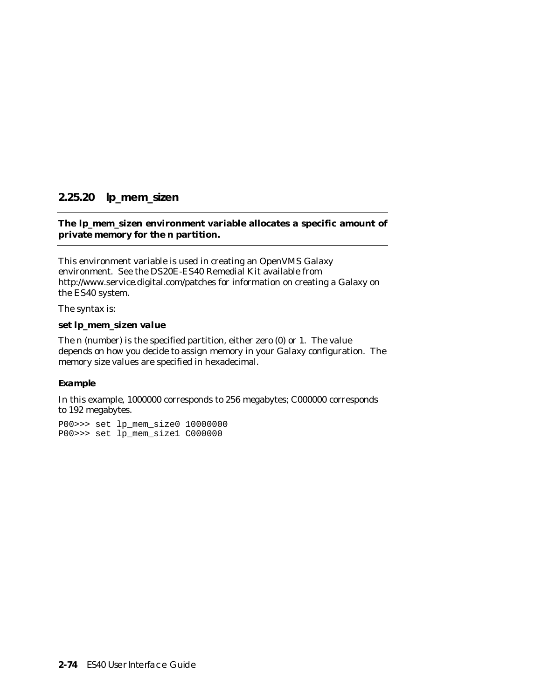# **2.25.20 lp\_mem\_size***n*

### **The lp\_mem\_size***n* **environment variable allocates a specific amount of private memory for the** *n* **partition.**

This environment variable is used in creating an OpenVMS Galaxy environment. See the DS20E-ES40 Remedial Kit available from http://www.service.digital.com/patches for information on creating a Galaxy on the ES40 system.

The syntax is:

#### **set lp\_mem\_size***n value*

The *n* (number) is the specified partition, either zero (0) or 1. The *value* depends on how you decide to assign memory in your Galaxy configuration. The memory size values are specified in hexadecimal.

#### **Example**

In this example, 1000000 corresponds to 256 megabytes; C000000 corresponds to 192 megabytes.

P00>>> set lp\_mem\_size0 10000000 P00>>> set lp\_mem\_size1 C000000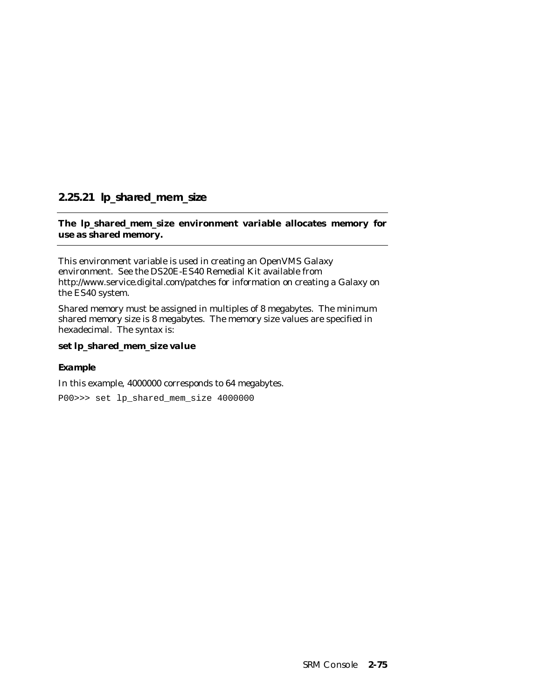# **2.25.21 lp\_shared\_mem\_size**

# **The lp\_shared\_mem\_size environment variable allocates memory for use as shared memory.**

This environment variable is used in creating an OpenVMS Galaxy environment. See the DS20E-ES40 Remedial Kit available from http://www.service.digital.com/patches for information on creating a Galaxy on the ES40 system.

Shared memory must be assigned in multiples of 8 megabytes. The minimum shared memory size is 8 megabytes. The memory size values are specified in hexadecimal. The syntax is:

### **set lp\_shared\_mem\_size** *value*

### **Example**

In this example, 4000000 corresponds to 64 megabytes.

P00>>> set lp\_shared\_mem\_size 4000000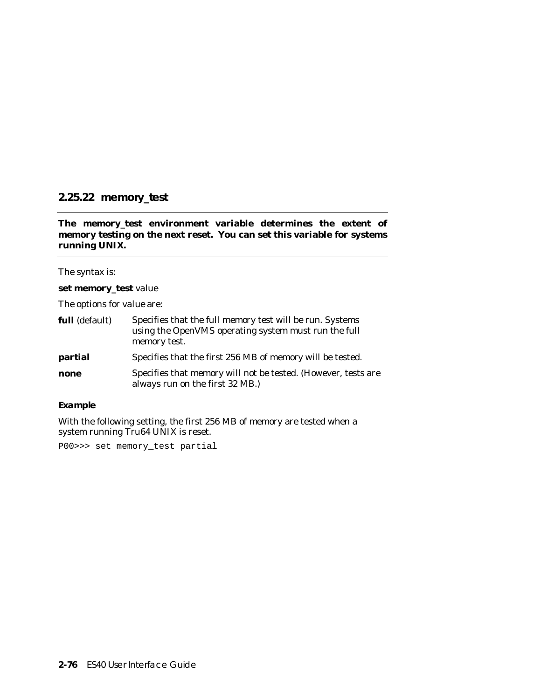# **2.25.22 memory\_test**

**The memory\_test environment variable determines the extent of memory testing on the next reset. You can set this variable for systems running UNIX.**

The syntax is:

#### **set memory\_test** *value*

The options for *value* are:

| full (default) | Specifies that the full memory test will be run. Systems<br>using the OpenVMS operating system must run the full<br>memory test. |  |  |
|----------------|----------------------------------------------------------------------------------------------------------------------------------|--|--|
| partial        | Specifies that the first 256 MB of memory will be tested.                                                                        |  |  |
| none           | Specifies that memory will not be tested. (However, tests are<br>always run on the first 32 MB.)                                 |  |  |

#### **Example**

With the following setting, the first 256 MB of memory are tested when a system running Tru64 UNIX is reset.

P00>>> set memory\_test partial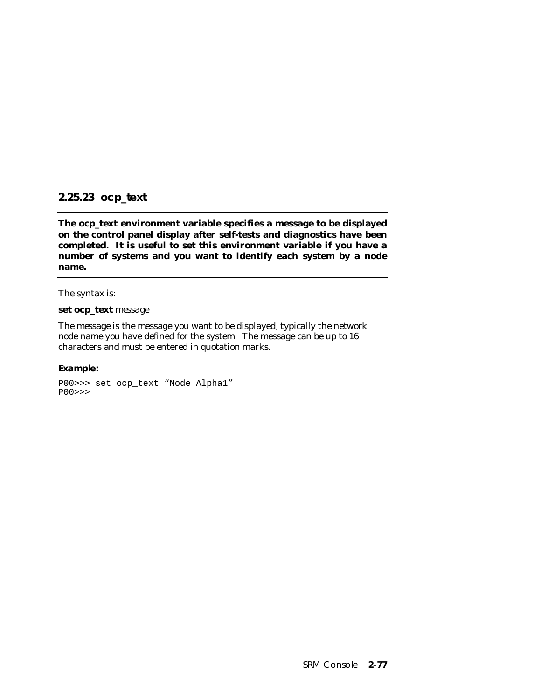# **2.25.23 ocp\_text**

**The ocp\_text environment variable specifies a message to be displayed on the control panel display after self-tests and diagnostics have been completed. It is useful to set this environment variable if you have a number of systems and you want to identify each system by a node name.**

The syntax is:

#### **set ocp\_text** *message*

The *message* is the message you want to be displayed, typically the network node name you have defined for the system. The message can be up to 16 characters and must be entered in quotation marks.

#### **Example:**

```
P00>>> set ocp_text "Node Alpha1"
P00>>>
```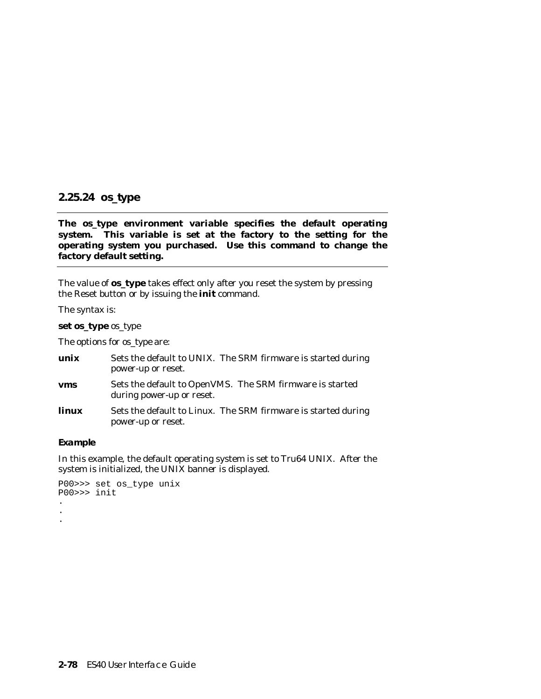# **2.25.24 os\_type**

**The os\_type environment variable specifies the default operating system. This variable is set at the factory to the setting for the operating system you purchased. Use this command to change the factory default setting.**

The value of **os\_type** takes effect only after you reset the system by pressing the Reset button or by issuing the **init** command.

The syntax is:

**set os\_type** *os\_type*

The options for *os\_type* are:

| unix  | Sets the default to UNIX. The SRM firmware is started during<br>power-up or reset.    |
|-------|---------------------------------------------------------------------------------------|
| vms   | Sets the default to OpenVMS. The SRM firmware is started<br>during power-up or reset. |
| linux | Sets the default to Linux. The SRM firmware is started during<br>power-up or reset.   |

#### **Example**

In this example, the default operating system is set to Tru64 UNIX. After the system is initialized, the UNIX banner is displayed.

```
P00>>> set os_type unix
P00>>> init
.
.
.
```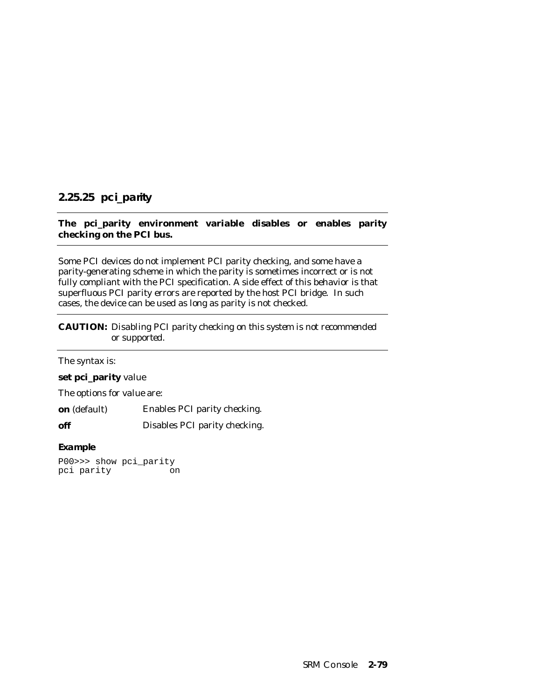# **2.25.25 pci\_parity**

# **The pci\_parity environment variable disables or enables parity checking on the PCI bus.**

Some PCI devices do not implement PCI parity checking, and some have a parity-generating scheme in which the parity is sometimes incorrect or is not fully compliant with the PCI specification. A side effect of this behavior is that superfluous PCI parity errors are reported by the host PCI bridge. In such cases, the device can be used as long as parity is not checked.

**CAUTION:** *Disabling PCI parity checking on this system is not recommended or supported.*

| The syntax is:                    |                               |
|-----------------------------------|-------------------------------|
| set pci_parity value              |                               |
| The options for <i>value</i> are: |                               |
| <b>on</b> (default)               | Enables PCI parity checking.  |
| off                               | Disables PCI parity checking. |
| Expanded a                        |                               |

### **Example**

P00>>> show pci\_parity pci parity on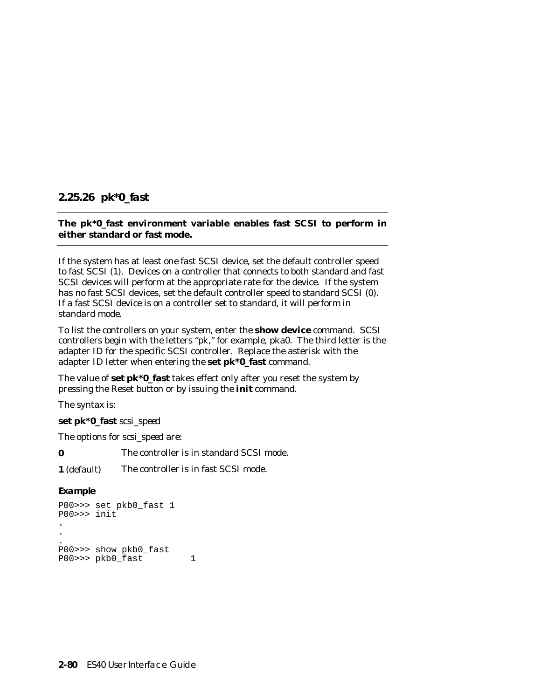# **2.25.26 pk\*0\_fast**

## **The pk\*0\_fast environment variable enables fast SCSI to perform in either standard or fast mode.**

If the system has at least one fast SCSI device, set the default controller speed to fast SCSI (1). Devices on a controller that connects to both standard and fast SCSI devices will perform at the appropriate rate for the device. If the system has no fast SCSI devices, set the default controller speed to standard SCSI (0). If a fast SCSI device is on a controller set to standard, it will perform in standard mode.

To list the controllers on your system, enter the **show device** command. SCSI controllers begin with the letters "pk," for example, pka0. The third letter is the adapter ID for the specific SCSI controller. Replace the asterisk with the adapter ID letter when entering the **set pk\*0\_fast** command.

The value of **set pk\*0\_fast** takes effect only after you reset the system by pressing the Reset button or by issuing the **init** command.

The syntax is:

**set pk\*0\_fast** *scsi\_speed*

The options for *scsi\_speed* are:

**0** The controller is in standard SCSI mode.

**1** (default) The controller is in fast SCSI mode.

### **Example**

```
P00>>> set pkb0_fast 1
P00>>> init
.
.
.
P00>>> show pkb0_fast
P00>>> pkb0_fast 1
```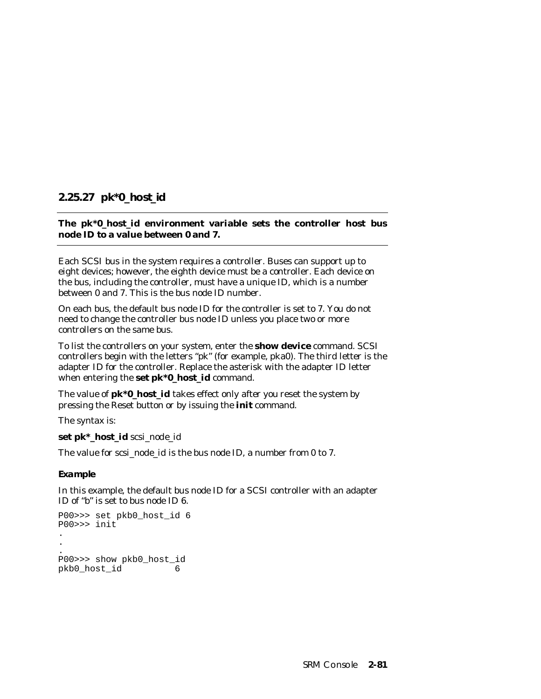# **2.25.27 pk\*0\_host\_id**

# **The pk\*0\_host\_id environment variable sets the controller host bus node ID to a value between 0 and 7.**

Each SCSI bus in the system requires a controller. Buses can support up to eight devices; however, the eighth device must be a controller. Each device on the bus, including the controller, must have a unique ID, which is a number between 0 and 7. This is the bus node ID number.

On each bus, the default bus node ID for the controller is set to 7. You do not need to change the controller bus node ID unless you place two or more controllers on the same bus.

To list the controllers on your system, enter the **show device** command. SCSI controllers begin with the letters "pk" (for example, pka0). The third letter is the adapter ID for the controller. Replace the asterisk with the adapter ID letter when entering the **set pk\*0\_host\_id** command.

The value of **pk\*0\_host\_id** takes effect only after you reset the system by pressing the Reset button or by issuing the **init** command.

The syntax is:

**set pk\*\_host\_id** *scsi\_node\_id*

The value for *scsi\_node\_id* is the bus node ID, a number from 0 to 7.

**Example**

In this example, the default bus node ID for a SCSI controller with an adapter ID of "b" is set to bus node ID 6.

```
P00>>> set pkb0_host_id 6
P00>>> init
.
.
.
P00>>> show pkb0_host_id
pkb0_host_id 6
```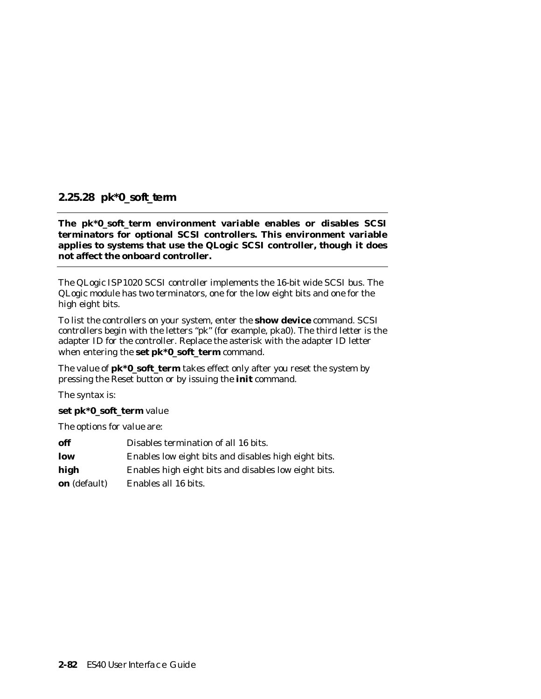# **2.25.28 pk\*0\_soft\_term**

**The pk\*0\_soft\_term environment variable enables or disables SCSI terminators for optional SCSI controllers. This environment variable applies to systems that use the QLogic SCSI controller, though it does not affect the onboard controller.**

The QLogic ISP1020 SCSI controller implements the 16-bit wide SCSI bus. The QLogic module has two terminators, one for the low eight bits and one for the high eight bits.

To list the controllers on your system, enter the **show device** command. SCSI controllers begin with the letters "pk" (for example, pka0). The third letter is the adapter ID for the controller. Replace the asterisk with the adapter ID letter when entering the **set pk\*0\_soft\_term** command.

The value of **pk\*0\_soft\_term** takes effect only after you reset the system by pressing the Reset button or by issuing the **init** command.

The syntax is:

### **set pk\*0\_soft\_term** *value*

The options for *value* are:

| off                 | Disables termination of all 16 bits.                 |
|---------------------|------------------------------------------------------|
| low                 | Enables low eight bits and disables high eight bits. |
| high                | Enables high eight bits and disables low eight bits. |
| <b>on</b> (default) | Enables all 16 bits.                                 |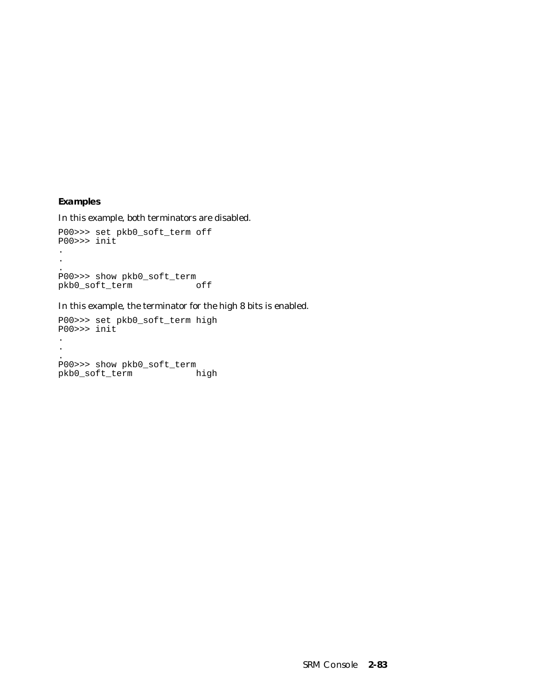### **Examples**

In this example, both terminators are disabled.

```
P00>>> set pkb0_soft_term off
P00>>> init
.
.
.
P00>>> show pkb0_soft_term
pkb0_soft_term off
```
In this example, the terminator for the high 8 bits is enabled.

P00>>> set pkb0\_soft\_term high P00>>> init . . . P00>>> show pkb0\_soft\_term pkb0\_soft\_term high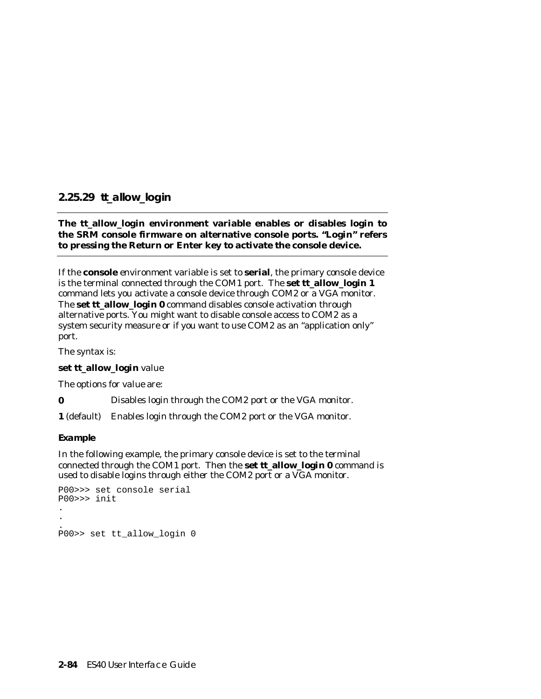# **2.25.29 tt\_allow\_login**

## **The tt\_allow\_login environment variable enables or disables login to the SRM console firmware on alternative console ports. "Login" refers to pressing the Return or Enter key to activate the console device.**

If the **console** environment variable is set to **serial**, the primary console device is the terminal connected through the COM1 port. The **set tt\_allow\_login 1** command lets you activate a console device through COM2 or a VGA monitor. The **set tt\_allow\_login 0** command disables console activation through alternative ports. You might want to disable console access to COM2 as a system security measure or if you want to use COM2 as an "application only" port.

The syntax is:

# **set tt\_allow\_login** *value*

The options for *value* are:

**0** Disables login through the COM2 port or the VGA monitor.

**1** (default) Enables login through the COM2 port or the VGA monitor.

#### **Example**

In the following example, the primary console device is set to the terminal connected through the COM1 port. Then the **set tt\_allow\_login 0** command is used to disable logins through either the COM2 port or a VGA monitor.

```
P00>>> set console serial
P00>>> init
.
.
.
P00>> set tt_allow_login 0
```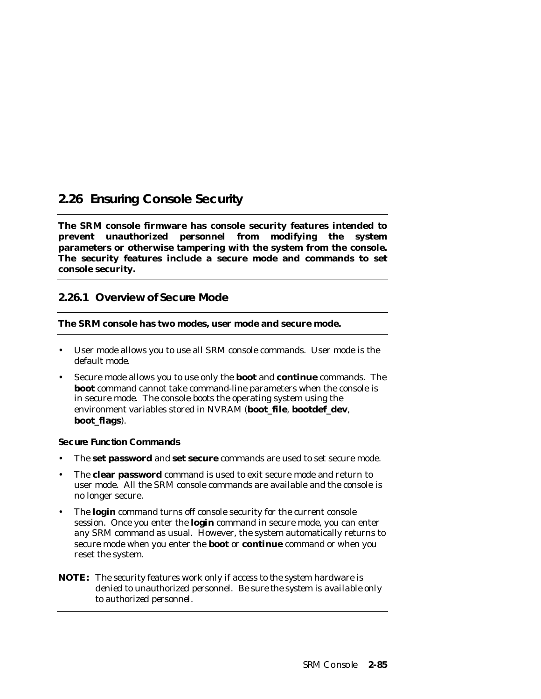# **2.26 Ensuring Console Security**

**The SRM console firmware has console security features intended to prevent unauthorized personnel from modifying the system parameters or otherwise tampering with the system from the console. The security features include a secure mode and commands to set console security.**

# **2.26.1 Overview of Secure Mode**

### **The SRM console has two modes, user mode and secure mode.**

- User mode allows you to use all SRM console commands. User mode is the default mode.
- Secure mode allows you to use only the **boot** and **continue** commands. The **boot** command cannot take command-line parameters when the console is in secure mode. The console boots the operating system using the environment variables stored in NVRAM (**boot\_file**, **bootdef\_dev**, **boot\_flags**).

### **Secure Function Commands**

- The **set password** and **set secure** commands are used to set secure mode.
- The **clear password** command is used to exit secure mode and return to user mode. All the SRM console commands are available and the console is no longer secure.
- The **login** command turns off console security for the current console session. Once you enter the **login** command in secure mode, you can enter any SRM command as usual. However, the system automatically returns to secure mode when you enter the **boot** or **continue** command or when you reset the system.

### **NOTE:** *The security features work only if access to the system hardware is denied to unauthorized personnel. Be sure the system is available only to authorized personnel.*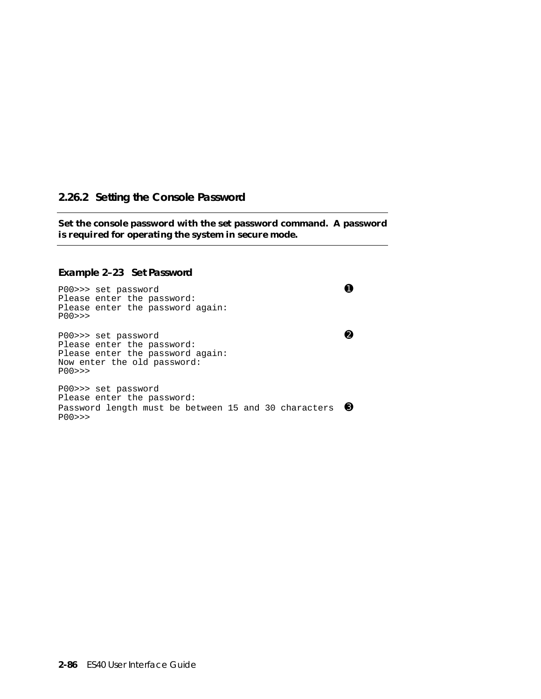# **2.26.2 Setting the Console Password**

**Set the console password with the set password command. A password is required for operating the system in secure mode.**

#### **Example 2–23 Set Password**

P00>>> set password **O** Please enter the password: Please enter the password again: P00>>> P00>>> set password ➋ Please enter the password: Please enter the password again: Now enter the old password: P00>>> P00>>> set password Please enter the password: Password length must be between 15 and 30 characters 6 P00>>>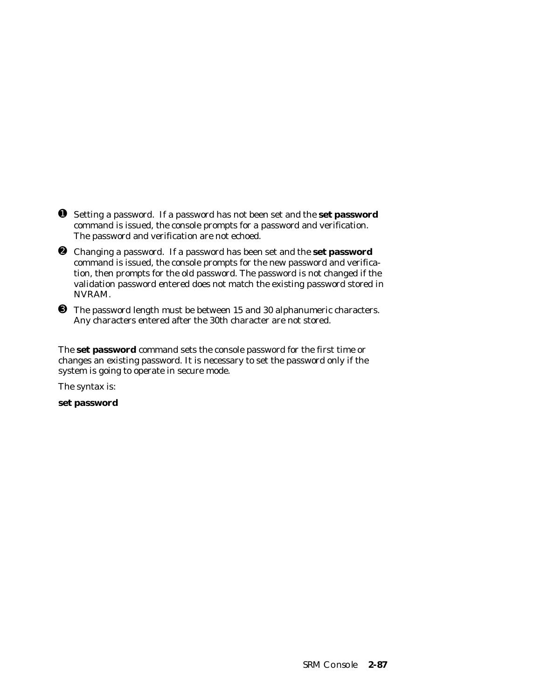- ➊ Setting a password. If a password has not been set and the **set password** command is issued, the console prompts for a password and verification. The password and verification are not echoed.
- ➋ Changing a password. If a password has been set and the **set password** command is issued, the console prompts for the new password and verification, then prompts for the old password. The password is not changed if the validation password entered does not match the existing password stored in NVRAM.
- ➌ The password length must be between 15 and 30 alphanumeric characters. Any characters entered after the 30th character are not stored.

The **set password** command sets the console password for the first time or changes an existing password. It is necessary to set the password only if the system is going to operate in secure mode.

The syntax is:

**set password**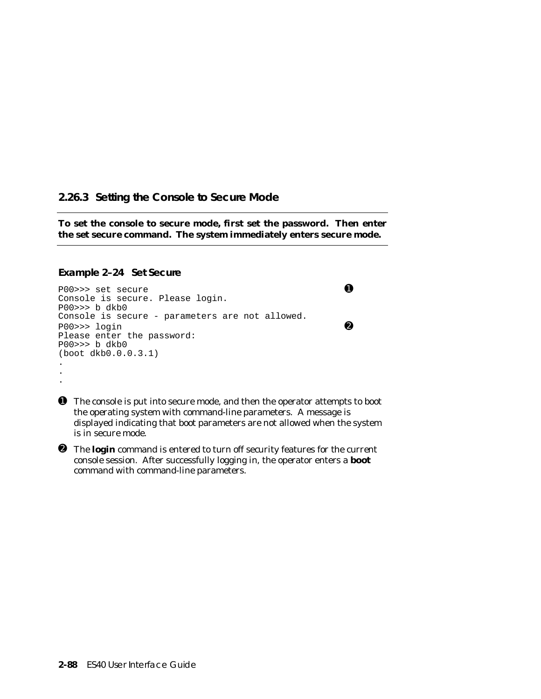# **2.26.3 Setting the Console to Secure Mode**

**To set the console to secure mode, first set the password. Then enter the set secure command. The system immediately enters secure mode.**

#### **Example 2–24 Set Secure**

```
P00>>> set secure O
Console is secure. Please login.
P00>>> b dkb0
Console is secure - parameters are not allowed.
P00>>> login ➋
Please enter the password:
P00>>> b dkb0
(boot dkb0.0.0.3.1)
.
.
.
```
➊ The console is put into secure mode, and then the operator attempts to boot the operating system with command-line parameters. A message is displayed indicating that boot parameters are not allowed when the system is in secure mode.

➋ The **login** command is entered to turn off security features for the current console session. After successfully logging in, the operator enters a **boot** command with command-line parameters.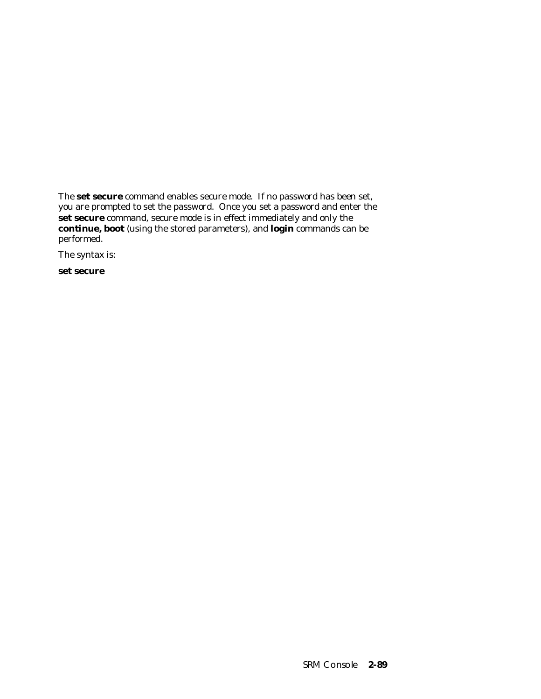The **set secure** command enables secure mode. If no password has been set, you are prompted to set the password. Once you set a password and enter the **set secure** command, secure mode is in effect immediately and only the **continue, boot** (using the stored parameters), and **login** commands can be performed.

The syntax is:

**set secure**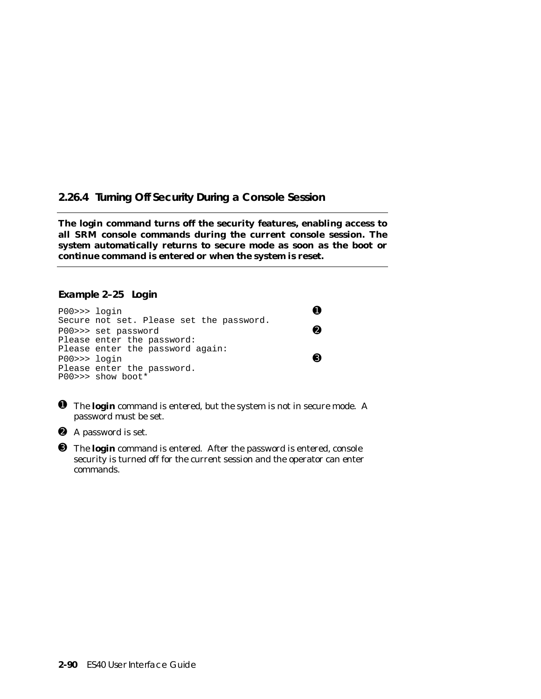# **2.26.4 Turning Off Security During a Console Session**

**The login command turns off the security features, enabling access to all SRM console commands during the current console session. The system automatically returns to secure mode as soon as the boot or continue command is entered or when the system is reset.**

### **Example 2–25 Login**

| $PO0 >>$ login | Secure not set. Please set the password.                       |  |
|----------------|----------------------------------------------------------------|--|
|                | P00>>> set password                                            |  |
|                | Please enter the password:<br>Please enter the password again: |  |
| $PO0 >>$ login | Please enter the password.                                     |  |
|                | P00>>> show boot*                                              |  |

- ➊ The **login** command is entered, but the system is not in secure mode. A password must be set.
- ➋ A password is set.
- ➌ The **login** command is entered. After the password is entered, console security is turned off for the current session and the operator can enter commands.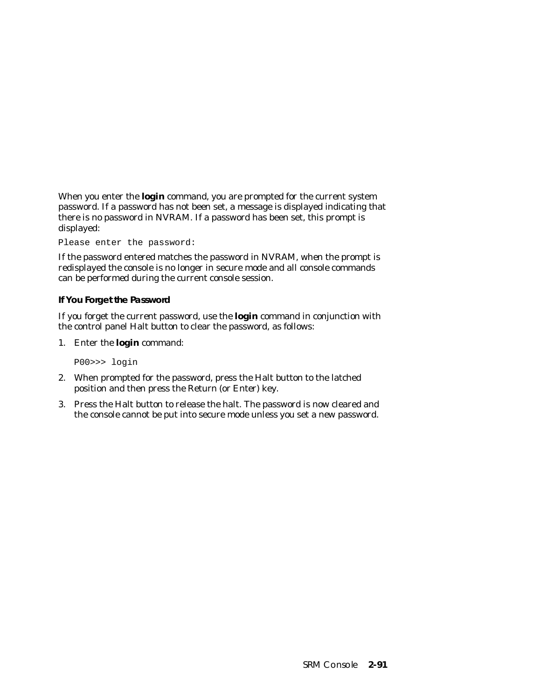When you enter the **login** command, you are prompted for the current system password. If a password has not been set, a message is displayed indicating that there is no password in NVRAM. If a password has been set, this prompt is displayed:

Please enter the password:

If the password entered matches the password in NVRAM, when the prompt is redisplayed the console is no longer in secure mode and all console commands can be performed during the current console session.

### **If You Forget the Password**

If you forget the current password, use the **login** command in conjunction with the control panel Halt button to clear the password, as follows:

1. Enter the **login** command:

P00>>> login

- 2. When prompted for the password, press the Halt button to the latched position and then press the Return (or Enter) key.
- 3. Press the Halt button to release the halt. The password is now cleared and the console cannot be put into secure mode unless you set a new password.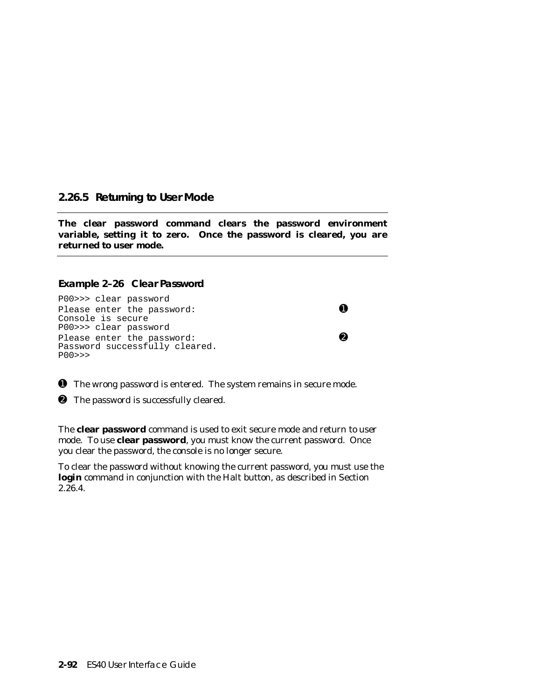### **2.26.5 Returning to User Mode**

**The clear password command clears the password environment variable, setting it to zero. Once the password is cleared, you are returned to user mode.**

### **Example 2–26 Clear Password**

P00>>> clear password Please enter the password:  $\bullet$ Console is secure P00>>> clear password Please enter the password:  $\bullet$ Password successfully cleared. P00>>>

➊ The wrong password is entered. The system remains in secure mode.

➋ The password is successfully cleared.

The **clear password** command is used to exit secure mode and return to user mode. To use **clear password**, you must know the current password. Once you clear the password, the console is no longer secure.

To clear the password without knowing the current password, you must use the **login** command in conjunction with the Halt button, as described in Section  $2.\overline{2}6.4.$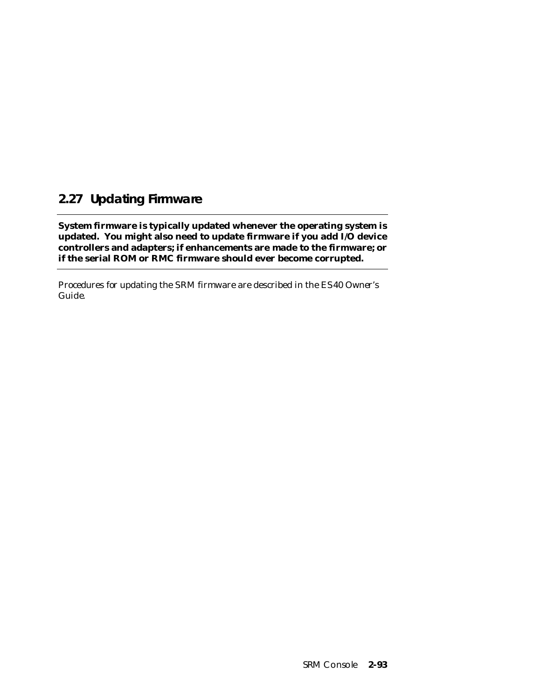# **2.27 Updating Firmware**

**System firmware is typically updated whenever the operating system is updated. You might also need to update firmware if you add I/O device controllers and adapters; if enhancements are made to the firmware; or if the serial ROM or RMC firmware should ever become corrupted.**

Procedures for updating the SRM firmware are described in the *ES40 Owner's Guide.*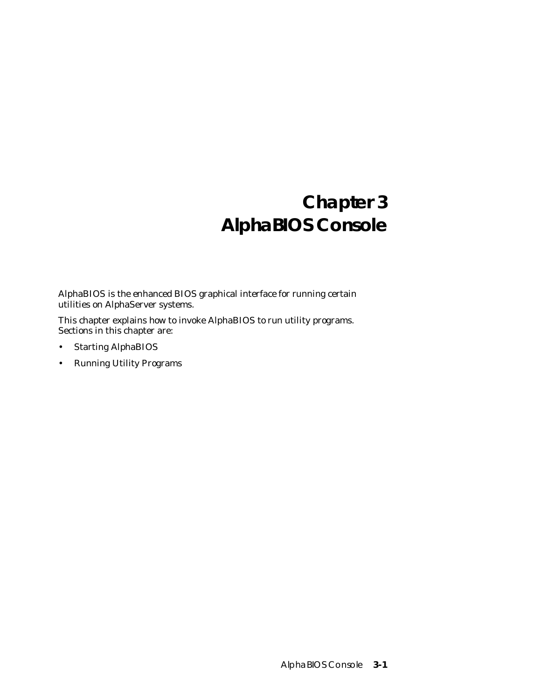# **Chapter 3 AlphaBIOS Console**

AlphaBIOS is the enhanced BIOS graphical interface for running certain utilities on AlphaServer systems.

This chapter explains how to invoke AlphaBIOS to run utility programs. Sections in this chapter are:

- Starting AlphaBIOS
- Running Utility Programs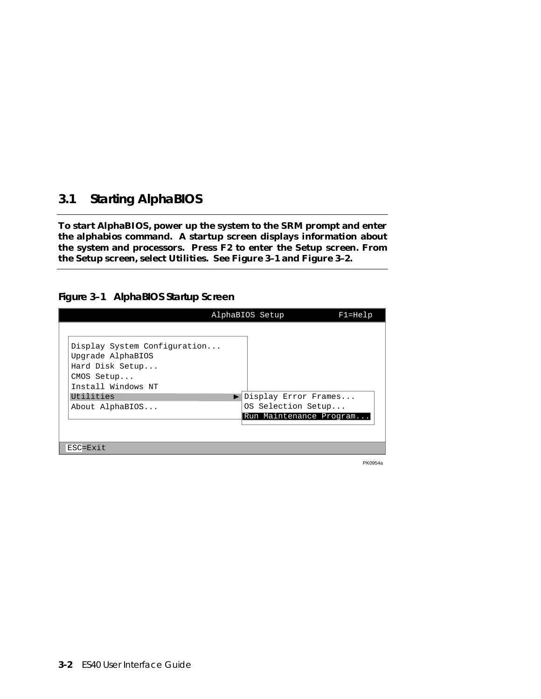# **3.1 Starting AlphaBIOS**

**To start AlphaBIOS, power up the system to the SRM prompt and enter the alphabios command. A startup screen displays information about the system and processors. Press F2 to enter the Setup screen. From the Setup screen, select Utilities. See Figure 3–1 and Figure 3–2.**

### **Figure 3–1 AlphaBIOS Startup Screen**

|                                                                                    | AlphaBIOS Setup                               | $F1 = He1p$ |
|------------------------------------------------------------------------------------|-----------------------------------------------|-------------|
| Display System Configuration<br>Upgrade AlphaBIOS<br>Hard Disk Setup<br>CMOS Setup |                                               |             |
| Install Windows NT<br>Utilities                                                    | Display Error Frames                          |             |
| About AlphaBIOS                                                                    | OS Selection Setup<br>Run Maintenance Program |             |
|                                                                                    |                                               |             |
| ESC=Exit                                                                           |                                               |             |

PK0954a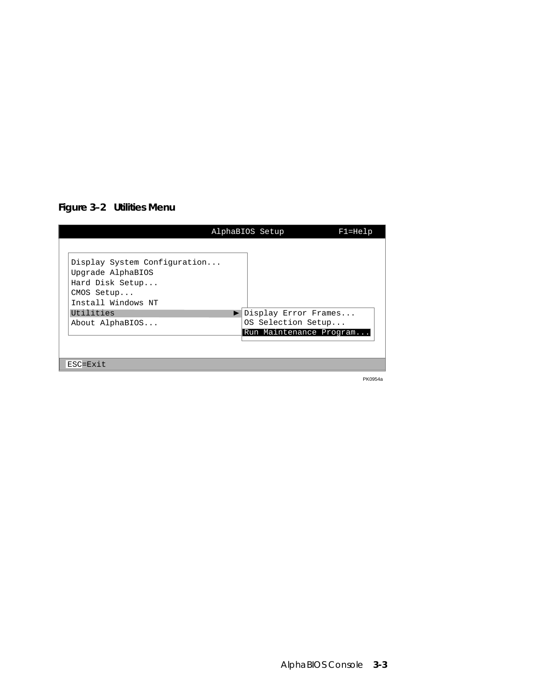# **Figure 3–2 Utilities Menu**

|                                                                                                          | AlphaBIOS Setup                               | $F1 = He1p$ |
|----------------------------------------------------------------------------------------------------------|-----------------------------------------------|-------------|
| Display System Configuration<br>Upgrade AlphaBIOS<br>Hard Disk Setup<br>CMOS Setup<br>Install Windows NT |                                               |             |
| Utilities                                                                                                | Display Error Frames                          |             |
| About AlphaBIOS                                                                                          | OS Selection Setup<br>Run Maintenance Program |             |
|                                                                                                          |                                               |             |
| ESC=Exit                                                                                                 |                                               |             |

PK0954a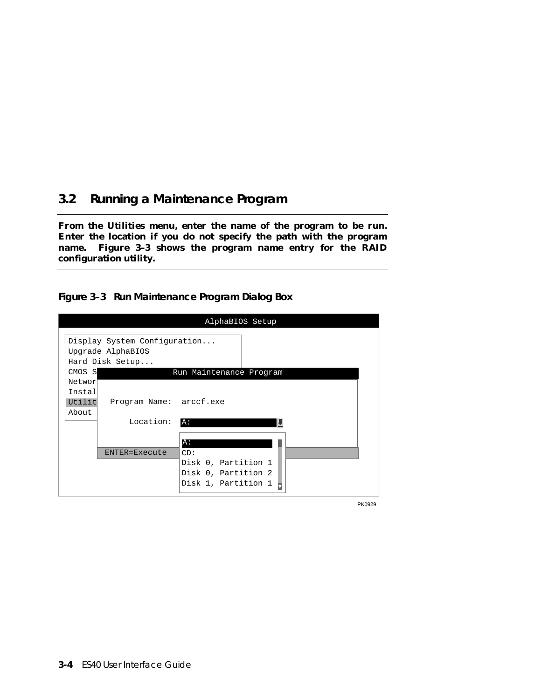# **3.2 Running a Maintenance Program**

**From the Utilities menu, enter the name of the program to be run. Enter the location if you do not specify the path with the program name. Figure 3–3 shows the program name entry for the RAID configuration utility.**

**Figure 3–3 Run Maintenance Program Dialog Box**

|                                               |                                                                      | AlphaBIOS Setup                                                               |
|-----------------------------------------------|----------------------------------------------------------------------|-------------------------------------------------------------------------------|
|                                               | Display System Configuration<br>Upgrade AlphaBIOS<br>Hard Disk Setup |                                                                               |
| CMOS S<br>Networ<br>Instal<br>Utilit<br>About | Program Name: arccf.exe                                              | Run Maintenance Program                                                       |
|                                               | Location:                                                            | A:<br>A:                                                                      |
|                                               | ENTER=Execute                                                        | CD:<br>Disk 0, Partition 1<br>Disk 0, Partition 2<br>Disk 1, Partition 1<br>Б |

PK0929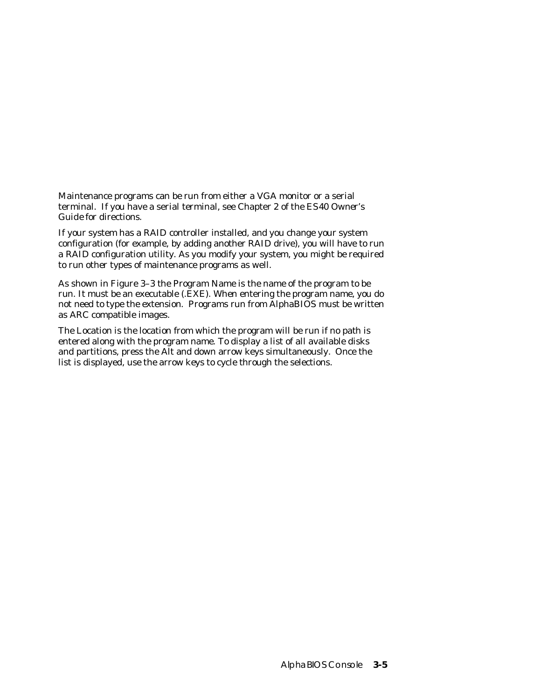Maintenance programs can be run from either a VGA monitor or a serial terminal. If you have a serial terminal, see Chapter 2 of the *ES40 Owner's Guide* for directions.

If your system has a RAID controller installed, and you change your system configuration (for example, by adding another RAID drive), you will have to run a RAID configuration utility. As you modify your system, you might be required to run other types of maintenance programs as well.

As shown in Figure 3–3 the Program Name is the name of the program to be run. It must be an executable (.EXE). When entering the program name, you do not need to type the extension. Programs run from AlphaBIOS must be written as ARC compatible images.

The Location is the location from which the program will be run if no path is entered along with the program name. To display a list of all available disks and partitions, press the Alt and down arrow keys simultaneously. Once the list is displayed, use the arrow keys to cycle through the selections.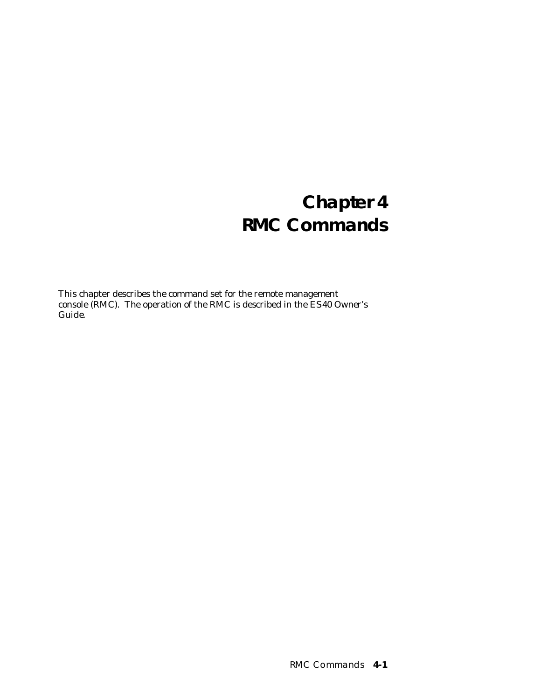# **Chapter 4 RMC Commands**

This chapter describes the command set for the remote management console (RMC). The operation of the RMC is described in the *ES40 Owner's Guide.*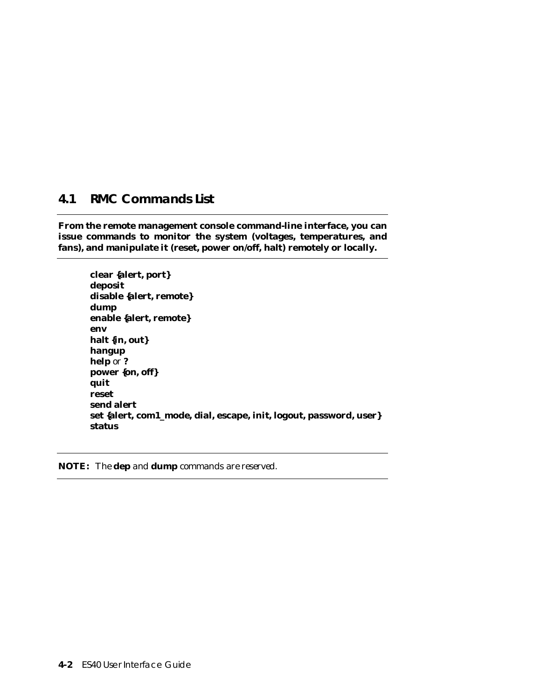# **4.1 RMC Commands List**

**From the remote management console command-line interface, you can issue commands to monitor the system (voltages, temperatures, and fans), and manipulate it (reset, power on/off, halt) remotely or locally.**

**clear {alert, port} deposit disable {alert, remote} dump enable {alert, remote} env halt {in, out} hangup help** or **? power {on, off} quit reset send alert set {alert, com1\_mode, dial, escape, init, logout, password, user} status**

**NOTE:** *The* **dep** *and* **dump** *commands are reserved.*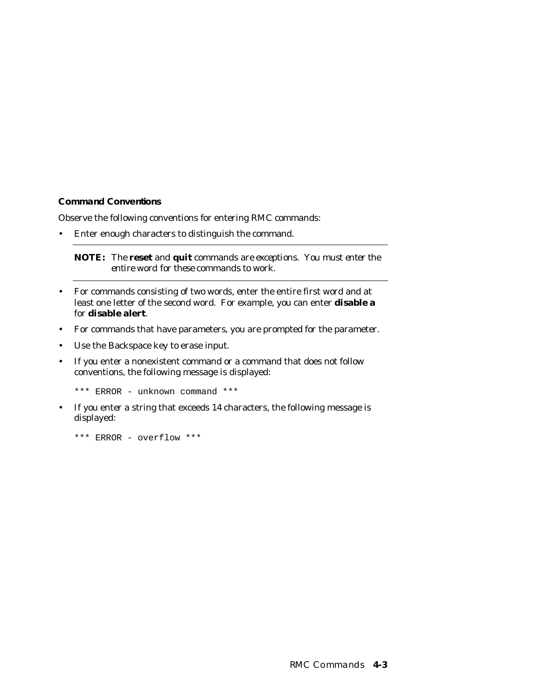#### **Command Conventions**

Observe the following conventions for entering RMC commands:

• Enter enough characters to distinguish the command.

**NOTE:** *The* **reset** *and* **quit** *commands are exceptions. You must enter the entire word for these commands to work.*

- For commands consisting of two words, enter the entire first word and at least one letter of the second word. For example, you can enter **disable a** for **disable alert**.
- For commands that have parameters, you are prompted for the parameter.
- Use the Backspace key to erase input.
- If you enter a nonexistent command or a command that does not follow conventions, the following message is displayed:

\*\*\* ERROR - unknown command \*\*\*

• If you enter a string that exceeds 14 characters, the following message is displayed:

\*\*\* ERROR - overflow \*\*\*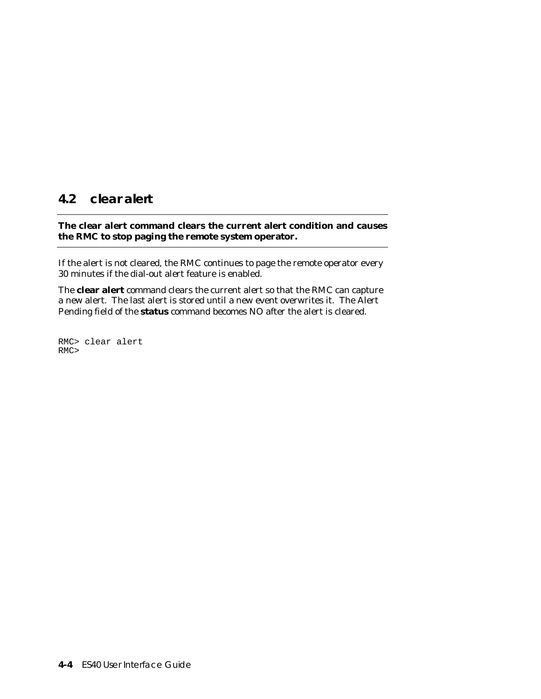## **4.2 clear alert**

### **The clear alert command clears the current alert condition and causes the RMC to stop paging the remote system operator.**

If the alert is not cleared, the RMC continues to page the remote operator every 30 minutes if the dial-out alert feature is enabled.

The **clear alert** command clears the current alert so that the RMC can capture a new alert. The last alert is stored until a new event overwrites it. The Alert Pending field of the **status** command becomes NO after the alert is cleared.

RMC> clear alert RMC>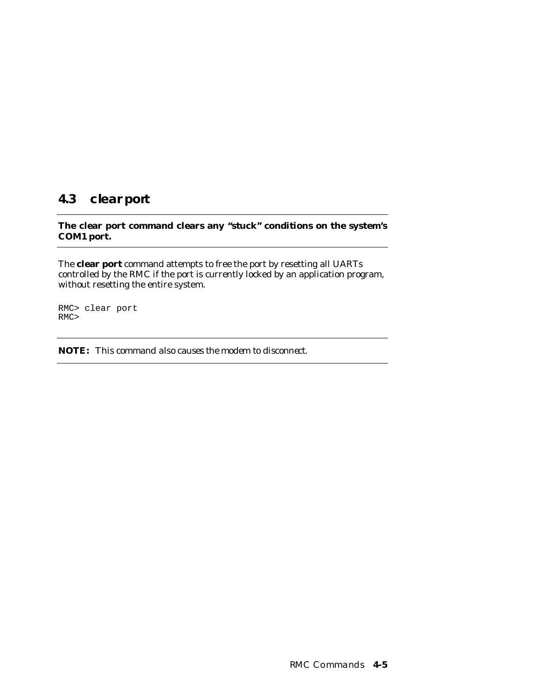# **4.3 clear port**

### **The clear port command clears any "stuck" conditions on the system's COM1 port.**

The **clear port** command attempts to free the port by resetting all UARTs controlled by the RMC if the port is currently locked by an application program, without resetting the entire system.

RMC> clear port RMC>

**NOTE:** *This command also causes the modem to disconnect.*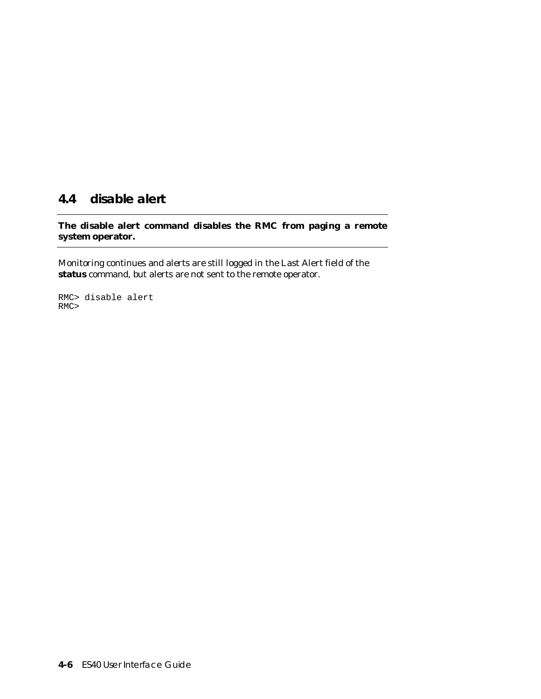# **4.4 disable alert**

**The disable alert command disables the RMC from paging a remote system operator.**

Monitoring continues and alerts are still logged in the Last Alert field of the **status** command, but alerts are not sent to the remote operator.

RMC> disable alert RMC>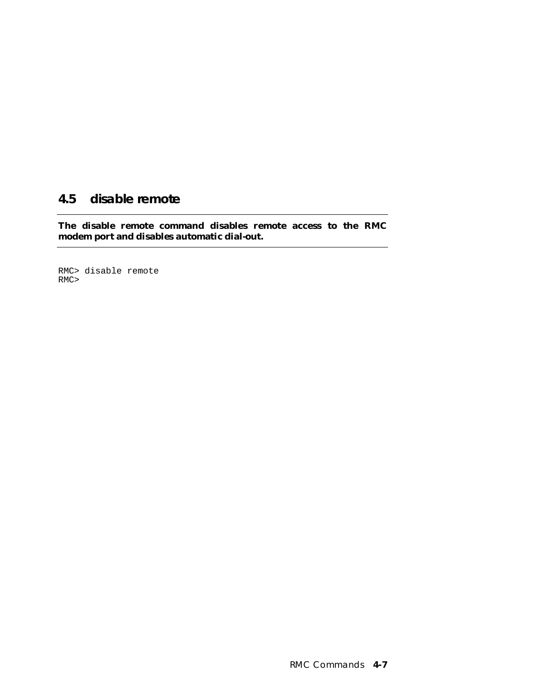# **4.5 disable remote**

**The disable remote command disables remote access to the RMC modem port and disables automatic dial-out.**

RMC> disable remote RMC>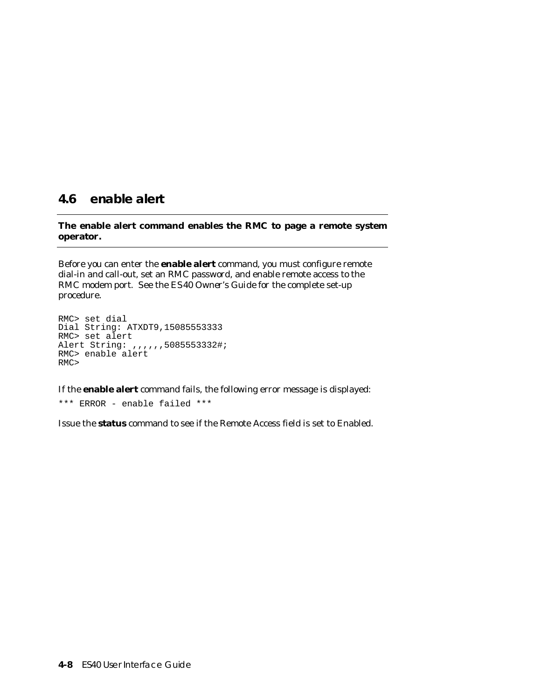### **4.6 enable alert**

### **The enable alert command enables the RMC to page a remote system operator.**

Before you can enter the **enable alert** command, you must configure remote dial-in and call-out, set an RMC password, and enable remote access to the RMC modem port. See the *ES40 Owner's Guide* for the complete set-up procedure.

```
RMC> set dial
Dial String: ATXDT9,15085553333
RMC> set alert
Alert String: ,,,,,,5085553332#;
RMC> enable alert
RMC>
```
If the **enable alert** command fails, the following error message is displayed:

\*\*\* ERROR - enable failed \*\*\*

Issue the **status** command to see if the Remote Access field is set to Enabled.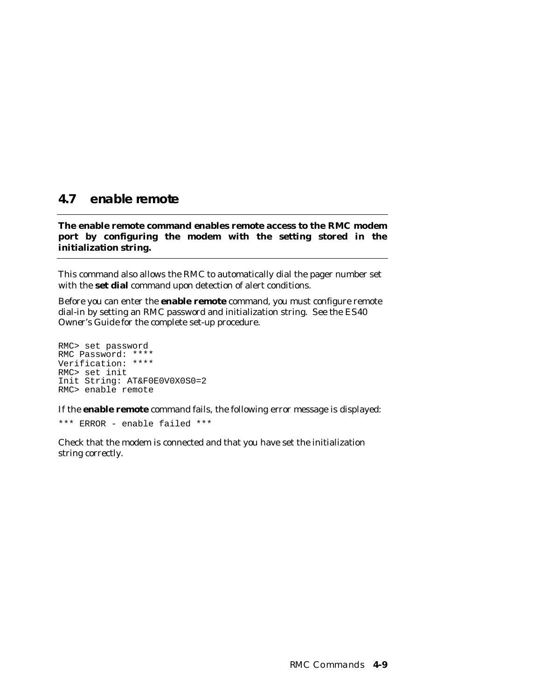# **4.7 enable remote**

**The enable remote command enables remote access to the RMC modem port by configuring the modem with the setting stored in the initialization string.**

This command also allows the RMC to automatically dial the pager number set with the **set dial** command upon detection of alert conditions.

Before you can enter the **enable remote** command, you must configure remote dial-in by setting an RMC password and initialization string. See the *ES40 Owner's Guide* for the complete set-up procedure.

```
RMC> set password
RMC Password: ****
Verification: ****
RMC> set init
Init String: AT&F0E0V0X0S0=2
RMC> enable remote
```
If the **enable remote** command fails, the following error message is displayed:

\*\*\* ERROR - enable failed \*\*\*

Check that the modem is connected and that you have set the initialization string correctly.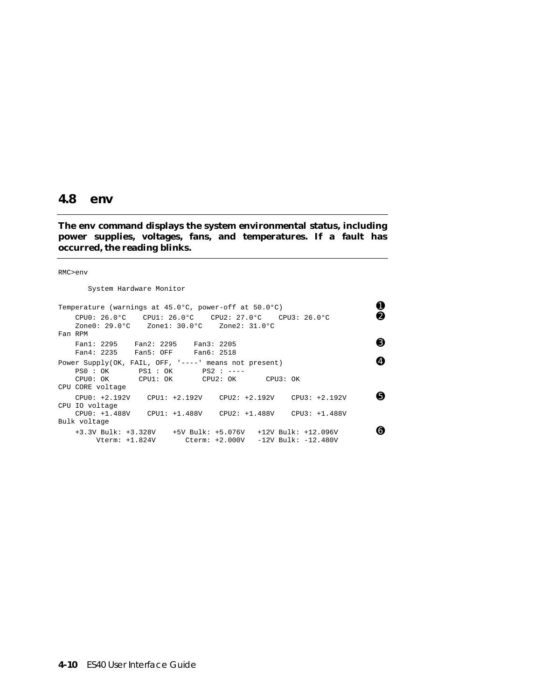### **4.8 env**

**The env command displays the system environmental status, including power supplies, voltages, fans, and temperatures. If a fault has occurred, the reading blinks.**

#### RMC>env

System Hardware Monitor

| Temperature (warnings at 45.0°C, power-off at 50.0°C)                                                                                                        | 0 |
|--------------------------------------------------------------------------------------------------------------------------------------------------------------|---|
| $CPU0: 26.0^{\circ}C$ CPU1: $26.0^{\circ}C$ CPU2: $27.0^{\circ}C$ CPU3: $26.0^{\circ}C$<br>Fan RPM                                                           | ❷ |
| Fan1: 2295 Fan2: 2295 Fan3: 2205<br>Fan4: 2235 Fan5: OFF Fan6: 2518                                                                                          | ❸ |
| Power Supply(OK, FAIL, OFF, $1---1$ means not present)<br>$PS0 : OK$ $PS1 : OK$ $PS2 : ---$<br>CPU0: OK CPU1: OK CPU2: OK CPU3: OK<br>CPU CORE voltage       | ❹ |
| $CPU0: +2.192V$ $CPU1: +2.192V$ $CPU2: +2.192V$ $CPU3: +2.192V$<br>CPU IO voltage<br>CPU0: +1.488V CPU1: +1.488V CPU2: +1.488V CPU3: +1.488V<br>Bulk voltage | 0 |
| Vterm: $+1.824V$ Cterm: $+2.000V$ -12V Bulk: $-12.480V$                                                                                                      | ❺ |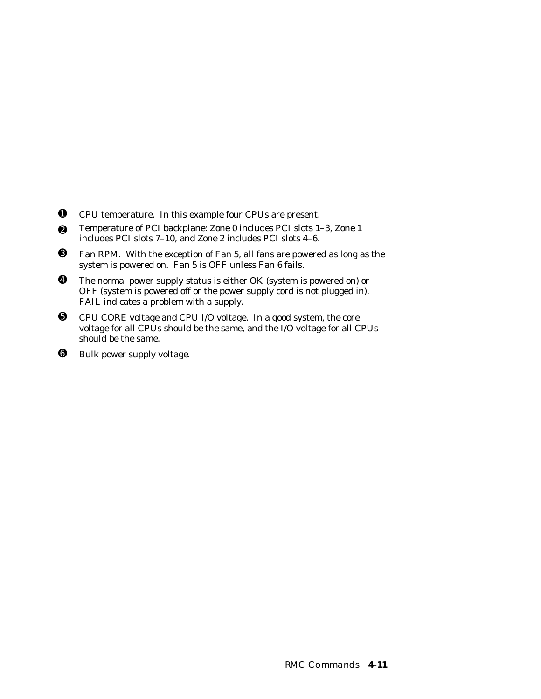- ➊ CPU temperature. In this example four CPUs are present.
- ➋ Temperature of PCI backplane: Zone 0 includes PCI slots 1–3, Zone 1 includes PCI slots 7–10, and Zone 2 includes PCI slots 4–6.
- ➌ Fan RPM. With the exception of Fan 5, all fans are powered as long as the system is powered on. Fan 5 is OFF unless Fan 6 fails.
- ➍ The normal power supply status is either OK (system is powered on) or OFF (system is powered off or the power supply cord is not plugged in). FAIL indicates a problem with a supply.
- ➎ CPU CORE voltage and CPU I/O voltage. In a good system, the core voltage for all CPUs should be the same, and the I/O voltage for all CPUs should be the same.
- ➏ Bulk power supply voltage.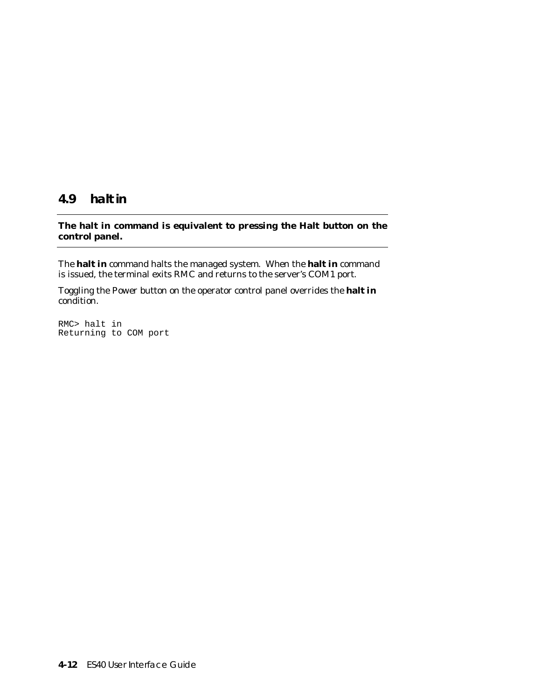### **4.9 halt in**

### **The halt in command is equivalent to pressing the Halt button on the control panel.**

The **halt in** command halts the managed system. When the **halt in** command is issued, the terminal exits RMC and returns to the server's COM1 port.

Toggling the Power button on the operator control panel overrides the **halt in** condition.

RMC> halt in Returning to COM port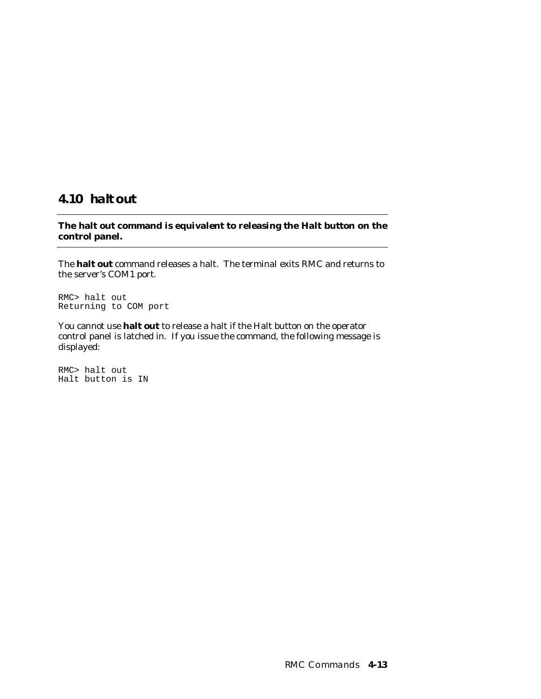# **4.10 halt out**

**The halt out command is equivalent to releasing the Halt button on the control panel.**

The **halt out** command releases a halt. The terminal exits RMC and returns to the server's COM1 port.

RMC> halt out Returning to COM port

You cannot use **halt out** to release a halt if the Halt button on the operator control panel is latched in. If you issue the command, the following message is displayed:

RMC> halt out Halt button is IN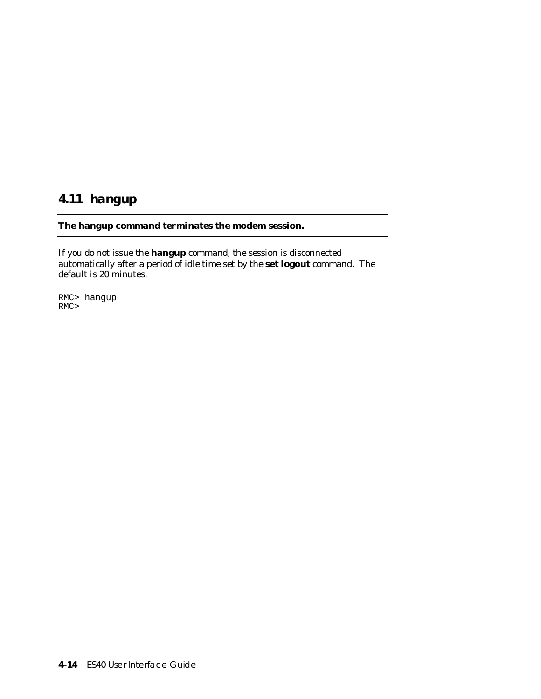# **4.11 hangup**

### **The hangup command terminates the modem session.**

If you do not issue the **hangup** command, the session is disconnected automatically after a period of idle time set by the **set logout** command. The default is 20 minutes.

RMC> hangup RMC>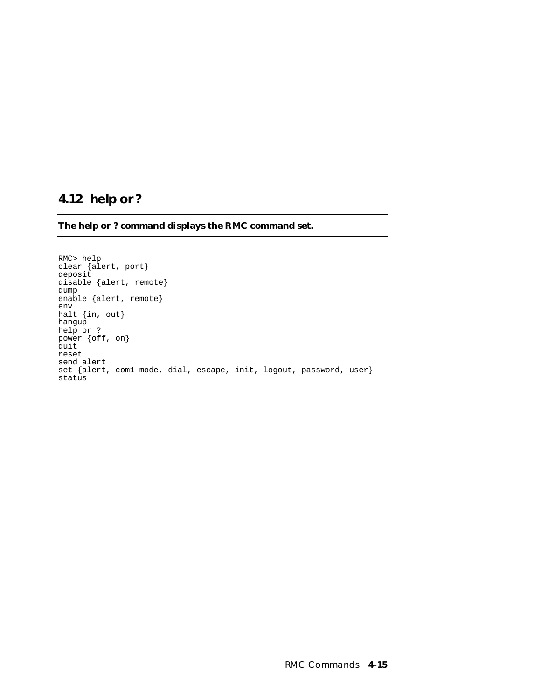# **4.12 help or ?**

**The help or ? command displays the RMC command set.**

RMC> help clear {alert, port} deposit disable {alert, remote} dump enable {alert, remote} env halt {in, out} hangup help or ? power {off, on} quit reset send alert set {alert, com1\_mode, dial, escape, init, logout, password, user} status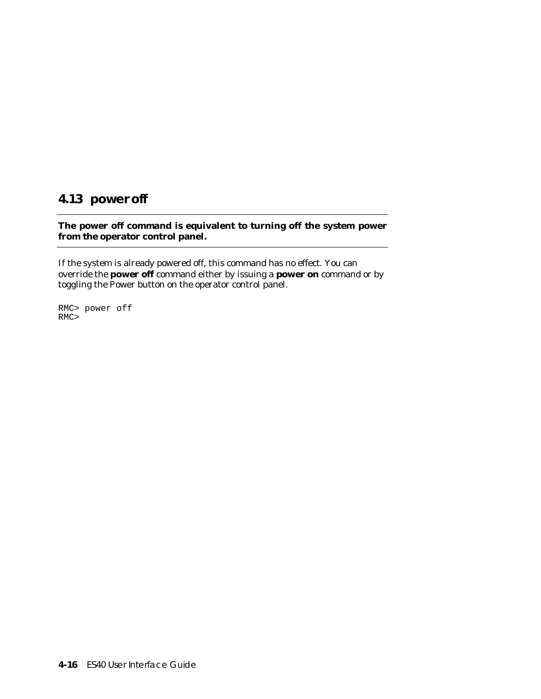# **4.13 power off**

### **The power off command is equivalent to turning off the system power from the operator control panel.**

If the system is already powered off, this command has no effect. You can override the **power off** command either by issuing a **power on** command or by toggling the Power button on the operator control panel.

RMC> power off RMC>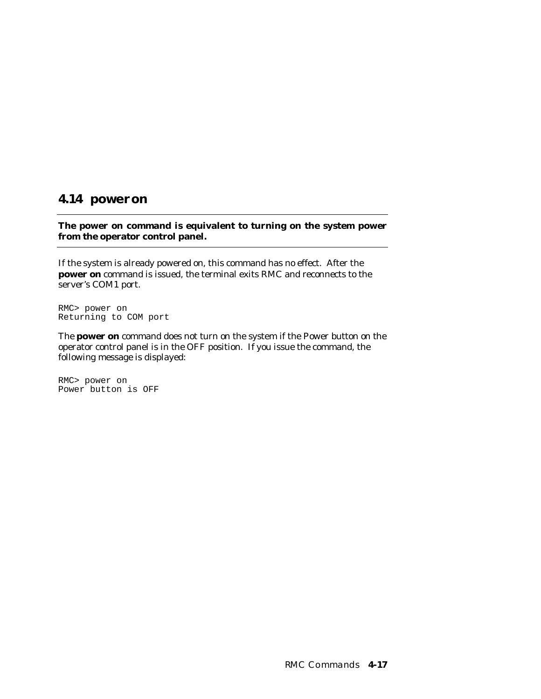### **4.14 power on**

**The power on command is equivalent to turning on the system power from the operator control panel.**

If the system is already powered on, this command has no effect. After the **power on** command is issued, the terminal exits RMC and reconnects to the server's COM1 port.

RMC> power on Returning to COM port

The **power on** command does not turn on the system if the Power button on the operator control panel is in the OFF position. If you issue the command, the following message is displayed:

RMC> power on Power button is OFF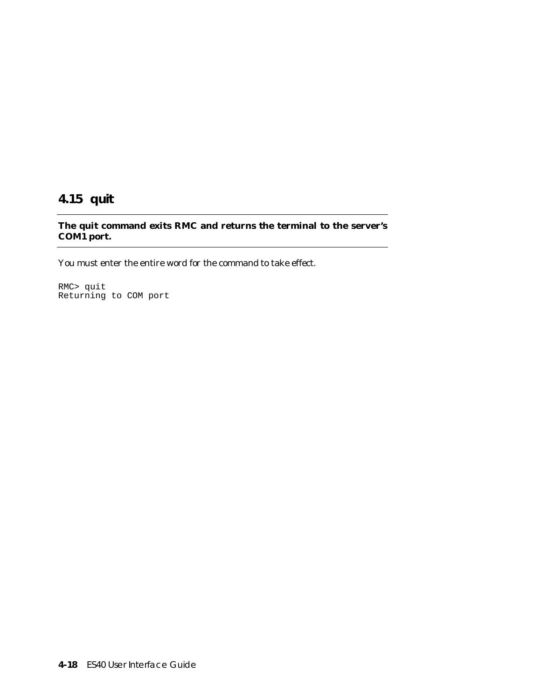# **4.15 quit**

### **The quit command exits RMC and returns the terminal to the server's COM1 port.**

You must enter the entire word for the command to take effect.

RMC> quit Returning to COM port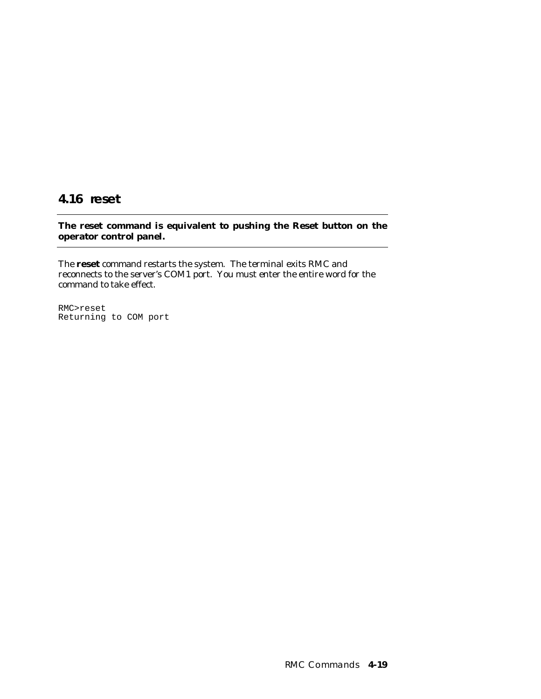# **4.16 reset**

**The reset command is equivalent to pushing the Reset button on the operator control panel.**

The **reset** command restarts the system. The terminal exits RMC and reconnects to the server's COM1 port. You must enter the entire word for the command to take effect.

RMC>reset Returning to COM port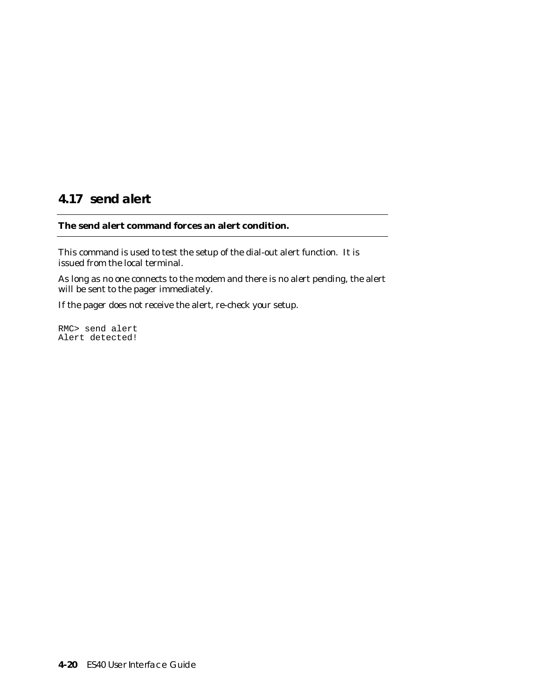# **4.17 send alert**

### **The send alert command forces an alert condition.**

This command is used to test the setup of the dial-out alert function. It is issued from the local terminal.

As long as no one connects to the modem and there is no alert pending, the alert will be sent to the pager immediately.

If the pager does not receive the alert, re-check your setup.

RMC> send alert Alert detected!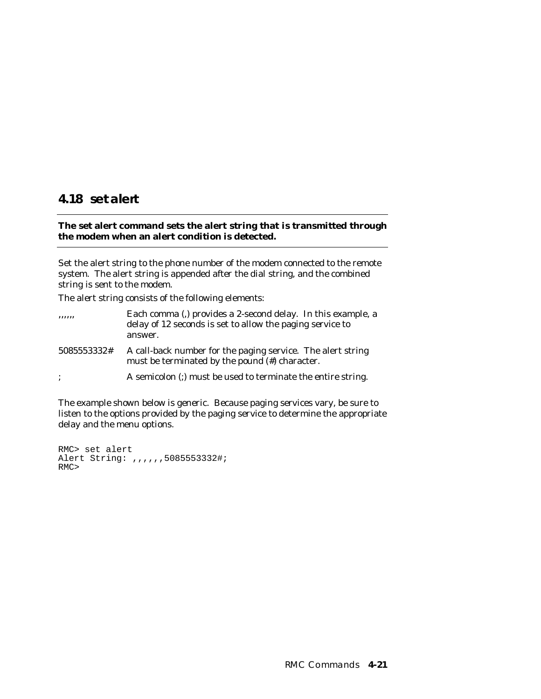## **4.18 set alert**

### **The set alert command sets the alert string that is transmitted through the modem when an alert condition is detected.**

Set the alert string to the phone number of the modem connected to the remote system. The alert string is appended after the dial string, and the combined string is sent to the modem.

The alert string consists of the following elements:

| ,,,,,,         | Each comma (,) provides a 2-second delay. In this example, a<br>delay of 12 seconds is set to allow the paging service to<br>answer. |
|----------------|--------------------------------------------------------------------------------------------------------------------------------------|
| 5085553332#    | A call-back number for the paging service. The alert string<br>must be terminated by the pound (#) character.                        |
| $\ddot{\cdot}$ | A semicolon (;) must be used to terminate the entire string.                                                                         |

The example shown below is generic. Because paging services vary, be sure to listen to the options provided by the paging service to determine the appropriate delay and the menu options.

RMC> set alert Alert String: ,,,,,,5085553332#; RMC>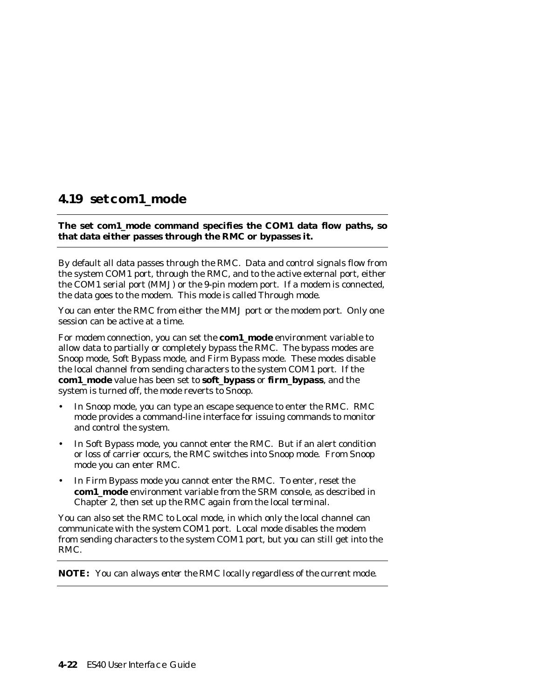# **4.19 set com1\_mode**

### **The set com1\_mode command specifies the COM1 data flow paths, so that data either passes through the RMC or bypasses it.**

By default all data passes through the RMC. Data and control signals flow from the system COM1 port, through the RMC, and to the active external port, either the COM1 serial port (MMJ) or the 9-pin modem port. If a modem is connected, the data goes to the modem. This mode is called Through mode.

You can enter the RMC from either the MMJ port or the modem port. Only one session can be active at a time.

For modem connection, you can set the **com1\_mode** environment variable to allow data to partially or completely bypass the RMC. The bypass modes are Snoop mode, Soft Bypass mode, and Firm Bypass mode. These modes disable the local channel from sending characters to the system COM1 port. If the **com1\_mode** value has been set to **soft\_bypass** or **firm\_bypass**, and the system is turned off, the mode reverts to Snoop.

- In Snoop mode, you can type an escape sequence to enter the RMC. RMC mode provides a command-line interface for issuing commands to monitor and control the system.
- In Soft Bypass mode, you cannot enter the RMC. But if an alert condition or loss of carrier occurs, the RMC switches into Snoop mode. From Snoop mode you can enter RMC.
- In Firm Bypass mode you cannot enter the RMC. To enter, reset the **com1\_mode** environment variable from the SRM console, as described in Chapter 2, then set up the RMC again from the local terminal.

You can also set the RMC to Local mode, in which only the local channel can communicate with the system COM1 port. Local mode disables the modem from sending characters to the system COM1 port, but you can still get into the RMC.

**NOTE:** *You can always enter the RMC locally regardless of the current mode.*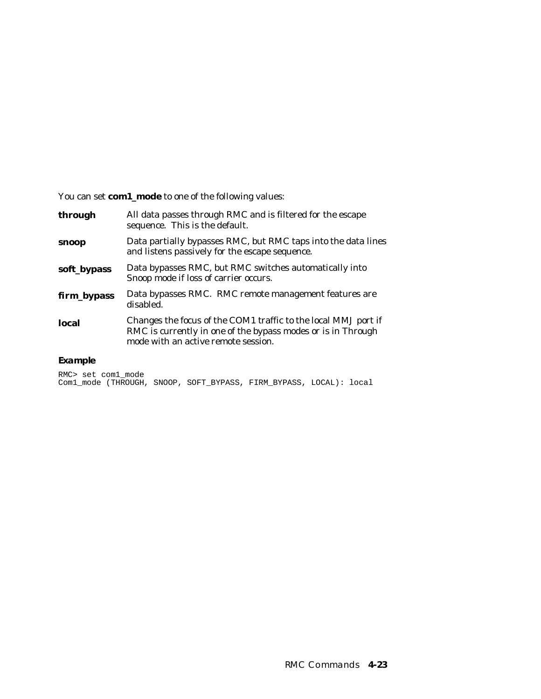You can set **com1\_mode** to one of the following values:

| through     | All data passes through RMC and is filtered for the escape<br>sequence. This is the default.                                                                          |
|-------------|-----------------------------------------------------------------------------------------------------------------------------------------------------------------------|
| snoop       | Data partially bypasses RMC, but RMC taps into the data lines<br>and listens passively for the escape sequence.                                                       |
| soft_bypass | Data bypasses RMC, but RMC switches automatically into<br>Snoop mode if loss of carrier occurs.                                                                       |
| firm_bypass | Data bypasses RMC. RMC remote management features are<br>disabled.                                                                                                    |
| local       | Changes the focus of the COM1 traffic to the local MMJ port if<br>RMC is currently in one of the bypass modes or is in Through<br>mode with an active remote session. |

### **Example**

RMC> set com1\_mode Com1\_mode (THROUGH, SNOOP, SOFT\_BYPASS, FIRM\_BYPASS, LOCAL): local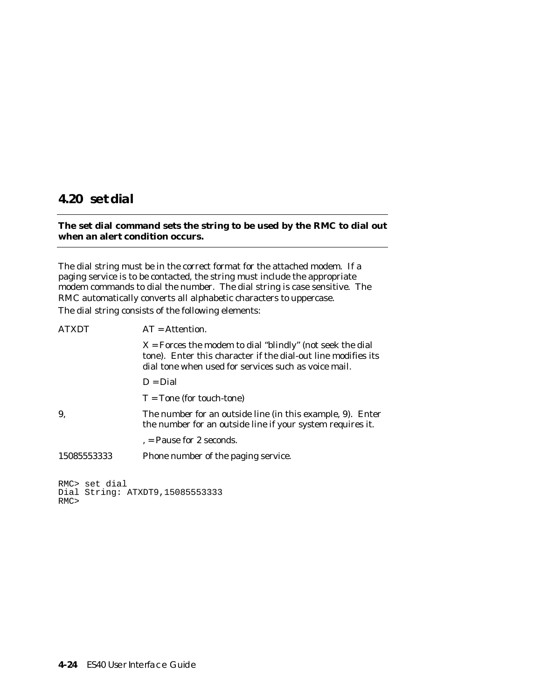## **4.20 set dial**

### **The set dial command sets the string to be used by the RMC to dial out when an alert condition occurs.**

The dial string must be in the correct format for the attached modem. If a paging service is to be contacted, the string must include the appropriate modem commands to dial the number. The dial string is case sensitive. The RMC automatically converts all alphabetic characters to uppercase. The dial string consists of the following elements:

| <b>ATXDT</b>         | $AT =$ Attention.                                                                                                                                                                    |
|----------------------|--------------------------------------------------------------------------------------------------------------------------------------------------------------------------------------|
|                      | $X =$ Forces the modem to dial "blindly" (not seek the dial<br>tone). Enter this character if the dial-out line modifies its<br>dial tone when used for services such as voice mail. |
|                      | $D = Dial$                                                                                                                                                                           |
|                      | $T =$ Tone (for touch-tone)                                                                                                                                                          |
| 9,                   | The number for an outside line (in this example, 9). Enter<br>the number for an outside line if your system requires it.                                                             |
|                      | , = Pause for 2 seconds.                                                                                                                                                             |
| 15085553333          | Phone number of the paging service.                                                                                                                                                  |
| RMC> set dial<br>RMC | Dial String: ATXDT9, 15085553333                                                                                                                                                     |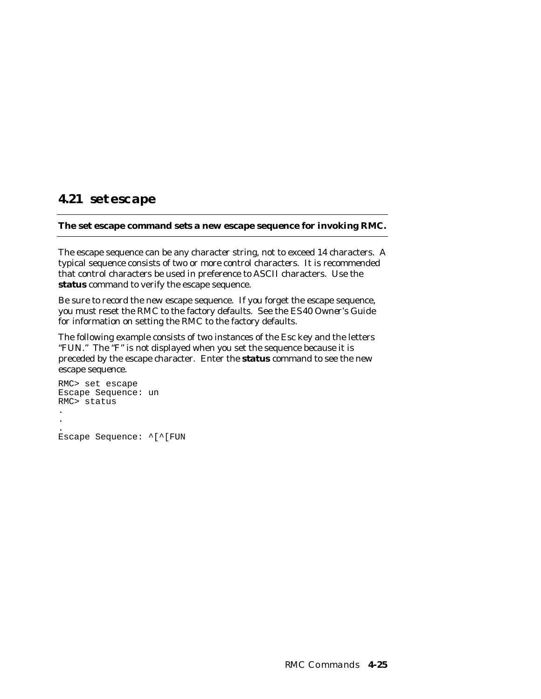# **4.21 set escape**

### **The set escape command sets a new escape sequence for invoking RMC.**

The escape sequence can be any character string, not to exceed 14 characters. A typical sequence consists of two or more control characters. It is recommended that control characters be used in preference to ASCII characters. Use the **status** command to verify the escape sequence.

Be sure to record the new escape sequence. If you forget the escape sequence, you must reset the RMC to the factory defaults. See the *ES40 Owner's Guide* for information on setting the RMC to the factory defaults.

The following example consists of two instances of the Esc key and the letters "FUN." The "F" is not displayed when you set the sequence because it is preceded by the escape character. Enter the **status** command to see the new escape sequence.

```
RMC> set escape
Escape Sequence: un
RMC> status
.
.
.
Escape Sequence: ^[^[FUN
```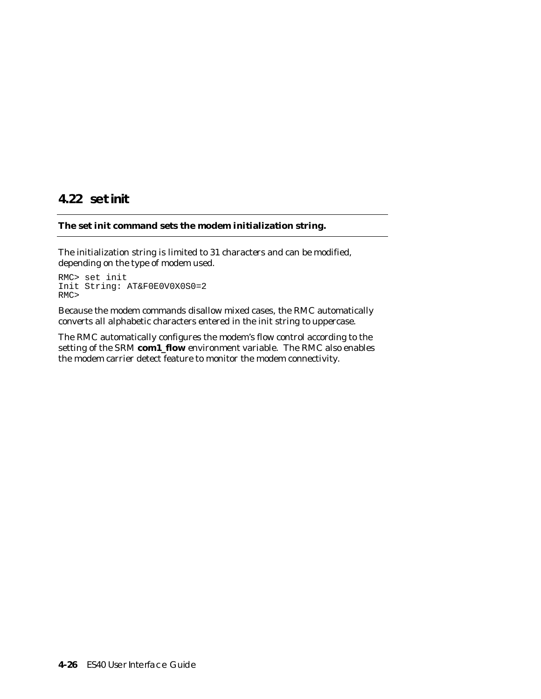# **4.22 set init**

### **The set init command sets the modem initialization string.**

The initialization string is limited to 31 characters and can be modified, depending on the type of modem used.

```
RMC> set init
Init String: AT&F0E0V0X0S0=2
RMC>
```
Because the modem commands disallow mixed cases, the RMC automatically converts all alphabetic characters entered in the init string to uppercase.

The RMC automatically configures the modem's flow control according to the setting of the SRM **com1\_flow** environment variable. The RMC also enables the modem carrier detect feature to monitor the modem connectivity.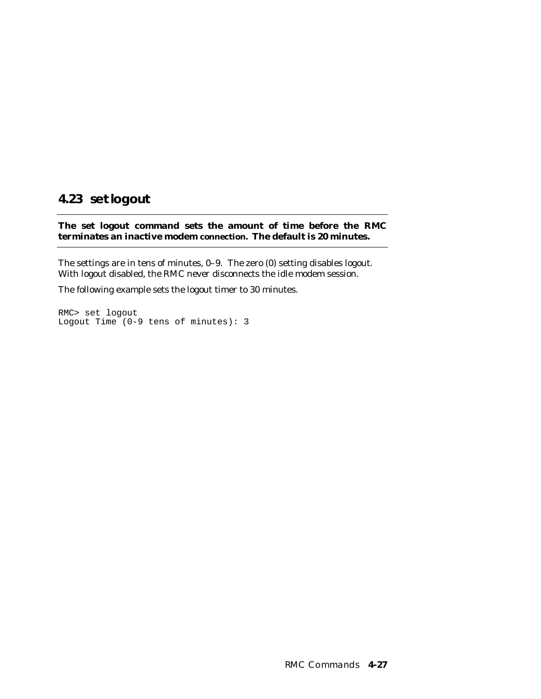#### **4.23 set logout**

**The set logout command sets the amount of time before the RMC terminates an inactive modem connection. The default is 20 minutes.**

The settings are in tens of minutes, 0–9. The zero (0) setting disables logout. With logout disabled, the RMC never disconnects the idle modem session.

The following example sets the logout timer to 30 minutes.

RMC> set logout Logout Time (0-9 tens of minutes): 3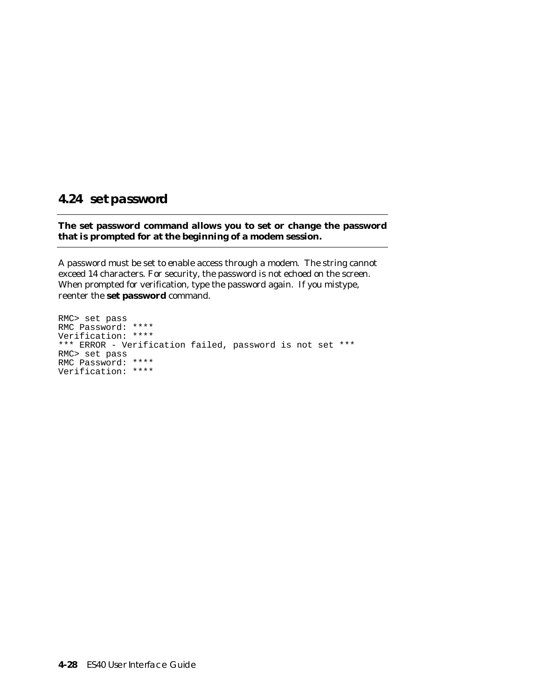#### **4.24 set password**

#### **The set password command allows you to set or change the password that is prompted for at the beginning of a modem session.**

A password must be set to enable access through a modem. The string cannot exceed 14 characters. For security, the password is not echoed on the screen. When prompted for verification, type the password again. If you mistype, reenter the **set password** command.

RMC> set pass RMC Password: \*\*\*\* Verification: \*\*\*\* \*\*\* ERROR - Verification failed, password is not set \*\*\* RMC> set pass RMC Password: \*\*\*\* Verification: \*\*\*\*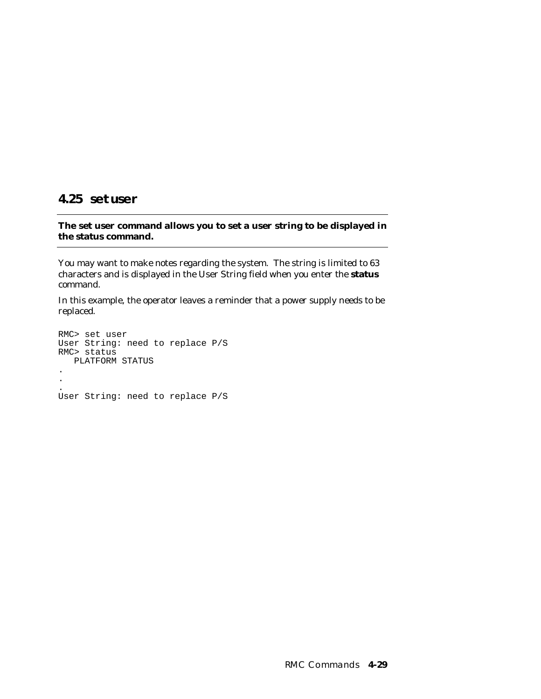#### **4.25 set user**

#### **The set user command allows you to set a user string to be displayed in the status command.**

You may want to make notes regarding the system. The string is limited to 63 characters and is displayed in the User String field when you enter the **status** command.

In this example, the operator leaves a reminder that a power supply needs to be replaced.

RMC> set user User String: need to replace P/S RMC> status PLATFORM STATUS . . . User String: need to replace P/S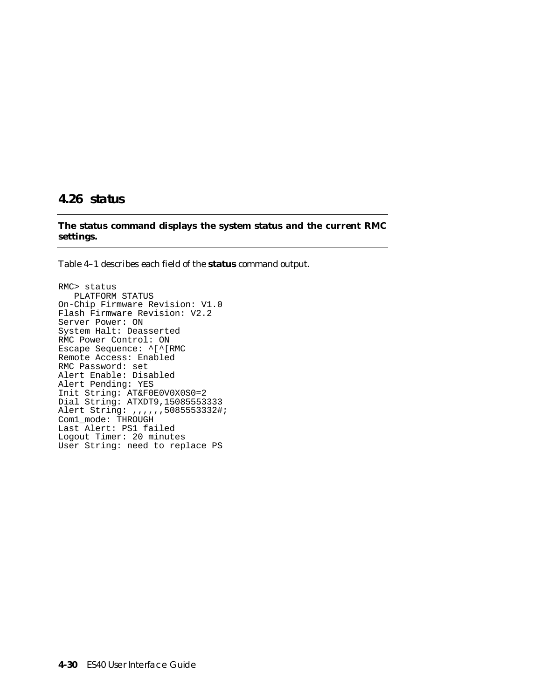#### **4.26 status**

**The status command displays the system status and the current RMC settings.**

Table 4–1 describes each field of the **status** command output.

```
RMC> status
   PLATFORM STATUS
On-Chip Firmware Revision: V1.0
Flash Firmware Revision: V2.2
Server Power: ON
System Halt: Deasserted
RMC Power Control: ON
Escape Sequence: ^[^[RMC
Remote Access: Enabled
RMC Password: set
Alert Enable: Disabled
Alert Pending: YES
Init String: AT&F0E0V0X0S0=2
Dial String: ATXDT9,15085553333
Alert String: ,,,,,,5085553332#;
Com1_mode: THROUGH
Last Alert: PS1 failed
Logout Timer: 20 minutes
User String: need to replace PS
```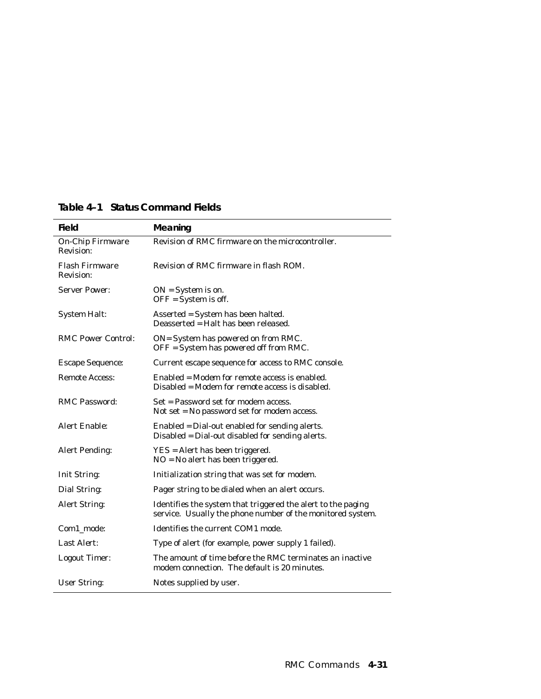| Field                                       | Meaning                                                                                                                    |
|---------------------------------------------|----------------------------------------------------------------------------------------------------------------------------|
| <b>On-Chip Firmware</b><br><b>Revision:</b> | Revision of RMC firmware on the microcontroller.                                                                           |
| <b>Flash Firmware</b><br>Revision:          | Revision of RMC firmware in flash ROM.                                                                                     |
| <b>Server Power:</b>                        | $ON = System$ is on.<br>$OFF = System$ is off.                                                                             |
| <b>System Halt:</b>                         | Asserted = System has been halted.<br>Deasserted = Halt has been released.                                                 |
| <b>RMC Power Control:</b>                   | ON= System has powered on from RMC.<br>OFF = System has powered off from RMC.                                              |
| <b>Escape Sequence:</b>                     | Current escape sequence for access to RMC console.                                                                         |
| <b>Remote Access:</b>                       | Enabled = Modem for remote access is enabled.<br>Disabled = Modem for remote access is disabled.                           |
| <b>RMC Password:</b>                        | Set = Password set for modem access.<br>Not set $=$ No password set for modem access.                                      |
| Alert Enable:                               | Enabled = Dial-out enabled for sending alerts.<br>Disabled = Dial-out disabled for sending alerts.                         |
| <b>Alert Pending:</b>                       | YES = Alert has been triggered.<br>$NO = No$ alert has been triggered.                                                     |
| <b>Init String:</b>                         | Initialization string that was set for modem.                                                                              |
| Dial String:                                | Pager string to be dialed when an alert occurs.                                                                            |
| Alert String:                               | Identifies the system that triggered the alert to the paging<br>service. Usually the phone number of the monitored system. |
| Com1 mode:                                  | Identifies the current COM1 mode.                                                                                          |
| Last Alert:                                 | Type of alert (for example, power supply 1 failed).                                                                        |
| <b>Logout Timer:</b>                        | The amount of time before the RMC terminates an inactive<br>modem connection. The default is 20 minutes.                   |
| <b>User String:</b>                         | Notes supplied by user.                                                                                                    |

## **Table 4–1 Status Command Fields**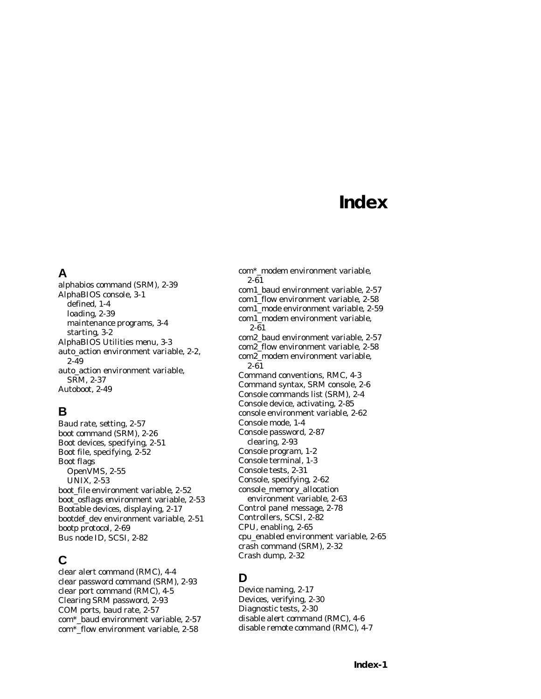# **Index**

## **A**

alphabios command (SRM), 2-39 AlphaBIOS console, 3-1 defined, 1-4 loading, 2-39 maintenance programs, 3-4 starting, 3-2 AlphaBIOS Utilities menu, 3-3 auto\_action environment variable, 2-2, 2-49 auto action environment variable. SRM, 2-37 Autoboot, 2-49

# **B**

Baud rate, setting, 2-57 boot command (SRM), 2-26 Boot devices, specifying, 2-51 Boot file, specifying, 2-52 Boot flags OpenVMS, 2-55 UNIX, 2-53 boot\_file environment variable, 2-52 boot\_osflags environment variable, 2-53 Bootable devices, displaying, 2-17 bootdef\_dev environment variable, 2-51 bootp protocol, 2-69 Bus node ID, SCSI, 2-82

# **C**

clear alert command (RMC), 4-4 clear password command (SRM), 2-93 clear port command (RMC), 4-5 Clearing SRM password, 2-93 COM ports, baud rate, 2-57 com\*\_baud environment variable, 2-57 com\*\_flow environment variable, 2-58

com\*\_modem environment variable, 2-61

com1\_baud environment variable, 2-57 com1\_flow environment variable, 2-58 com1\_mode environment variable, 2-59 com1\_modem environment variable, 2-61 com2\_baud environment variable, 2-57 com2\_flow environment variable, 2-58 com2\_modem environment variable, 2-61 Command conventions, RMC, 4-3 Command syntax, SRM console, 2-6 Console commands list (SRM), 2-4 Console device, activating, 2-85 console environment variable, 2-62 Console mode, 1-4 Console password, 2-87 clearing, 2-93 Console program, 1-2 Console terminal, 1-3 Console tests, 2-31 Console, specifying, 2-62 console\_memory\_allocation environment variable, 2-63 Control panel message, 2-78 Controllers, SCSI, 2-82 CPU, enabling, 2-65 cpu\_enabled environment variable, 2-65 crash command (SRM), 2-32 Crash dump, 2-32

# **D**

Device naming, 2-17 Devices, verifying, 2-30 Diagnostic tests, 2-30 disable alert command (RMC), 4-6 disable remote command (RMC), 4-7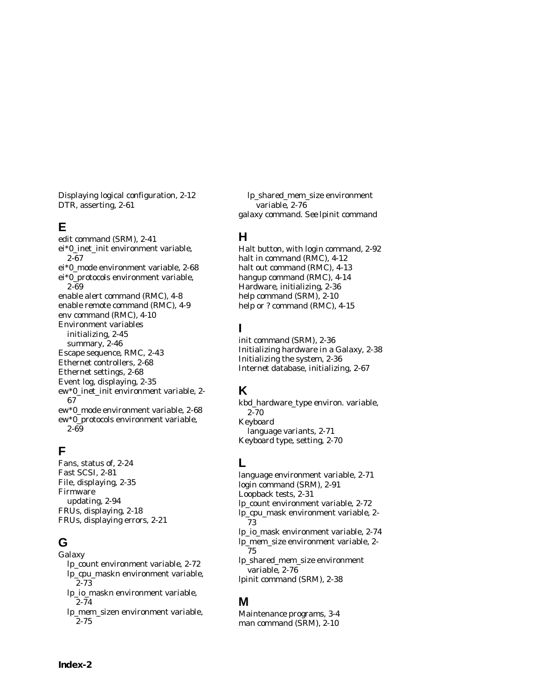Displaying logical configuration, 2-12 DTR, asserting, 2-61

## **E**

edit command (SRM), 2-41 ei\*0\_inet\_init environment variable, 2-67 ei\*0\_mode environment variable, 2-68 ei\*0\_protocols environment variable, 2-69 enable alert command (RMC), 4-8 enable remote command (RMC), 4-9 env command (RMC), 4-10 Environment variables initializing, 2-45 summary, 2-46 Escape sequence, RMC, 2-43 Ethernet controllers, 2-68 Ethernet settings, 2-68 Event log, displaying, 2-35 ew\*0\_inet\_init environment variable, 2- 67 ew\*0\_mode environment variable, 2-68 ew\*0\_protocols environment variable, 2-69

# **F**

Fans, status of, 2-24 Fast SCSI, 2-81 File, displaying, 2-35 Firmware updating, 2-94 FRUs, displaying, 2-18 FRUs, displaying errors, 2-21

# **G**

Galaxy lp\_count environment variable, 2-72 lp\_cpu\_mask*n* environment variable, 2-73 lp\_io\_mask*n* environment variable, 2-74 lp\_mem\_size*n* environment variable, 2-75

lp\_shared\_mem\_size environment variable, 2-76 galaxy command. *See* lpinit command

## **H**

Halt button, with login command, 2-92 halt in command (RMC), 4-12 halt out command (RMC), 4-13 hangup command (RMC), 4-14 Hardware, initializing, 2-36 help command (SRM), 2-10 help or ? command (RMC), 4-15

# **I**

init command (SRM), 2-36 Initializing hardware in a Galaxy, 2-38 Initializing the system, 2-36 Internet database, initializing, 2-67

#### **K**

kbd\_hardware\_type environ. variable, 2-70 Keyboard language variants, 2-71 Keyboard type, setting, 2-70

# **L**

language environment variable, 2-71 login command (SRM), 2-91 Loopback tests, 2-31 lp\_count environment variable, 2-72 lp\_cpu\_mask environment variable, 2- 73 lp\_io\_mask environment variable, 2-74 lp\_mem\_size environment variable, 2- 75 lp\_shared\_mem\_size environment variable, 2-76 lpinit command (SRM), 2-38

## **M**

Maintenance programs, 3-4 man command (SRM), 2-10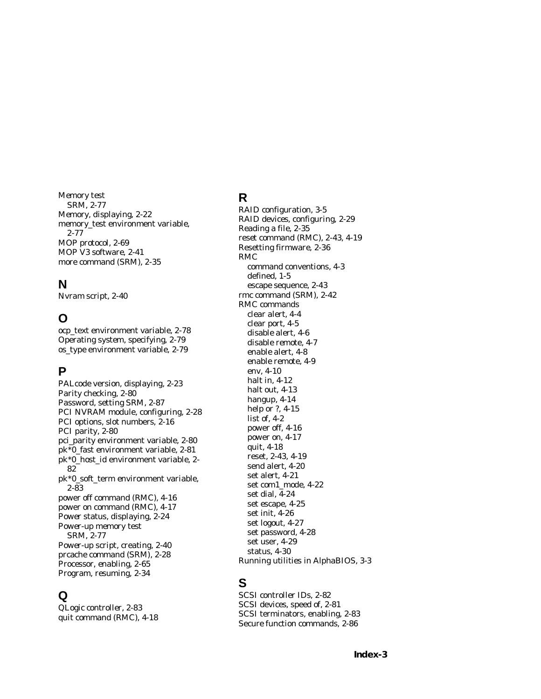Memory test SRM, 2-77 Memory, displaying, 2-22 memory\_test environment variable, 2-77 MOP protocol, 2-69 MOP V3 software, 2-41 more command (SRM), 2-35

#### **N**

Nvram script, 2-40

## **O**

ocp\_text environment variable, 2-78 Operating system, specifying, 2-79 os\_type environment variable, 2-79

#### **P**

PALcode version, displaying, 2-23 Parity checking, 2-80 Password, setting SRM, 2-87 PCI NVRAM module, configuring, 2-28 PCI options, slot numbers, 2-16 PCI parity, 2-80 pci\_parity environment variable, 2-80 pk\*0\_fast environment variable, 2-81 pk\*0\_host\_id environment variable, 2- 82 pk\*0\_soft\_term environment variable, 2-83 power off command (RMC), 4-16 power on command (RMC), 4-17 Power status, displaying, 2-24 Power-up memory test SRM, 2-77 Power-up script, creating, 2-40 prcache command (SRM), 2-28 Processor, enabling, 2-65 Program, resuming, 2-34

## **Q**

QLogic controller, 2-83 quit command (RMC), 4-18

# **R**

RAID configuration, 3-5 RAID devices, configuring, 2-29 Reading a file, 2-35 reset command (RMC), 2-43, 4-19 Resetting firmware, 2-36 RMC command conventions, 4-3 defined, 1-5 escape sequence, 2-43 rmc command (SRM), 2-42 RMC commands clear alert, 4-4 clear port, 4-5 disable alert, 4-6 disable remote, 4-7 enable alert, 4-8 enable remote, 4-9 env, 4-10 halt in, 4-12 halt out, 4-13 hangup, 4-14 help or ?, 4-15 list of, 4-2 power off, 4-16 power on, 4-17 quit, 4-18 reset, 2-43, 4-19 send alert, 4-20 set alert, 4-21 set com1\_mode, 4-22 set dial, 4-24 set escape, 4-25 set init, 4-26 set logout, 4-27 set password, 4-28 set user, 4-29 status, 4-30 Running utilities in AlphaBIOS, 3-3

#### **S**

SCSI controller IDs, 2-82 SCSI devices, speed of, 2-81 SCSI terminators, enabling, 2-83 Secure function commands, 2-86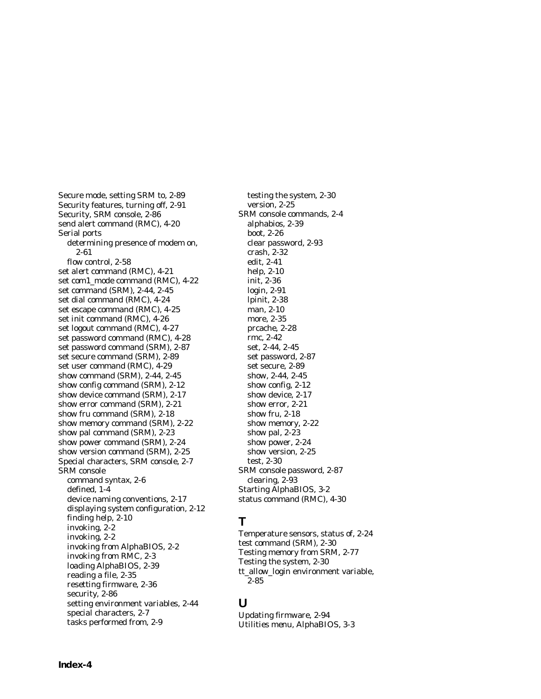Secure mode, setting SRM to, 2-89 Security features, turning off, 2-91 Security, SRM console, 2-86 send alert command (RMC), 4-20 Serial ports determining presence of modem on, 2-61 flow control, 2-58 set alert command (RMC), 4-21 set com1\_mode command (RMC), 4-22 set command (SRM), 2-44, 2-45 set dial command (RMC), 4-24 set escape command (RMC), 4-25 set init command (RMC), 4-26 set logout command (RMC), 4-27 set password command (RMC), 4-28 set password command (SRM), 2-87 set secure command (SRM), 2-89 set user command (RMC), 4-29 show command (SRM), 2-44, 2-45 show config command (SRM), 2-12 show device command (SRM), 2-17 show error command (SRM), 2-21 show fru command (SRM), 2-18 show memory command (SRM), 2-22 show pal command (SRM), 2-23 show power command (SRM), 2-24 show version command (SRM), 2-25 Special characters, SRM console, 2-7 SRM console command syntax, 2-6 defined, 1-4 device naming conventions, 2-17 displaying system configuration, 2-12 finding help, 2-10 invoking, 2-2 invoking, 2-2 invoking from AlphaBIOS, 2-2 invoking from RMC, 2-3 loading AlphaBIOS, 2-39 reading a file, 2-35 resetting firmware, 2-36 security, 2-86 setting environment variables, 2-44 special characters, 2-7 tasks performed from, 2-9

testing the system, 2-30 version, 2-25 SRM console commands, 2-4 alphabios, 2-39 boot, 2-26 clear password, 2-93 crash, 2-32 edit, 2-41 help, 2-10 init, 2-36 login, 2-91 lpinit, 2-38 man, 2-10 more, 2-35 prcache, 2-28 rmc, 2-42 set, 2-44, 2-45 set password, 2-87 set secure, 2-89 show, 2-44, 2-45 show config, 2-12 show device, 2-17 show error, 2-21 show fru, 2-18 show memory, 2-22 show pal, 2-23 show power, 2-24 show version, 2-25 test, 2-30 SRM console password, 2-87 clearing, 2-93 Starting AlphaBIOS, 3-2 status command (RMC), 4-30

## **T**

Temperature sensors, status of, 2-24 test command (SRM), 2-30 Testing memory from SRM, 2-77 Testing the system, 2-30 tt\_allow\_login environment variable, 2-85

#### **U**

Updating firmware, 2-94 Utilities menu, AlphaBIOS, 3-3